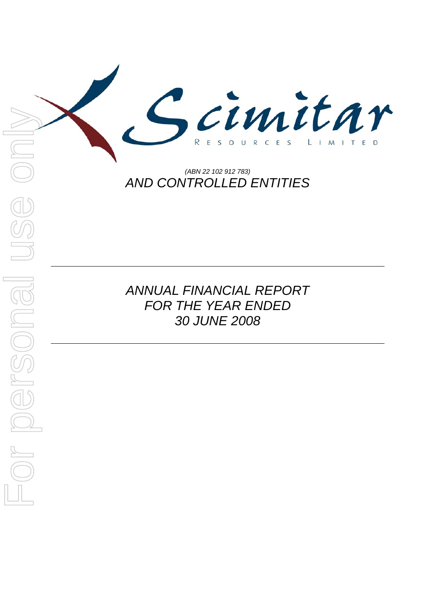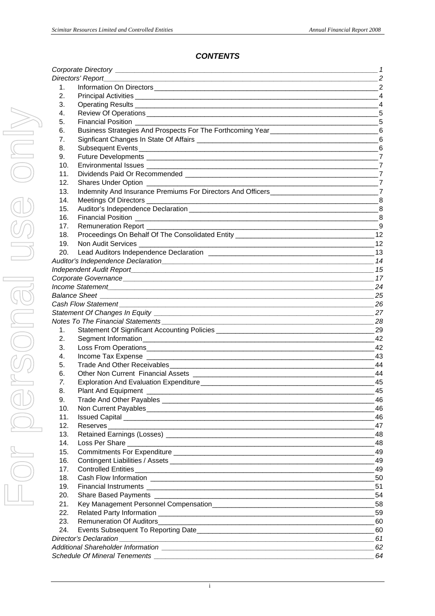# *CONTENTS*

|     |                                                                                                | $\sim$ 1                                                                                                                                                                                                                                                                                                                                                                                                                                                                        |
|-----|------------------------------------------------------------------------------------------------|---------------------------------------------------------------------------------------------------------------------------------------------------------------------------------------------------------------------------------------------------------------------------------------------------------------------------------------------------------------------------------------------------------------------------------------------------------------------------------|
|     |                                                                                                |                                                                                                                                                                                                                                                                                                                                                                                                                                                                                 |
| 1.  |                                                                                                | $\sim$ 2                                                                                                                                                                                                                                                                                                                                                                                                                                                                        |
| 2.  |                                                                                                |                                                                                                                                                                                                                                                                                                                                                                                                                                                                                 |
| 3.  |                                                                                                |                                                                                                                                                                                                                                                                                                                                                                                                                                                                                 |
| 4.  |                                                                                                | 5                                                                                                                                                                                                                                                                                                                                                                                                                                                                               |
| 5.  | Financial Position <b>Financial</b> Position <b>Financial</b>                                  |                                                                                                                                                                                                                                                                                                                                                                                                                                                                                 |
| 6.  |                                                                                                |                                                                                                                                                                                                                                                                                                                                                                                                                                                                                 |
| 7.  |                                                                                                | $\overline{6}$                                                                                                                                                                                                                                                                                                                                                                                                                                                                  |
| 8.  |                                                                                                |                                                                                                                                                                                                                                                                                                                                                                                                                                                                                 |
| 9.  |                                                                                                |                                                                                                                                                                                                                                                                                                                                                                                                                                                                                 |
| 10. |                                                                                                |                                                                                                                                                                                                                                                                                                                                                                                                                                                                                 |
| 11. |                                                                                                |                                                                                                                                                                                                                                                                                                                                                                                                                                                                                 |
| 12. |                                                                                                |                                                                                                                                                                                                                                                                                                                                                                                                                                                                                 |
| 13. | Indemnity And Insurance Premiums For Directors And Officers__________________________________7 |                                                                                                                                                                                                                                                                                                                                                                                                                                                                                 |
| 14. |                                                                                                |                                                                                                                                                                                                                                                                                                                                                                                                                                                                                 |
| 15. |                                                                                                |                                                                                                                                                                                                                                                                                                                                                                                                                                                                                 |
|     |                                                                                                |                                                                                                                                                                                                                                                                                                                                                                                                                                                                                 |
| 16. |                                                                                                |                                                                                                                                                                                                                                                                                                                                                                                                                                                                                 |
| 17. |                                                                                                |                                                                                                                                                                                                                                                                                                                                                                                                                                                                                 |
| 18. |                                                                                                |                                                                                                                                                                                                                                                                                                                                                                                                                                                                                 |
| 19. |                                                                                                |                                                                                                                                                                                                                                                                                                                                                                                                                                                                                 |
| 20. |                                                                                                |                                                                                                                                                                                                                                                                                                                                                                                                                                                                                 |
|     |                                                                                                |                                                                                                                                                                                                                                                                                                                                                                                                                                                                                 |
|     |                                                                                                |                                                                                                                                                                                                                                                                                                                                                                                                                                                                                 |
|     |                                                                                                | $\overline{\phantom{1.55\textwidth} \phantom{1.55\textwidth} \phantom{1.55\textwidth} \phantom{1.55\textwidth} \phantom{1.55\textwidth} \phantom{1.55\textwidth} \phantom{1.55\textwidth} \phantom{1.55\textwidth} \phantom{1.55\textwidth} \phantom{1.55\textwidth} \phantom{1.55\textwidth} \phantom{1.55\textwidth} \phantom{1.55\textwidth} \phantom{1.55\textwidth} \phantom{1.55\textwidth} \phantom{1.55\textwidth} \phantom{1.55\textwidth} \phantom{1.55\textwidth} \$ |
|     |                                                                                                | -24                                                                                                                                                                                                                                                                                                                                                                                                                                                                             |
|     |                                                                                                | -25                                                                                                                                                                                                                                                                                                                                                                                                                                                                             |
|     | Cash Flow Statement <b>Executive Statement Cash Flow</b>                                       | -26                                                                                                                                                                                                                                                                                                                                                                                                                                                                             |
|     |                                                                                                | 27                                                                                                                                                                                                                                                                                                                                                                                                                                                                              |
|     | Notes To The Financial Statements                                                              | 28                                                                                                                                                                                                                                                                                                                                                                                                                                                                              |
| 1.  | Statement Of Significant Accounting Policies ___________________________________               | 29                                                                                                                                                                                                                                                                                                                                                                                                                                                                              |
| 2.  |                                                                                                | 42                                                                                                                                                                                                                                                                                                                                                                                                                                                                              |
| 3.  |                                                                                                | 42                                                                                                                                                                                                                                                                                                                                                                                                                                                                              |
| 4.  |                                                                                                | 43                                                                                                                                                                                                                                                                                                                                                                                                                                                                              |
| 5.  |                                                                                                | 44                                                                                                                                                                                                                                                                                                                                                                                                                                                                              |
| 6.  |                                                                                                | 44                                                                                                                                                                                                                                                                                                                                                                                                                                                                              |
| 7.  |                                                                                                | 45                                                                                                                                                                                                                                                                                                                                                                                                                                                                              |
| 8.  | <b>Plant And Equipment</b>                                                                     | 45                                                                                                                                                                                                                                                                                                                                                                                                                                                                              |
| 9.  |                                                                                                | 46                                                                                                                                                                                                                                                                                                                                                                                                                                                                              |
| 10. |                                                                                                | 46                                                                                                                                                                                                                                                                                                                                                                                                                                                                              |
| 11. |                                                                                                | 46                                                                                                                                                                                                                                                                                                                                                                                                                                                                              |
| 12. |                                                                                                | 47                                                                                                                                                                                                                                                                                                                                                                                                                                                                              |
| 13. |                                                                                                | 48                                                                                                                                                                                                                                                                                                                                                                                                                                                                              |
| 14. |                                                                                                | 48                                                                                                                                                                                                                                                                                                                                                                                                                                                                              |
| 15. |                                                                                                | 49                                                                                                                                                                                                                                                                                                                                                                                                                                                                              |
| 16. |                                                                                                | 49                                                                                                                                                                                                                                                                                                                                                                                                                                                                              |
| 17. |                                                                                                | 49                                                                                                                                                                                                                                                                                                                                                                                                                                                                              |
| 18. |                                                                                                | 50                                                                                                                                                                                                                                                                                                                                                                                                                                                                              |
| 19. |                                                                                                | 51                                                                                                                                                                                                                                                                                                                                                                                                                                                                              |
| 20. |                                                                                                | 54                                                                                                                                                                                                                                                                                                                                                                                                                                                                              |
| 21. |                                                                                                |                                                                                                                                                                                                                                                                                                                                                                                                                                                                                 |
|     |                                                                                                |                                                                                                                                                                                                                                                                                                                                                                                                                                                                                 |
| 22. |                                                                                                |                                                                                                                                                                                                                                                                                                                                                                                                                                                                                 |
| 23. |                                                                                                |                                                                                                                                                                                                                                                                                                                                                                                                                                                                                 |
| 24. |                                                                                                |                                                                                                                                                                                                                                                                                                                                                                                                                                                                                 |
|     |                                                                                                | 61                                                                                                                                                                                                                                                                                                                                                                                                                                                                              |
|     |                                                                                                |                                                                                                                                                                                                                                                                                                                                                                                                                                                                                 |
|     |                                                                                                | 64                                                                                                                                                                                                                                                                                                                                                                                                                                                                              |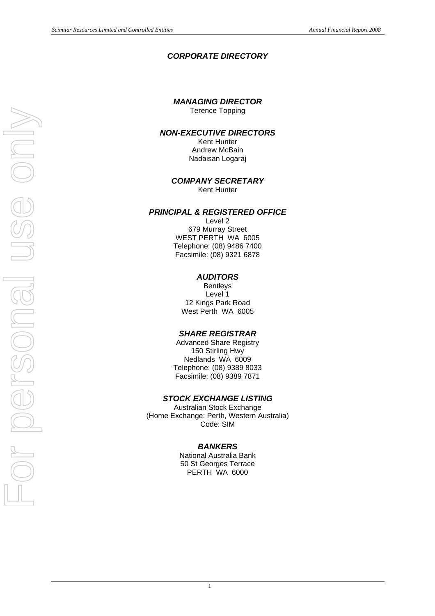# *CORPORATE DIRECTORY*

## *MANAGING DIRECTOR*

Terence Topping

## *NON-EXECUTIVE DIRECTORS*

Kent Hunter Andrew McBain Nadaisan Logaraj

## *COMPANY SECRETARY*

Kent Hunter

## *PRINCIPAL & REGISTERED OFFICE*

Level 2 679 Murray Street WEST PERTH WA 6005 Telephone: (08) 9486 7400 Facsimile: (08) 9321 6878

#### *AUDITORS*

Bentleys Level 1 12 Kings Park Road West Perth WA 6005

#### *SHARE REGISTRAR*

Advanced Share Registry 150 Stirling Hwy Nedlands WA 6009 Telephone: (08) 9389 8033 Facsimile: (08) 9389 7871

#### *STOCK EXCHANGE LISTING*

Australian Stock Exchange (Home Exchange: Perth, Western Australia) Code: SIM

#### *BANKERS*

National Australia Bank 50 St Georges Terrace PERTH WA 6000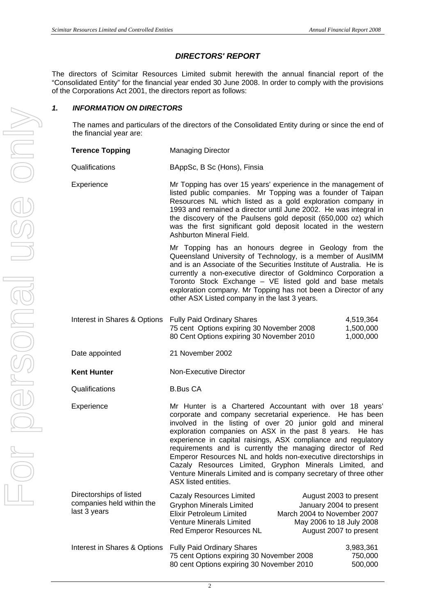# *DIRECTORS' REPORT*

The directors of Scimitar Resources Limited submit herewith the annual financial report of the "Consolidated Entity" for the financial year ended 30 June 2008. In order to comply with the provisions of the Corporations Act 2001, the directors report as follows:

## *1. INFORMATION ON DIRECTORS*

The names and particulars of the directors of the Consolidated Entity during or since the end of the financial year are:

| <b>Terence Topping</b>                                               | <b>Managing Director</b>                                                                                                                                                                                                                                                                                                                                                                                                                                                                                                                                                                              |                                     |  |  |  |
|----------------------------------------------------------------------|-------------------------------------------------------------------------------------------------------------------------------------------------------------------------------------------------------------------------------------------------------------------------------------------------------------------------------------------------------------------------------------------------------------------------------------------------------------------------------------------------------------------------------------------------------------------------------------------------------|-------------------------------------|--|--|--|
| Qualifications                                                       | BAppSc, B Sc (Hons), Finsia                                                                                                                                                                                                                                                                                                                                                                                                                                                                                                                                                                           |                                     |  |  |  |
| Experience                                                           | Mr Topping has over 15 years' experience in the management of<br>listed public companies. Mr Topping was a founder of Taipan<br>Resources NL which listed as a gold exploration company in<br>1993 and remained a director until June 2002. He was integral in<br>the discovery of the Paulsens gold deposit (650,000 oz) which<br>was the first significant gold deposit located in the western<br>Ashburton Mineral Field.                                                                                                                                                                          |                                     |  |  |  |
|                                                                      | Mr Topping has an honours degree in Geology from the<br>Queensland University of Technology, is a member of AusIMM<br>and is an Associate of the Securities Institute of Australia. He is<br>currently a non-executive director of Goldminco Corporation a<br>Toronto Stock Exchange - VE listed gold and base metals<br>exploration company. Mr Topping has not been a Director of any<br>other ASX Listed company in the last 3 years.                                                                                                                                                              |                                     |  |  |  |
| Interest in Shares & Options                                         | <b>Fully Paid Ordinary Shares</b><br>75 cent Options expiring 30 November 2008<br>80 Cent Options expiring 30 November 2010                                                                                                                                                                                                                                                                                                                                                                                                                                                                           | 4,519,364<br>1,500,000<br>1,000,000 |  |  |  |
| Date appointed                                                       | 21 November 2002                                                                                                                                                                                                                                                                                                                                                                                                                                                                                                                                                                                      |                                     |  |  |  |
| <b>Kent Hunter</b>                                                   | Non-Executive Director                                                                                                                                                                                                                                                                                                                                                                                                                                                                                                                                                                                |                                     |  |  |  |
| Qualifications                                                       | <b>B.Bus CA</b>                                                                                                                                                                                                                                                                                                                                                                                                                                                                                                                                                                                       |                                     |  |  |  |
| Experience                                                           | Mr Hunter is a Chartered Accountant with over 18 years'<br>corporate and company secretarial experience. He has been<br>involved in the listing of over 20 junior gold and mineral<br>exploration companies on ASX in the past 8 years. He has<br>experience in capital raisings, ASX compliance and regulatory<br>requirements and is currently the managing director of Red<br>Emperor Resources NL and holds non-executive directorships in<br>Cazaly Resources Limited, Gryphon Minerals Limited, and<br>Venture Minerals Limited and is company secretary of three other<br>ASX listed entities. |                                     |  |  |  |
| Directorships of listed<br>companies held within the<br>last 3 years | <b>Cazaly Resources Limited</b><br>August 2003 to present<br><b>Gryphon Minerals Limited</b><br>January 2004 to present<br><b>Elixir Petroleum Limited</b><br>March 2004 to November 2007<br><b>Venture Minerals Limited</b><br>May 2006 to 18 July 2008<br><b>Red Emperor Resources NL</b><br>August 2007 to present                                                                                                                                                                                                                                                                                 |                                     |  |  |  |
| Interest in Shares & Options                                         | <b>Fully Paid Ordinary Shares</b><br>75 cent Options expiring 30 November 2008<br>80 cent Options expiring 30 November 2010                                                                                                                                                                                                                                                                                                                                                                                                                                                                           | 3,983,361<br>750,000<br>500,000     |  |  |  |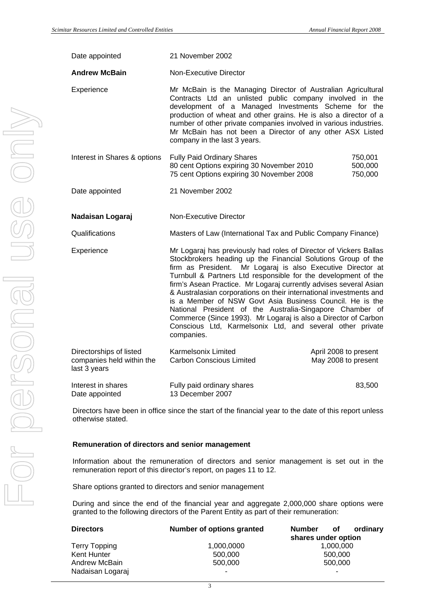| Date appointed                                                                  | 21 November 2002                                                                                                                                                                                                                                                                                                                                                                                                                                                                                                                                                                                                                                                                   |                                              |                               |  |  |
|---------------------------------------------------------------------------------|------------------------------------------------------------------------------------------------------------------------------------------------------------------------------------------------------------------------------------------------------------------------------------------------------------------------------------------------------------------------------------------------------------------------------------------------------------------------------------------------------------------------------------------------------------------------------------------------------------------------------------------------------------------------------------|----------------------------------------------|-------------------------------|--|--|
| <b>Andrew McBain</b>                                                            | Non-Executive Director                                                                                                                                                                                                                                                                                                                                                                                                                                                                                                                                                                                                                                                             |                                              |                               |  |  |
| Experience                                                                      | Mr McBain is the Managing Director of Australian Agricultural<br>Contracts Ltd an unlisted public company involved in the<br>development of a Managed Investments Scheme for the<br>production of wheat and other grains. He is also a director of a<br>number of other private companies involved in various industries.<br>Mr McBain has not been a Director of any other ASX Listed<br>company in the last 3 years.                                                                                                                                                                                                                                                             |                                              |                               |  |  |
| Interest in Shares & options                                                    | <b>Fully Paid Ordinary Shares</b><br>80 cent Options expiring 30 November 2010<br>75 cent Options expiring 30 November 2008                                                                                                                                                                                                                                                                                                                                                                                                                                                                                                                                                        |                                              | 750,001<br>500,000<br>750,000 |  |  |
| Date appointed                                                                  | 21 November 2002                                                                                                                                                                                                                                                                                                                                                                                                                                                                                                                                                                                                                                                                   |                                              |                               |  |  |
| Nadaisan Logaraj                                                                | Non-Executive Director                                                                                                                                                                                                                                                                                                                                                                                                                                                                                                                                                                                                                                                             |                                              |                               |  |  |
| Qualifications<br>Masters of Law (International Tax and Public Company Finance) |                                                                                                                                                                                                                                                                                                                                                                                                                                                                                                                                                                                                                                                                                    |                                              |                               |  |  |
| Experience                                                                      | Mr Logaraj has previously had roles of Director of Vickers Ballas<br>Stockbrokers heading up the Financial Solutions Group of the<br>firm as President. Mr Logaraj is also Executive Director at<br>Turnbull & Partners Ltd responsible for the development of the<br>firm's Asean Practice. Mr Logaraj currently advises several Asian<br>& Australasian corporations on their international investments and<br>is a Member of NSW Govt Asia Business Council. He is the<br>National President of the Australia-Singapore Chamber of<br>Commerce (Since 1993). Mr Logaraj is also a Director of Carbon<br>Conscious Ltd, Karmelsonix Ltd, and several other private<br>companies. |                                              |                               |  |  |
| Directorships of listed<br>companies held within the<br>last 3 years            | Karmelsonix Limited<br><b>Carbon Conscious Limited</b>                                                                                                                                                                                                                                                                                                                                                                                                                                                                                                                                                                                                                             | April 2008 to present<br>May 2008 to present |                               |  |  |
| Interest in shares<br>Date appointed                                            | Fully paid ordinary shares<br>13 December 2007                                                                                                                                                                                                                                                                                                                                                                                                                                                                                                                                                                                                                                     |                                              | 83,500                        |  |  |

Directors have been in office since the start of the financial year to the date of this report unless otherwise stated.

#### **Remuneration of directors and senior management**

Information about the remuneration of directors and senior management is set out in the remuneration report of this director's report, on pages 11 to 12.

Share options granted to directors and senior management

During and since the end of the financial year and aggregate 2,000,000 share options were granted to the following directors of the Parent Entity as part of their remuneration:

| <b>Directors</b> | Number of options granted | ordinary<br><b>Number</b><br>οf |
|------------------|---------------------------|---------------------------------|
|                  |                           | shares under option             |
| Terry Topping    | 1,000,0000                | 1.000.000                       |
| Kent Hunter      | 500.000                   | 500,000                         |
| Andrew McBain    | 500.000                   | 500.000                         |
| Nadaisan Logaraj | -                         | ۰.                              |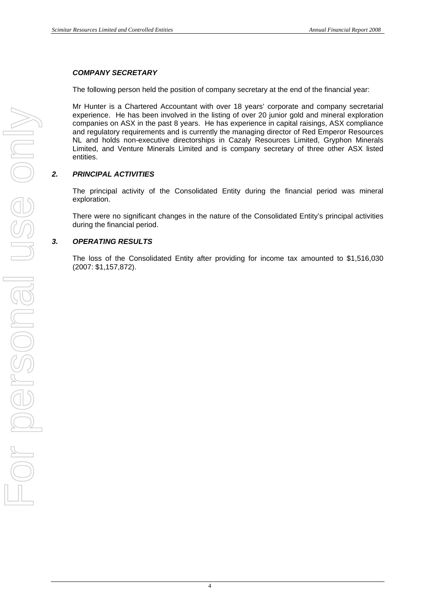## *COMPANY SECRETARY*

The following person held the position of company secretary at the end of the financial year:

 Mr Hunter is a Chartered Accountant with over 18 years' corporate and company secretarial experience. He has been involved in the listing of over 20 junior gold and mineral exploration companies on ASX in the past 8 years. He has experience in capital raisings, ASX compliance and regulatory requirements and is currently the managing director of Red Emperor Resources NL and holds non-executive directorships in Cazaly Resources Limited, Gryphon Minerals Limited, and Venture Minerals Limited and is company secretary of three other ASX listed entities.

# *2. PRINCIPAL ACTIVITIES*

 The principal activity of the Consolidated Entity during the financial period was mineral exploration.

There were no significant changes in the nature of the Consolidated Entity's principal activities during the financial period.

# *3. OPERATING RESULTS*

 The loss of the Consolidated Entity after providing for income tax amounted to \$1,516,030 (2007: \$1,157,872).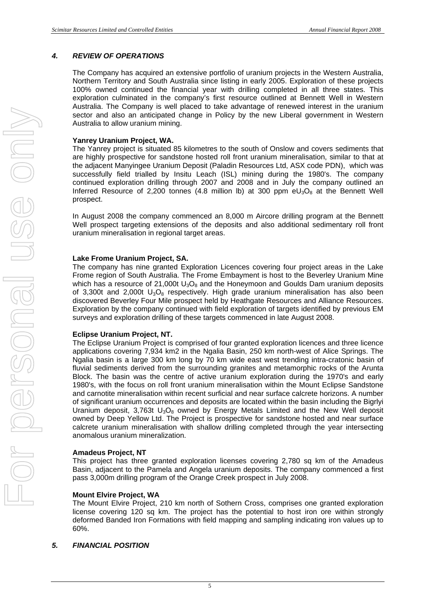## *4. REVIEW OF OPERATIONS*

The Company has acquired an extensive portfolio of uranium projects in the Western Australia, Northern Territory and South Australia since listing in early 2005. Exploration of these projects 100% owned continued the financial year with drilling completed in all three states. This exploration culminated in the company's first resource outlined at Bennett Well in Western Australia. The Company is well placed to take advantage of renewed interest in the uranium sector and also an anticipated change in Policy by the new Liberal government in Western Australia to allow uranium mining.

#### **Yanrey Uranium Project, WA.**

The Yanrey project is situated 85 kilometres to the south of Onslow and covers sediments that are highly prospective for sandstone hosted roll front uranium mineralisation, similar to that at the adjacent Manyingee Uranium Deposit (Paladin Resources Ltd, ASX code PDN), which was successfully field trialled by Insitu Leach (ISL) mining during the 1980's. The company continued exploration drilling through 2007 and 2008 and in July the company outlined an Inferred Resource of 2,200 tonnes (4.8 million lb) at 300 ppm  $eU_3O_8$  at the Bennett Well prospect.

In August 2008 the company commenced an 8,000 m Aircore drilling program at the Bennett Well prospect targeting extensions of the deposits and also additional sedimentary roll front uranium mineralisation in regional target areas.

#### **Lake Frome Uranium Project, SA.**

The company has nine granted Exploration Licences covering four project areas in the Lake Frome region of South Australia. The Frome Embayment is host to the Beverley Uranium Mine which has a resource of 21,000t  $U_3O_8$  and the Honeymoon and Goulds Dam uranium deposits of 3,300t and 2,000t  $U_3O_8$  respectively. High grade uranium mineralisation has also been discovered Beverley Four Mile prospect held by Heathgate Resources and Alliance Resources. Exploration by the company continued with field exploration of targets identified by previous EM surveys and exploration drilling of these targets commenced in late August 2008.

#### **Eclipse Uranium Project, NT.**

The Eclipse Uranium Project is comprised of four granted exploration licences and three licence applications covering 7,934 km2 in the Ngalia Basin, 250 km north-west of Alice Springs. The Ngalia basin is a large 300 km long by 70 km wide east west trending intra-cratonic basin of fluvial sediments derived from the surrounding granites and metamorphic rocks of the Arunta Block. The basin was the centre of active uranium exploration during the 1970's and early 1980's, with the focus on roll front uranium mineralisation within the Mount Eclipse Sandstone and carnotite mineralisation within recent surficial and near surface calcrete horizons. A number of significant uranium occurrences and deposits are located within the basin including the Bigrlyi Uranium deposit, 3,763t  $U_3O_8$  owned by Energy Metals Limited and the New Well deposit owned by Deep Yellow Ltd. The Project is prospective for sandstone hosted and near surface calcrete uranium mineralisation with shallow drilling completed through the year intersecting anomalous uranium mineralization.

#### **Amadeus Project, NT**

This project has three granted exploration licenses covering 2,780 sq km of the Amadeus Basin, adjacent to the Pamela and Angela uranium deposits. The company commenced a first pass 3,000m drilling program of the Orange Creek prospect in July 2008.

#### **Mount Elvire Project, WA**

The Mount Elvire Project, 210 km north of Sothern Cross, comprises one granted exploration license covering 120 sq km. The project has the potential to host iron ore within strongly deformed Banded Iron Formations with field mapping and sampling indicating iron values up to 60%.

## *5. FINANCIAL POSITION*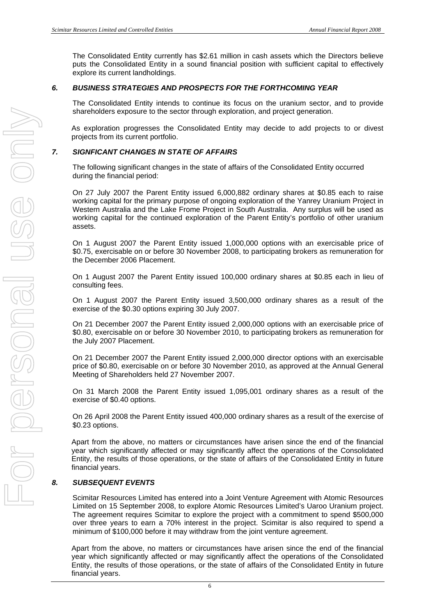The Consolidated Entity currently has \$2.61 million in cash assets which the Directors believe puts the Consolidated Entity in a sound financial position with sufficient capital to effectively explore its current landholdings.

## *6. BUSINESS STRATEGIES AND PROSPECTS FOR THE FORTHCOMING YEAR*

The Consolidated Entity intends to continue its focus on the uranium sector, and to provide shareholders exposure to the sector through exploration, and project generation.

As exploration progresses the Consolidated Entity may decide to add projects to or divest projects from its current portfolio.

## *7. SIGNFICANT CHANGES IN STATE OF AFFAIRS*

The following significant changes in the state of affairs of the Consolidated Entity occurred during the financial period:

On 27 July 2007 the Parent Entity issued 6,000,882 ordinary shares at \$0.85 each to raise working capital for the primary purpose of ongoing exploration of the Yanrey Uranium Project in Western Australia and the Lake Frome Project in South Australia. Any surplus will be used as working capital for the continued exploration of the Parent Entity's portfolio of other uranium assets.

On 1 August 2007 the Parent Entity issued 1,000,000 options with an exercisable price of \$0.75, exercisable on or before 30 November 2008, to participating brokers as remuneration for the December 2006 Placement.

On 1 August 2007 the Parent Entity issued 100,000 ordinary shares at \$0.85 each in lieu of consulting fees.

On 1 August 2007 the Parent Entity issued 3,500,000 ordinary shares as a result of the exercise of the \$0.30 options expiring 30 July 2007.

On 21 December 2007 the Parent Entity issued 2,000,000 options with an exercisable price of \$0.80, exercisable on or before 30 November 2010, to participating brokers as remuneration for the July 2007 Placement.

On 21 December 2007 the Parent Entity issued 2,000,000 director options with an exercisable price of \$0.80, exercisable on or before 30 November 2010, as approved at the Annual General Meeting of Shareholders held 27 November 2007.

On 31 March 2008 the Parent Entity issued 1,095,001 ordinary shares as a result of the exercise of \$0.40 options.

On 26 April 2008 the Parent Entity issued 400,000 ordinary shares as a result of the exercise of \$0.23 options.

Apart from the above, no matters or circumstances have arisen since the end of the financial year which significantly affected or may significantly affect the operations of the Consolidated Entity, the results of those operations, or the state of affairs of the Consolidated Entity in future financial years.

## *8. SUBSEQUENT EVENTS*

Scimitar Resources Limited has entered into a Joint Venture Agreement with Atomic Resources Limited on 15 September 2008, to explore Atomic Resources Limited's Uaroo Uranium project. The agreement requires Scimitar to explore the project with a commitment to spend \$500,000 over three years to earn a 70% interest in the project. Scimitar is also required to spend a minimum of \$100,000 before it may withdraw from the joint venture agreement.

Apart from the above, no matters or circumstances have arisen since the end of the financial year which significantly affected or may significantly affect the operations of the Consolidated Entity, the results of those operations, or the state of affairs of the Consolidated Entity in future financial years.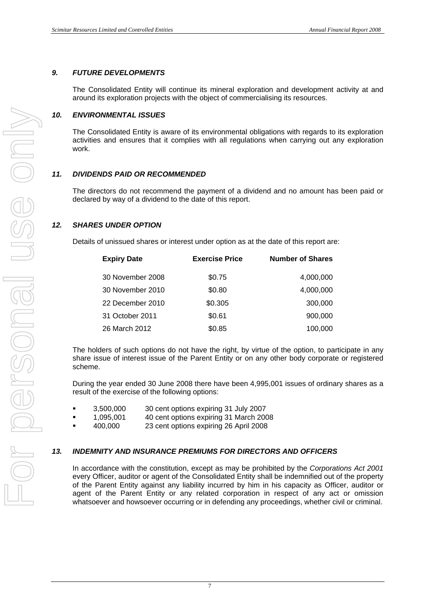# *9. FUTURE DEVELOPMENTS*

 The Consolidated Entity will continue its mineral exploration and development activity at and around its exploration projects with the object of commercialising its resources.

## *10. ENVIRONMENTAL ISSUES*

 The Consolidated Entity is aware of its environmental obligations with regards to its exploration activities and ensures that it complies with all regulations when carrying out any exploration work.

# *11. DIVIDENDS PAID OR RECOMMENDED*

 The directors do not recommend the payment of a dividend and no amount has been paid or declared by way of a dividend to the date of this report.

# *12. SHARES UNDER OPTION*

Details of unissued shares or interest under option as at the date of this report are:

| <b>Expiry Date</b> | <b>Exercise Price</b> | <b>Number of Shares</b> |
|--------------------|-----------------------|-------------------------|
| 30 November 2008   | \$0.75                | 4,000,000               |
| 30 November 2010   | \$0.80                | 4,000,000               |
| 22 December 2010   | \$0.305               | 300,000                 |
| 31 October 2011    | \$0.61                | 900,000                 |
| 26 March 2012      | \$0.85                | 100,000                 |

The holders of such options do not have the right, by virtue of the option, to participate in any share issue of interest issue of the Parent Entity or on any other body corporate or registered scheme.

During the year ended 30 June 2008 there have been 4,995,001 issues of ordinary shares as a result of the exercise of the following options:

| 3,500,000 |  | 30 cent options expiring 31 July 2007 |  |
|-----------|--|---------------------------------------|--|
|           |  |                                       |  |

- 1,095,001 40 cent options expiring 31 March 2008
- 400,000 23 cent options expiring 26 April 2008

## *13. INDEMNITY AND INSURANCE PREMIUMS FOR DIRECTORS AND OFFICERS*

In accordance with the constitution, except as may be prohibited by the *Corporations Act 2001* every Officer, auditor or agent of the Consolidated Entity shall be indemnified out of the property of the Parent Entity against any liability incurred by him in his capacity as Officer, auditor or agent of the Parent Entity or any related corporation in respect of any act or omission whatsoever and howsoever occurring or in defending any proceedings, whether civil or criminal.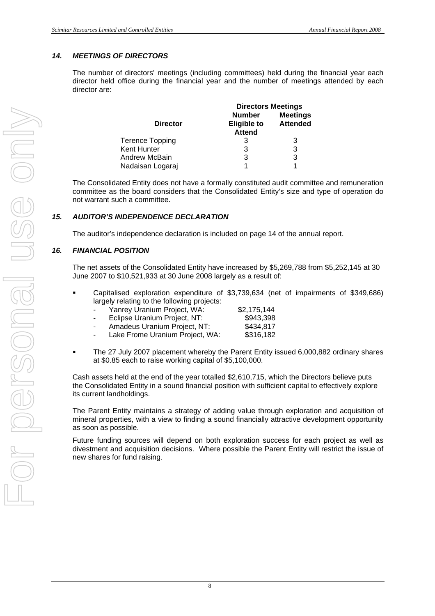## *14. MEETINGS OF DIRECTORS*

The number of directors' meetings (including committees) held during the financial year each director held office during the financial year and the number of meetings attended by each director are:

|                        | <b>Directors Meetings</b>                            |                                    |  |  |  |
|------------------------|------------------------------------------------------|------------------------------------|--|--|--|
| <b>Director</b>        | <b>Number</b><br><b>Eligible to</b><br><b>Attend</b> | <b>Meetings</b><br><b>Attended</b> |  |  |  |
| <b>Terence Topping</b> | 3                                                    | З                                  |  |  |  |
| <b>Kent Hunter</b>     | 3                                                    | 3                                  |  |  |  |
| Andrew McBain          | 3                                                    | 3                                  |  |  |  |
| Nadaisan Logaraj       | 1                                                    |                                    |  |  |  |

The Consolidated Entity does not have a formally constituted audit committee and remuneration committee as the board considers that the Consolidated Entity's size and type of operation do not warrant such a committee.

# *15. AUDITOR'S INDEPENDENCE DECLARATION*

The auditor's independence declaration is included on page 14 of the annual report.

# *16. FINANCIAL POSITION*

The net assets of the Consolidated Entity have increased by \$5,269,788 from \$5,252,145 at 30 June 2007 to \$10,521,933 at 30 June 2008 largely as a result of:

 Capitalised exploration expenditure of \$3,739,634 (net of impairments of \$349,686) largely relating to the following projects:

|  | Yanrey Uranium Project, WA: |  | \$2,175,144 |  |
|--|-----------------------------|--|-------------|--|
|  |                             |  |             |  |

- Eclipse Uranium Project, NT: \$943,398
- Amadeus Uranium Project, NT: \$434,817
- Lake Frome Uranium Project, WA: \$316,182
- The 27 July 2007 placement whereby the Parent Entity issued 6,000,882 ordinary shares at \$0.85 each to raise working capital of \$5,100,000.

Cash assets held at the end of the year totalled \$2,610,715, which the Directors believe puts the Consolidated Entity in a sound financial position with sufficient capital to effectively explore its current landholdings.

The Parent Entity maintains a strategy of adding value through exploration and acquisition of mineral properties, with a view to finding a sound financially attractive development opportunity as soon as possible.

Future funding sources will depend on both exploration success for each project as well as divestment and acquisition decisions. Where possible the Parent Entity will restrict the issue of new shares for fund raising.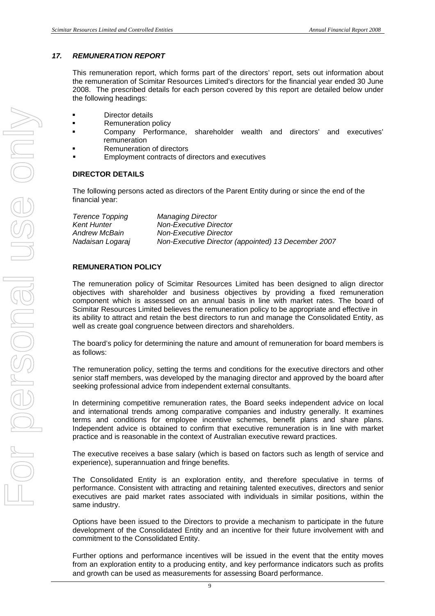#### *17. REMUNERATION REPORT*

This remuneration report, which forms part of the directors' report, sets out information about the remuneration of Scimitar Resources Limited's directors for the financial year ended 30 June 2008. The prescribed details for each person covered by this report are detailed below under the following headings:

- Director details
- Remuneration policy
- Company Performance, shareholder wealth and directors' and executives' remuneration
- Remuneration of directors
- Employment contracts of directors and executives

#### **DIRECTOR DETAILS**

The following persons acted as directors of the Parent Entity during or since the end of the financial year:

| Terence Topping  | <b>Managing Director</b>                            |
|------------------|-----------------------------------------------------|
| Kent Hunter      | <b>Non-Executive Director</b>                       |
| Andrew McBain    | <b>Non-Executive Director</b>                       |
| Nadaisan Logaraj | Non-Executive Director (appointed) 13 December 2007 |

## **REMUNERATION POLICY**

The remuneration policy of Scimitar Resources Limited has been designed to align director objectives with shareholder and business objectives by providing a fixed remuneration component which is assessed on an annual basis in line with market rates. The board of Scimitar Resources Limited believes the remuneration policy to be appropriate and effective in its ability to attract and retain the best directors to run and manage the Consolidated Entity, as well as create goal congruence between directors and shareholders.

The board's policy for determining the nature and amount of remuneration for board members is as follows:

The remuneration policy, setting the terms and conditions for the executive directors and other senior staff members, was developed by the managing director and approved by the board after seeking professional advice from independent external consultants.

In determining competitive remuneration rates, the Board seeks independent advice on local and international trends among comparative companies and industry generally. It examines terms and conditions for employee incentive schemes, benefit plans and share plans. Independent advice is obtained to confirm that executive remuneration is in line with market practice and is reasonable in the context of Australian executive reward practices.

The executive receives a base salary (which is based on factors such as length of service and experience), superannuation and fringe benefits.

The Consolidated Entity is an exploration entity, and therefore speculative in terms of performance. Consistent with attracting and retaining talented executives, directors and senior executives are paid market rates associated with individuals in similar positions, within the same industry.

Options have been issued to the Directors to provide a mechanism to participate in the future development of the Consolidated Entity and an incentive for their future involvement with and commitment to the Consolidated Entity.

Further options and performance incentives will be issued in the event that the entity moves from an exploration entity to a producing entity, and key performance indicators such as profits and growth can be used as measurements for assessing Board performance.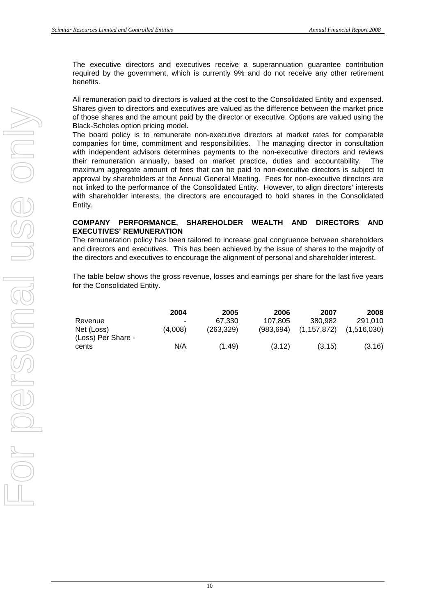The executive directors and executives receive a superannuation guarantee contribution required by the government, which is currently 9% and do not receive any other retirement benefits.

All remuneration paid to directors is valued at the cost to the Consolidated Entity and expensed. Shares given to directors and executives are valued as the difference between the market price of those shares and the amount paid by the director or executive. Options are valued using the Black-Scholes option pricing model.

The board policy is to remunerate non-executive directors at market rates for comparable companies for time, commitment and responsibilities. The managing director in consultation with independent advisors determines payments to the non-executive directors and reviews their remuneration annually, based on market practice, duties and accountability. The maximum aggregate amount of fees that can be paid to non-executive directors is subject to approval by shareholders at the Annual General Meeting. Fees for non-executive directors are not linked to the performance of the Consolidated Entity. However, to align directors' interests with shareholder interests, the directors are encouraged to hold shares in the Consolidated Entity.

#### **COMPANY PERFORMANCE, SHAREHOLDER WEALTH AND DIRECTORS AND EXECUTIVES' REMUNERATION**

The remuneration policy has been tailored to increase goal congruence between shareholders and directors and executives. This has been achieved by the issue of shares to the majority of the directors and executives to encourage the alignment of personal and shareholder interest.

The table below shows the gross revenue, losses and earnings per share for the last five years for the Consolidated Entity.

|                                  | 2004    | 2005       | 2006      | 2007          | 2008        |
|----------------------------------|---------|------------|-----------|---------------|-------------|
| Revenue                          | ٠       | 67.330     | 107.805   | 380.982       | 291.010     |
| Net (Loss)<br>(Loss) Per Share - | (4,008) | (263, 329) | (983.694) | (1, 157, 872) | (1,516,030) |
| cents                            | N/A     | (1.49)     | (3.12)    | (3.15)        | (3.16)      |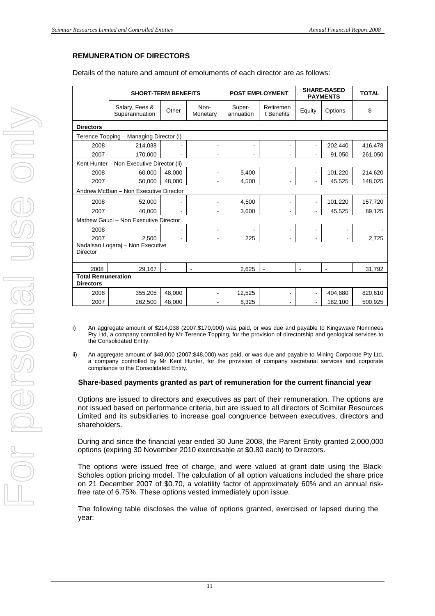## **REMUNERATION OF DIRECTORS**

|                                                     | <b>SHORT-TERM BENEFITS</b>                |        |                          | <b>POST EMPLOYMENT</b> |                         | <b>SHARE-BASED</b><br><b>PAYMENTS</b> |                          | <b>TOTAL</b> |
|-----------------------------------------------------|-------------------------------------------|--------|--------------------------|------------------------|-------------------------|---------------------------------------|--------------------------|--------------|
|                                                     | Salary, Fees &<br>Superannuation          | Other  | Non-<br>Monetary         | Super-<br>annuation    | Retiremen<br>t Benefits | Equity                                | Options                  | \$           |
| <b>Directors</b>                                    |                                           |        |                          |                        |                         |                                       |                          |              |
|                                                     | Terence Topping – Managing Director (i)   |        |                          |                        |                         |                                       |                          |              |
| 2008                                                | 214,038                                   |        | $\overline{\phantom{0}}$ |                        |                         |                                       | 202,440                  | 416,478      |
| 2007                                                | 170,000                                   |        | $\overline{\phantom{0}}$ |                        |                         |                                       | 91,050                   | 261,050      |
|                                                     | Kent Hunter - Non Executive Director (ii) |        |                          |                        |                         |                                       |                          |              |
| 2008                                                | 60,000                                    | 48,000 | $\overline{\phantom{0}}$ | 5,400                  | ٠                       |                                       | 101,220                  | 214,620      |
| 2007                                                | 50.000                                    | 48,000 | $\overline{\phantom{0}}$ | 4,500                  |                         |                                       | 45,525                   | 148,025      |
|                                                     | Andrew McBain - Non Executive Director    |        |                          |                        |                         |                                       |                          |              |
| 2008                                                | 52,000                                    |        |                          | 4,500                  |                         |                                       | 101,220                  | 157,720      |
| 2007                                                | 40,000                                    |        | $\blacksquare$           | 3,600                  |                         |                                       | 45,525                   | 89,125       |
|                                                     | Mathew Gauci - Non Executive Director     |        |                          |                        |                         |                                       |                          |              |
| 2008                                                |                                           |        | ۰                        |                        |                         |                                       |                          |              |
| 2007                                                | 2,500                                     |        |                          | 225                    |                         |                                       |                          | 2,725        |
| Nadaisan Logaraj - Non Executive<br><b>Director</b> |                                           |        |                          |                        |                         |                                       |                          |              |
| 2008                                                | 29,167                                    | L,     |                          | 2,625                  | L.                      | $\blacksquare$                        | $\overline{\phantom{a}}$ | 31,792       |
| <b>Directors</b>                                    | <b>Total Remuneration</b>                 |        |                          |                        |                         |                                       |                          |              |
| 2008                                                | 355,205                                   | 48,000 |                          | 12,525                 |                         |                                       | 404,880                  | 820,610      |
| 2007                                                | 262.500                                   | 48.000 | ۰                        | 8,325                  |                         | ٠                                     | 182,100                  | 500,925      |

Details of the nature and amount of emoluments of each director are as follows:

- i) An aggregate amount of \$214,038 (2007:\$170,000) was paid, or was due and payable to Kingswave Nominees Pty Ltd, a company controlled by Mr Terence Topping, for the provision of directorship and geological services to the Consolidated Entity.
- ii) An aggregate amount of \$48,000 (2007:\$48,000) was paid, or was due and payable to Mining Corporate Pty Ltd, a company controlled by Mr Kent Hunter, for the provision of company secretarial services and corporate compliance to the Consolidated Entity.

#### **Share-based payments granted as part of remuneration for the current financial year**

Options are issued to directors and executives as part of their remuneration. The options are not issued based on performance criteria, but are issued to all directors of Scimitar Resources Limited and its subsidiaries to increase goal congruence between executives, directors and shareholders.

During and since the financial year ended 30 June 2008, the Parent Entity granted 2,000,000 options (expiring 30 November 2010 exercisable at \$0.80 each) to Directors.

The options were issued free of charge, and were valued at grant date using the Black-Scholes option pricing model. The calculation of all option valuations included the share price on 21 December 2007 of \$0.70, a volatility factor of approximately 60% and an annual riskfree rate of 6.75%. These options vested immediately upon issue.

The following table discloses the value of options granted, exercised or lapsed during the year: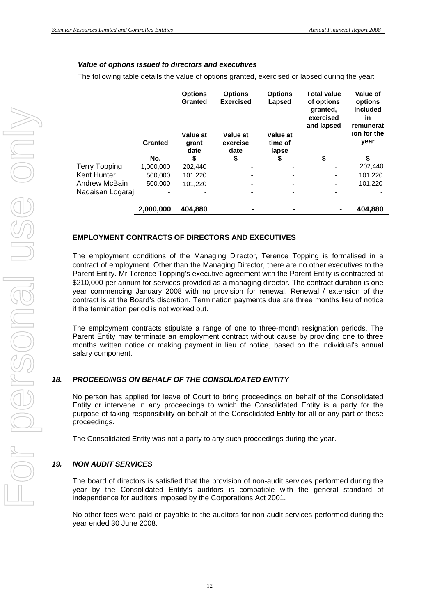## *Value of options issued to directors and executives*

The following table details the value of options granted, exercised or lapsed during the year:

|                  |                | <b>Options</b><br><b>Granted</b> | <b>Options</b><br><b>Exercised</b>                           | <b>Options</b><br>Lapsed | <b>Total value</b><br>of options<br>granted,<br>exercised<br>and lapsed | Value of<br>options<br>included<br>in.<br>remunerat |  |
|------------------|----------------|----------------------------------|--------------------------------------------------------------|--------------------------|-------------------------------------------------------------------------|-----------------------------------------------------|--|
|                  | <b>Granted</b> | Value at<br>grant<br>date        | Value at<br>Value at<br>time of<br>exercise<br>date<br>lapse |                          |                                                                         | ion for the<br>year                                 |  |
|                  | No.            | \$                               | \$                                                           | \$                       | \$                                                                      | \$                                                  |  |
| Terry Topping    | 1,000,000      | 202,440                          |                                                              |                          |                                                                         | 202,440                                             |  |
| Kent Hunter      | 500,000        | 101,220                          |                                                              |                          | $\overline{\phantom{0}}$                                                | 101,220                                             |  |
| Andrew McBain    | 500.000        | 101.220                          |                                                              |                          | ٠                                                                       | 101.220                                             |  |
| Nadaisan Logaraj |                |                                  |                                                              |                          |                                                                         |                                                     |  |
|                  | 2,000,000      | 404,880                          |                                                              |                          |                                                                         | 404,880                                             |  |

## **EMPLOYMENT CONTRACTS OF DIRECTORS AND EXECUTIVES**

The employment conditions of the Managing Director, Terence Topping is formalised in a contract of employment. Other than the Managing Director, there are no other executives to the Parent Entity. Mr Terence Topping's executive agreement with the Parent Entity is contracted at \$210,000 per annum for services provided as a managing director. The contract duration is one year commencing January 2008 with no provision for renewal. Renewal / extension of the contract is at the Board's discretion. Termination payments due are three months lieu of notice if the termination period is not worked out.

The employment contracts stipulate a range of one to three-month resignation periods. The Parent Entity may terminate an employment contract without cause by providing one to three months written notice or making payment in lieu of notice, based on the individual's annual salary component.

## *18. PROCEEDINGS ON BEHALF OF THE CONSOLIDATED ENTITY*

 No person has applied for leave of Court to bring proceedings on behalf of the Consolidated Entity or intervene in any proceedings to which the Consolidated Entity is a party for the purpose of taking responsibility on behalf of the Consolidated Entity for all or any part of these proceedings.

The Consolidated Entity was not a party to any such proceedings during the year.

## *19. NON AUDIT SERVICES*

The board of directors is satisfied that the provision of non-audit services performed during the year by the Consolidated Entity's auditors is compatible with the general standard of independence for auditors imposed by the Corporations Act 2001.

No other fees were paid or payable to the auditors for non-audit services performed during the year ended 30 June 2008.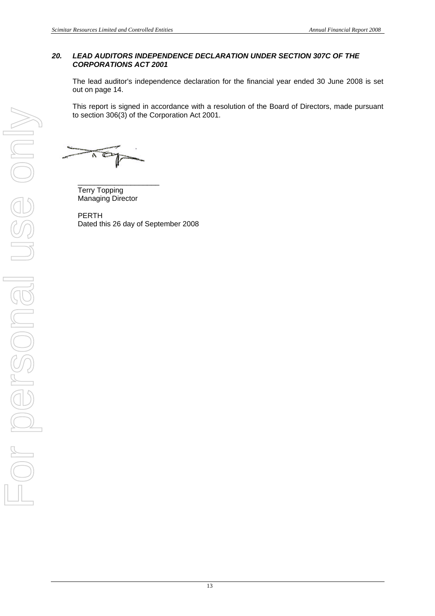# *20. LEAD AUDITORS INDEPENDENCE DECLARATION UNDER SECTION 307C OF THE CORPORATIONS ACT 2001*

The lead auditor's independence declaration for the financial year ended 30 June 2008 is set out on page 14.

This report is signed in accordance with a resolution of the Board of Directors, made pursuant to section 306(3) of the Corporation Act 2001.

\_\_\_\_\_\_\_\_\_\_\_\_\_\_\_\_\_\_\_\_ Terry Topping Managing Director

PERTH Dated this 26 day of September 2008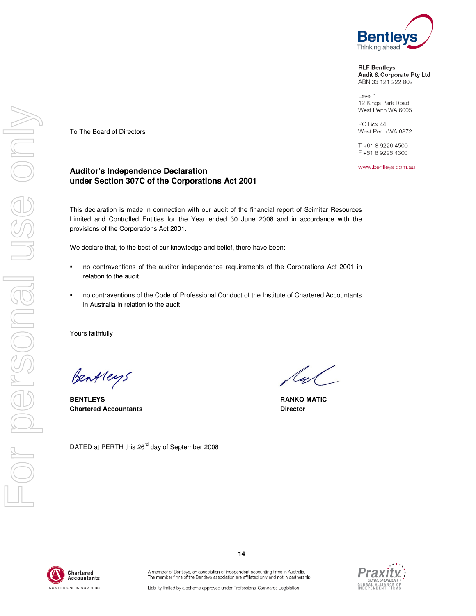

**RLF Bentleys Audit & Corporate Pty Ltd** ABN 33 121 222 802

Level 1 12 Kings Park Road West Perth WA 6005

PO Box 44 West Perth WA 6872

T +61 8 9226 4500 F +61 8 9226 4300

www.bentleys.com.au

To The Board of Directors

## **Auditor's Independence Declaration under Section 307C of the Corporations Act 2001**

This declaration is made in connection with our audit of the financial report of Scimitar Resources Limited and Controlled Entities for the Year ended 30 June 2008 and in accordance with the provisions of the Corporations Act 2001.

We declare that, to the best of our knowledge and belief, there have been:

- no contraventions of the auditor independence requirements of the Corporations Act 2001 in relation to the audit;
- no contraventions of the Code of Professional Conduct of the Institute of Chartered Accountants in Australia in relation to the audit.

Yours faithfully

Bentleys

**BENTLEYS RANKO MATIC Chartered Accountants Community Charter Community Charter Charter Charter Charter Charter Charter Charter Charter** 

DATED at PERTH this 26<sup>rd</sup> day of September 2008



A member of Bentleys, an association of independent accounting firms in Australia.<br>The member firms of the Bentleys association are affiliated only and not in partnership<br>Liability limited by a scheme approved under Profes

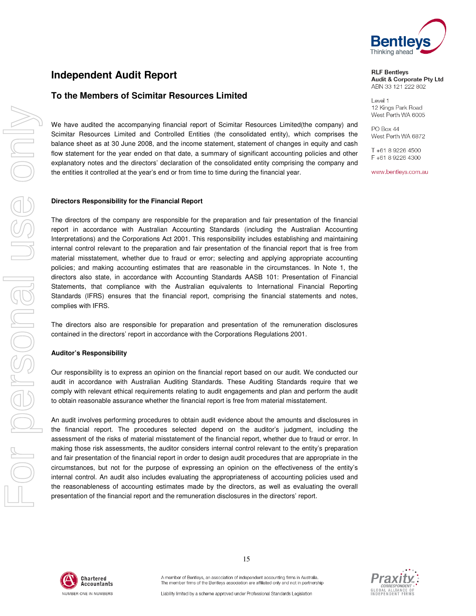

# **Independent Audit Report**

## **To the Members of Scimitar Resources Limited**

We have audited the accompanying financial report of Scimitar Resources Limited(the company) and Scimitar Resources Limited and Controlled Entities (the consolidated entity), which comprises the balance sheet as at 30 June 2008, and the income statement, statement of changes in equity and cash flow statement for the year ended on that date, a summary of significant accounting policies and other explanatory notes and the directors' declaration of the consolidated entity comprising the company and the entities it controlled at the year's end or from time to time during the financial year.

#### **Directors Responsibility for the Financial Report**

The directors of the company are responsible for the preparation and fair presentation of the financial report in accordance with Australian Accounting Standards (including the Australian Accounting Interpretations) and the Corporations Act 2001. This responsibility includes establishing and maintaining internal control relevant to the preparation and fair presentation of the financial report that is free from material misstatement, whether due to fraud or error; selecting and applying appropriate accounting policies; and making accounting estimates that are reasonable in the circumstances. In Note 1, the directors also state, in accordance with Accounting Standards AASB 101: Presentation of Financial Statements, that compliance with the Australian equivalents to International Financial Reporting Standards (IFRS) ensures that the financial report, comprising the financial statements and notes, complies with IFRS.

The directors also are responsible for preparation and presentation of the remuneration disclosures contained in the directors' report in accordance with the Corporations Regulations 2001.

#### **Auditor's Responsibility**

Our responsibility is to express an opinion on the financial report based on our audit. We conducted our audit in accordance with Australian Auditing Standards. These Auditing Standards require that we comply with relevant ethical requirements relating to audit engagements and plan and perform the audit to obtain reasonable assurance whether the financial report is free from material misstatement.

An audit involves performing procedures to obtain audit evidence about the amounts and disclosures in the financial report. The procedures selected depend on the auditor's judgment, including the assessment of the risks of material misstatement of the financial report, whether due to fraud or error. In making those risk assessments, the auditor considers internal control relevant to the entity's preparation and fair presentation of the financial report in order to design audit procedures that are appropriate in the circumstances, but not for the purpose of expressing an opinion on the effectiveness of the entity's internal control. An audit also includes evaluating the appropriateness of accounting policies used and the reasonableness of accounting estimates made by the directors, as well as evaluating the overall presentation of the financial report and the remuneration disclosures in the directors' report.



Level 1 12 Kings Park Road West Perth WA 6005

PO Box 44 West Perth WA 6872

T+61892264500 F +61 8 9226 4300

www.bentleys.com.au



A member of Bentleys, an association of independent accounting firms in Australia. The member firms of the Bentleys association are affiliated only and not in partnership

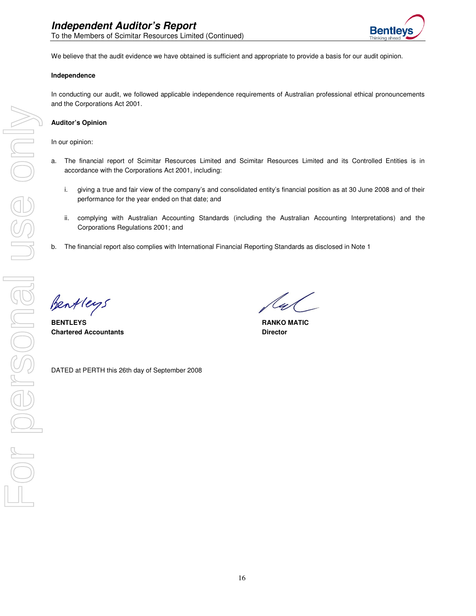

We believe that the audit evidence we have obtained is sufficient and appropriate to provide a basis for our audit opinion.

#### **Independence**

In conducting our audit, we followed applicable independence requirements of Australian professional ethical pronouncements and the Corporations Act 2001.

#### **Auditor's Opinion**

In our opinion:

- a. The financial report of Scimitar Resources Limited and Scimitar Resources Limited and its Controlled Entities is in accordance with the Corporations Act 2001, including:
	- i. giving a true and fair view of the company's and consolidated entity's financial position as at 30 June 2008 and of their performance for the year ended on that date; and
	- ii. complying with Australian Accounting Standards (including the Australian Accounting Interpretations) and the Corporations Regulations 2001; and
- b. The financial report also complies with International Financial Reporting Standards as disclosed in Note 1

Bentleys

**Chartered Accountants Director Director** 

**BENTLEYS BENTLEYS** 

DATED at PERTH this 26th day of September 2008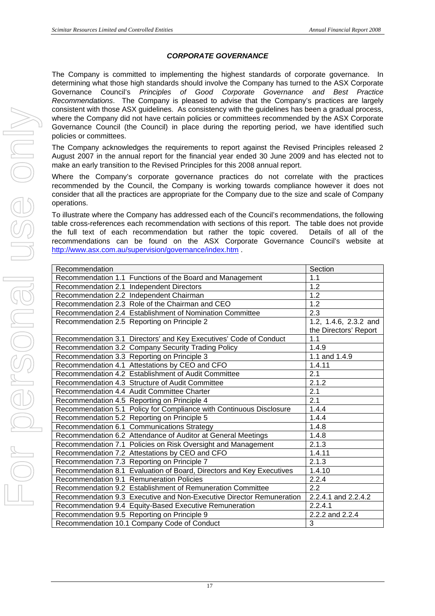## *CORPORATE GOVERNANCE*

The Company is committed to implementing the highest standards of corporate governance. In determining what those high standards should involve the Company has turned to the ASX Corporate Governance Council's *Principles of Good Corporate Governance and Best Practice Recommendations*. The Company is pleased to advise that the Company's practices are largely consistent with those ASX guidelines. As consistency with the guidelines has been a gradual process, where the Company did not have certain policies or committees recommended by the ASX Corporate Governance Council (the Council) in place during the reporting period, we have identified such policies or committees.

The Company acknowledges the requirements to report against the Revised Principles released 2 August 2007 in the annual report for the financial year ended 30 June 2009 and has elected not to make an early transition to the Revised Principles for this 2008 annual report.

Where the Company's corporate governance practices do not correlate with the practices recommended by the Council, the Company is working towards compliance however it does not consider that all the practices are appropriate for the Company due to the size and scale of Company operations.

To illustrate where the Company has addressed each of the Council's recommendations, the following table cross-references each recommendation with sections of this report. The table does not provide the full text of each recommendation but rather the topic covered. Details of all of the recommendations can be found on the ASX Corporate Governance Council's website at http://www.asx.com.au/supervision/governance/index.htm .

| Recommendation                                                       | Section               |
|----------------------------------------------------------------------|-----------------------|
| Recommendation 1.1 Functions of the Board and Management             | 1.1                   |
| Recommendation 2.1 Independent Directors                             | 1.2                   |
| Recommendation 2.2 Independent Chairman                              | 1.2                   |
| Recommendation 2.3 Role of the Chairman and CEO                      | 1.2                   |
| Recommendation 2.4 Establishment of Nomination Committee             | 2.3                   |
| Recommendation 2.5 Reporting on Principle 2                          | 1.2, 1.4.6, 2.3.2 and |
|                                                                      | the Directors' Report |
| Recommendation 3.1 Directors' and Key Executives' Code of Conduct    | 1.1                   |
| Recommendation 3.2 Company Security Trading Policy                   | 1.4.9                 |
| Recommendation 3.3 Reporting on Principle 3                          | 1.1 and 1.4.9         |
| Recommendation 4.1 Attestations by CEO and CFO                       | 1.4.11                |
| Recommendation 4.2 Establishment of Audit Committee                  | 2.1                   |
| Recommendation 4.3 Structure of Audit Committee                      | 2.1.2                 |
| Recommendation 4.4 Audit Committee Charter                           | 2.1                   |
| Recommendation 4.5 Reporting on Principle 4                          | 2.1                   |
| Recommendation 5.1 Policy for Compliance with Continuous Disclosure  | 1.4.4                 |
| Recommendation 5.2 Reporting on Principle 5                          | 1.4.4                 |
| Recommendation 6.1 Communications Strategy                           | 1.4.8                 |
| Recommendation 6.2 Attendance of Auditor at General Meetings         | 1.4.8                 |
| Recommendation 7.1 Policies on Risk Oversight and Management         | 2.1.3                 |
| Recommendation 7.2 Attestations by CEO and CFO                       | 1.4.11                |
| Recommendation 7.3 Reporting on Principle 7                          | 2.1.3                 |
| Recommendation 8.1 Evaluation of Board, Directors and Key Executives | 1.4.10                |
| Recommendation 9.1 Remuneration Policies                             | 2.2.4                 |
| Recommendation 9.2 Establishment of Remuneration Committee           | 2.2                   |
| Recommendation 9.3 Executive and Non-Executive Director Remuneration | 2.2.4.1 and 2.2.4.2   |
| Recommendation 9.4 Equity-Based Executive Remuneration               | 2.2.4.1               |
| Recommendation 9.5 Reporting on Principle 9                          | 2.2.2 and 2.2.4       |
| Recommendation 10.1 Company Code of Conduct                          | 3                     |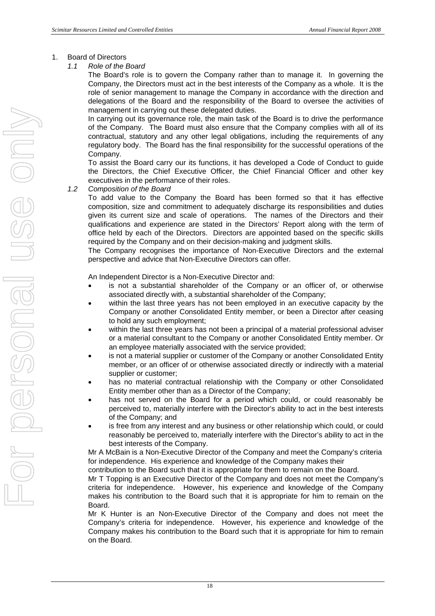- 1. Board of Directors
	- *1.1 Role of the Board*

The Board's role is to govern the Company rather than to manage it. In governing the Company, the Directors must act in the best interests of the Company as a whole. It is the role of senior management to manage the Company in accordance with the direction and delegations of the Board and the responsibility of the Board to oversee the activities of management in carrying out these delegated duties.

In carrying out its governance role, the main task of the Board is to drive the performance of the Company. The Board must also ensure that the Company complies with all of its contractual, statutory and any other legal obligations, including the requirements of any regulatory body. The Board has the final responsibility for the successful operations of the Company.

To assist the Board carry our its functions, it has developed a Code of Conduct to guide the Directors, the Chief Executive Officer, the Chief Financial Officer and other key executives in the performance of their roles.

# *1.2 Composition of the Board*

To add value to the Company the Board has been formed so that it has effective composition, size and commitment to adequately discharge its responsibilities and duties given its current size and scale of operations. The names of the Directors and their qualifications and experience are stated in the Directors' Report along with the term of office held by each of the Directors. Directors are appointed based on the specific skills required by the Company and on their decision-making and judgment skills.

The Company recognises the importance of Non-Executive Directors and the external perspective and advice that Non-Executive Directors can offer.

An Independent Director is a Non-Executive Director and:

- is not a substantial shareholder of the Company or an officer of, or otherwise associated directly with, a substantial shareholder of the Company;
- within the last three years has not been employed in an executive capacity by the Company or another Consolidated Entity member, or been a Director after ceasing to hold any such employment;
- within the last three years has not been a principal of a material professional adviser or a material consultant to the Company or another Consolidated Entity member. Or an employee materially associated with the service provided;
- is not a material supplier or customer of the Company or another Consolidated Entity member, or an officer of or otherwise associated directly or indirectly with a material supplier or customer;
- has no material contractual relationship with the Company or other Consolidated Entity member other than as a Director of the Company;
- has not served on the Board for a period which could, or could reasonably be perceived to, materially interfere with the Director's ability to act in the best interests of the Company; and
- is free from any interest and any business or other relationship which could, or could reasonably be perceived to, materially interfere with the Director's ability to act in the best interests of the Company.

Mr A McBain is a Non-Executive Director of the Company and meet the Company's criteria for independence. His experience and knowledge of the Company makes their

contribution to the Board such that it is appropriate for them to remain on the Board.

Mr T Topping is an Executive Director of the Company and does not meet the Company's criteria for independence. However, his experience and knowledge of the Company makes his contribution to the Board such that it is appropriate for him to remain on the **Board** 

Mr K Hunter is an Non-Executive Director of the Company and does not meet the Company's criteria for independence. However, his experience and knowledge of the Company makes his contribution to the Board such that it is appropriate for him to remain on the Board.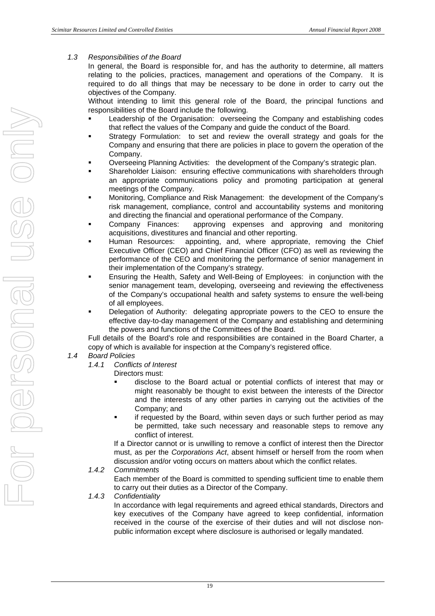## *1.3 Responsibilities of the Board*

In general, the Board is responsible for, and has the authority to determine, all matters relating to the policies, practices, management and operations of the Company. It is required to do all things that may be necessary to be done in order to carry out the objectives of the Company.

Without intending to limit this general role of the Board, the principal functions and responsibilities of the Board include the following.

- Leadership of the Organisation: overseeing the Company and establishing codes that reflect the values of the Company and guide the conduct of the Board.
- Strategy Formulation: to set and review the overall strategy and goals for the Company and ensuring that there are policies in place to govern the operation of the Company.
- Overseeing Planning Activities: the development of the Company's strategic plan.
- Shareholder Liaison: ensuring effective communications with shareholders through an appropriate communications policy and promoting participation at general meetings of the Company.
- Monitoring, Compliance and Risk Management: the development of the Company's risk management, compliance, control and accountability systems and monitoring and directing the financial and operational performance of the Company.
- Company Finances: approving expenses and approving and monitoring acquisitions, divestitures and financial and other reporting.
- Human Resources: appointing, and, where appropriate, removing the Chief Executive Officer (CEO) and Chief Financial Officer (CFO) as well as reviewing the performance of the CEO and monitoring the performance of senior management in their implementation of the Company's strategy.
- Ensuring the Health, Safety and Well-Being of Employees: in conjunction with the senior management team, developing, overseeing and reviewing the effectiveness of the Company's occupational health and safety systems to ensure the well-being of all employees.
- Delegation of Authority: delegating appropriate powers to the CEO to ensure the effective day-to-day management of the Company and establishing and determining the powers and functions of the Committees of the Board.

Full details of the Board's role and responsibilities are contained in the Board Charter, a copy of which is available for inspection at the Company's registered office.

## *1.4 Board Policies*

*1.4.1 Conflicts of Interest* 

Directors must:

- disclose to the Board actual or potential conflicts of interest that may or might reasonably be thought to exist between the interests of the Director and the interests of any other parties in carrying out the activities of the Company; and
- if requested by the Board, within seven days or such further period as may be permitted, take such necessary and reasonable steps to remove any conflict of interest.

If a Director cannot or is unwilling to remove a conflict of interest then the Director must, as per the *Corporations Act*, absent himself or herself from the room when discussion and/or voting occurs on matters about which the conflict relates.

## *1.4.2 Commitments*

Each member of the Board is committed to spending sufficient time to enable them to carry out their duties as a Director of the Company.

## *1.4.3 Confidentiality*

In accordance with legal requirements and agreed ethical standards, Directors and key executives of the Company have agreed to keep confidential, information received in the course of the exercise of their duties and will not disclose nonpublic information except where disclosure is authorised or legally mandated.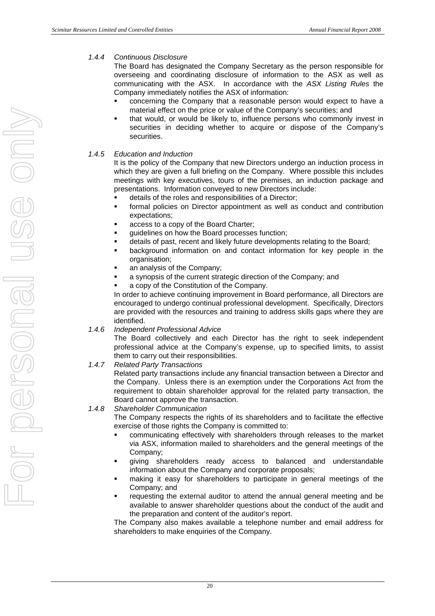## *1.4.4 Continuous Disclosure*

The Board has designated the Company Secretary as the person responsible for overseeing and coordinating disclosure of information to the ASX as well as communicating with the ASX. In accordance with the *ASX Listing Rules* the Company immediately notifies the ASX of information:

- concerning the Company that a reasonable person would expect to have a material effect on the price or value of the Company's securities; and
- that would, or would be likely to, influence persons who commonly invest in securities in deciding whether to acquire or dispose of the Company's securities.

# *1.4.5 Education and Induction*

It is the policy of the Company that new Directors undergo an induction process in which they are given a full briefing on the Company. Where possible this includes meetings with key executives, tours of the premises, an induction package and presentations. Information conveyed to new Directors include:

- details of the roles and responsibilities of a Director;
- formal policies on Director appointment as well as conduct and contribution expectations;
- access to a copy of the Board Charter;
- guidelines on how the Board processes function;
- details of past, recent and likely future developments relating to the Board;
- background information on and contact information for key people in the organisation;
- an analysis of the Company;
- a synopsis of the current strategic direction of the Company; and
- a copy of the Constitution of the Company.

In order to achieve continuing improvement in Board performance, all Directors are encouraged to undergo continual professional development. Specifically, Directors are provided with the resources and training to address skills gaps where they are identified.

## *1.4.6 Independent Professional Advice*

The Board collectively and each Director has the right to seek independent professional advice at the Company's expense, up to specified limits, to assist them to carry out their responsibilities.

## *1.4.7 Related Party Transactions*

Related party transactions include any financial transaction between a Director and the Company. Unless there is an exemption under the Corporations Act from the requirement to obtain shareholder approval for the related party transaction, the Board cannot approve the transaction.

## *1.4.8 Shareholder Communication*

The Company respects the rights of its shareholders and to facilitate the effective exercise of those rights the Company is committed to:

- communicating effectively with shareholders through releases to the market via ASX, information mailed to shareholders and the general meetings of the Company;
- giving shareholders ready access to balanced and understandable information about the Company and corporate proposals;
- making it easy for shareholders to participate in general meetings of the Company; and
- requesting the external auditor to attend the annual general meeting and be available to answer shareholder questions about the conduct of the audit and the preparation and content of the auditor's report.

The Company also makes available a telephone number and email address for shareholders to make enquiries of the Company.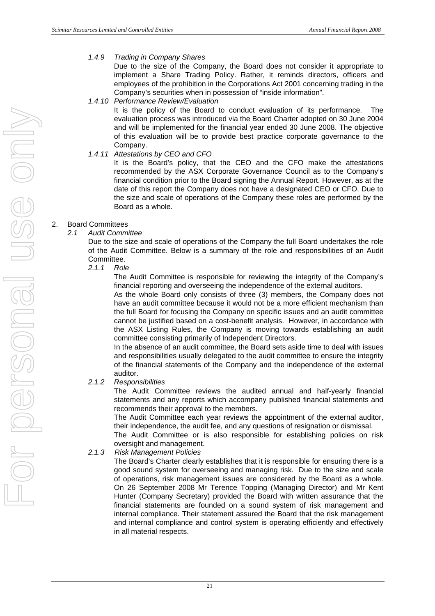## *1.4.9 Trading in Company Shares*

Due to the size of the Company, the Board does not consider it appropriate to implement a Share Trading Policy. Rather, it reminds directors, officers and employees of the prohibition in the Corporations Act 2001 concerning trading in the Company's securities when in possession of "inside information".

## *1.4.10 Performance Review/Evaluation*

It is the policy of the Board to conduct evaluation of its performance. The evaluation process was introduced via the Board Charter adopted on 30 June 2004 and will be implemented for the financial year ended 30 June 2008. The objective of this evaluation will be to provide best practice corporate governance to the Company.

## *1.4.11 Attestations by CEO and CFO*

It is the Board's policy, that the CEO and the CFO make the attestations recommended by the ASX Corporate Governance Council as to the Company's financial condition prior to the Board signing the Annual Report. However, as at the date of this report the Company does not have a designated CEO or CFO. Due to the size and scale of operations of the Company these roles are performed by the Board as a whole.

# 2. Board Committees

# *2.1 Audit Committee*

Due to the size and scale of operations of the Company the full Board undertakes the role of the Audit Committee. Below is a summary of the role and responsibilities of an Audit Committee.

*2.1.1 Role* 

The Audit Committee is responsible for reviewing the integrity of the Company's financial reporting and overseeing the independence of the external auditors.

As the whole Board only consists of three (3) members, the Company does not have an audit committee because it would not be a more efficient mechanism than the full Board for focusing the Company on specific issues and an audit committee cannot be justified based on a cost-benefit analysis. However, in accordance with the ASX Listing Rules, the Company is moving towards establishing an audit committee consisting primarily of Independent Directors.

In the absence of an audit committee, the Board sets aside time to deal with issues and responsibilities usually delegated to the audit committee to ensure the integrity of the financial statements of the Company and the independence of the external auditor.

## *2.1.2 Responsibilities*

The Audit Committee reviews the audited annual and half-yearly financial statements and any reports which accompany published financial statements and recommends their approval to the members.

The Audit Committee each year reviews the appointment of the external auditor, their independence, the audit fee, and any questions of resignation or dismissal.

The Audit Committee or is also responsible for establishing policies on risk oversight and management.

## *2.1.3 Risk Management Policies*

The Board's Charter clearly establishes that it is responsible for ensuring there is a good sound system for overseeing and managing risk. Due to the size and scale of operations, risk management issues are considered by the Board as a whole. On 26 September 2008 Mr Terence Topping (Managing Director) and Mr Kent Hunter (Company Secretary) provided the Board with written assurance that the financial statements are founded on a sound system of risk management and internal compliance. Their statement assured the Board that the risk management and internal compliance and control system is operating efficiently and effectively in all material respects.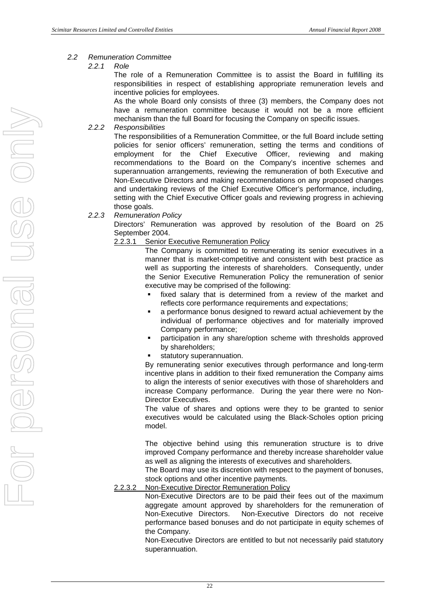#### *2.2 Remuneration Committee*

#### *2.2.1 Role*

The role of a Remuneration Committee is to assist the Board in fulfilling its responsibilities in respect of establishing appropriate remuneration levels and incentive policies for employees.

As the whole Board only consists of three (3) members, the Company does not have a remuneration committee because it would not be a more efficient mechanism than the full Board for focusing the Company on specific issues.

*2.2.2 Responsibilities* 

The responsibilities of a Remuneration Committee, or the full Board include setting policies for senior officers' remuneration, setting the terms and conditions of employment for the Chief Executive Officer, reviewing and making recommendations to the Board on the Company's incentive schemes and superannuation arrangements, reviewing the remuneration of both Executive and Non-Executive Directors and making recommendations on any proposed changes and undertaking reviews of the Chief Executive Officer's performance, including, setting with the Chief Executive Officer goals and reviewing progress in achieving those goals.

*2.2.3 Remuneration Policy* 

Directors' Remuneration was approved by resolution of the Board on 25 September 2004.

#### 2.2.3.1 Senior Executive Remuneration Policy

The Company is committed to remunerating its senior executives in a manner that is market-competitive and consistent with best practice as well as supporting the interests of shareholders. Consequently, under the Senior Executive Remuneration Policy the remuneration of senior executive may be comprised of the following:

- fixed salary that is determined from a review of the market and reflects core performance requirements and expectations;
- a performance bonus designed to reward actual achievement by the individual of performance objectives and for materially improved Company performance;
- participation in any share/option scheme with thresholds approved by shareholders;
- statutory superannuation.

By remunerating senior executives through performance and long-term incentive plans in addition to their fixed remuneration the Company aims to align the interests of senior executives with those of shareholders and increase Company performance. During the year there were no Non-Director Executives.

The value of shares and options were they to be granted to senior executives would be calculated using the Black-Scholes option pricing model.

The objective behind using this remuneration structure is to drive improved Company performance and thereby increase shareholder value as well as aligning the interests of executives and shareholders.

The Board may use its discretion with respect to the payment of bonuses, stock options and other incentive payments.

## 2.2.3.2 Non-Executive Director Remuneration Policy

Non-Executive Directors are to be paid their fees out of the maximum aggregate amount approved by shareholders for the remuneration of Non-Executive Directors. Non-Executive Directors do not receive performance based bonuses and do not participate in equity schemes of the Company.

Non-Executive Directors are entitled to but not necessarily paid statutory superannuation.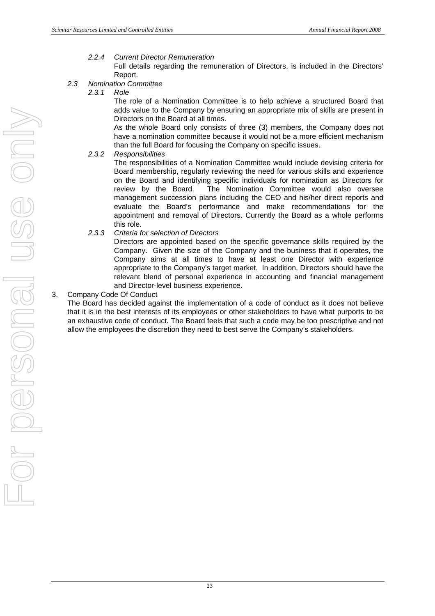#### *2.2.4 Current Director Remuneration*

Full details regarding the remuneration of Directors, is included in the Directors' Report.

## *2.3 Nomination Committee*

*2.3.1 Role* 

The role of a Nomination Committee is to help achieve a structured Board that adds value to the Company by ensuring an appropriate mix of skills are present in Directors on the Board at all times.

As the whole Board only consists of three (3) members, the Company does not have a nomination committee because it would not be a more efficient mechanism than the full Board for focusing the Company on specific issues.

## *2.3.2 Responsibilities*

The responsibilities of a Nomination Committee would include devising criteria for Board membership, regularly reviewing the need for various skills and experience on the Board and identifying specific individuals for nomination as Directors for review by the Board. The Nomination Committee would also oversee management succession plans including the CEO and his/her direct reports and evaluate the Board's performance and make recommendations for the appointment and removal of Directors. Currently the Board as a whole performs this role.

*2.3.3 Criteria for selection of Directors* 

Directors are appointed based on the specific governance skills required by the Company. Given the size of the Company and the business that it operates, the Company aims at all times to have at least one Director with experience appropriate to the Company's target market. In addition, Directors should have the relevant blend of personal experience in accounting and financial management and Director-level business experience.

## 3. Company Code Of Conduct

The Board has decided against the implementation of a code of conduct as it does not believe that it is in the best interests of its employees or other stakeholders to have what purports to be an exhaustive code of conduct. The Board feels that such a code may be too prescriptive and not allow the employees the discretion they need to best serve the Company's stakeholders.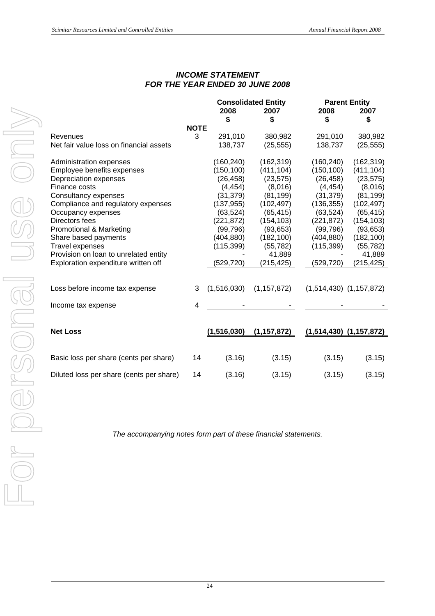# *INCOME STATEMENT FOR THE YEAR ENDED 30 JUNE 2008*

|                                                                                                                                                                                                                                                                                                                                                                    |             | 2008<br>\$                                                                                                                                                     | <b>Consolidated Entity</b><br>2007<br>\$                                                                                                                               | 2008<br>\$                                                                                                                                                    | <b>Parent Entity</b><br>2007<br>\$                                                                                                                                     |
|--------------------------------------------------------------------------------------------------------------------------------------------------------------------------------------------------------------------------------------------------------------------------------------------------------------------------------------------------------------------|-------------|----------------------------------------------------------------------------------------------------------------------------------------------------------------|------------------------------------------------------------------------------------------------------------------------------------------------------------------------|---------------------------------------------------------------------------------------------------------------------------------------------------------------|------------------------------------------------------------------------------------------------------------------------------------------------------------------------|
|                                                                                                                                                                                                                                                                                                                                                                    | <b>NOTE</b> |                                                                                                                                                                |                                                                                                                                                                        |                                                                                                                                                               |                                                                                                                                                                        |
| Revenues<br>Net fair value loss on financial assets                                                                                                                                                                                                                                                                                                                | 3           | 291,010<br>138,737                                                                                                                                             | 380,982<br>(25, 555)                                                                                                                                                   | 291,010<br>138,737                                                                                                                                            | 380,982<br>(25, 555)                                                                                                                                                   |
| Administration expenses<br>Employee benefits expenses<br>Depreciation expenses<br>Finance costs<br>Consultancy expenses<br>Compliance and regulatory expenses<br>Occupancy expenses<br>Directors fees<br>Promotional & Marketing<br>Share based payments<br><b>Travel expenses</b><br>Provision on loan to unrelated entity<br>Exploration expenditure written off |             | (160, 240)<br>(150, 100)<br>(26, 458)<br>(4, 454)<br>(31, 379)<br>(137, 955)<br>(63, 524)<br>(221, 872)<br>(99, 796)<br>(404, 880)<br>(115, 399)<br>(529, 720) | (162, 319)<br>(411, 104)<br>(23, 575)<br>(8,016)<br>(81, 199)<br>(102, 497)<br>(65, 415)<br>(154, 103)<br>(93, 653)<br>(182, 100)<br>(55, 782)<br>41,889<br>(215, 425) | (160, 240)<br>(150, 100)<br>(26, 458)<br>(4, 454)<br>(31, 379)<br>(136, 355)<br>(63, 524)<br>(221, 872)<br>(99, 796)<br>(404, 880)<br>(115, 399)<br>(529,720) | (162, 319)<br>(411, 104)<br>(23, 575)<br>(8,016)<br>(81, 199)<br>(102, 497)<br>(65, 415)<br>(154, 103)<br>(93, 653)<br>(182, 100)<br>(55, 782)<br>41,889<br>(215, 425) |
| Loss before income tax expense                                                                                                                                                                                                                                                                                                                                     | 3           | (1,516,030)                                                                                                                                                    | (1, 157, 872)                                                                                                                                                          |                                                                                                                                                               | $(1,514,430)$ $(1,157,872)$                                                                                                                                            |
| Income tax expense                                                                                                                                                                                                                                                                                                                                                 | 4           |                                                                                                                                                                |                                                                                                                                                                        |                                                                                                                                                               |                                                                                                                                                                        |
| <b>Net Loss</b>                                                                                                                                                                                                                                                                                                                                                    |             | (1,516,030)                                                                                                                                                    | (1, 157, 872)                                                                                                                                                          |                                                                                                                                                               | $(1,514,430)$ $(1,157,872)$                                                                                                                                            |
| Basic loss per share (cents per share)                                                                                                                                                                                                                                                                                                                             | 14          | (3.16)                                                                                                                                                         | (3.15)                                                                                                                                                                 | (3.15)                                                                                                                                                        | (3.15)                                                                                                                                                                 |
| Diluted loss per share (cents per share)                                                                                                                                                                                                                                                                                                                           | 14          | (3.16)                                                                                                                                                         | (3.15)                                                                                                                                                                 | (3.15)                                                                                                                                                        | (3.15)                                                                                                                                                                 |

*The accompanying notes form part of these financial statements.*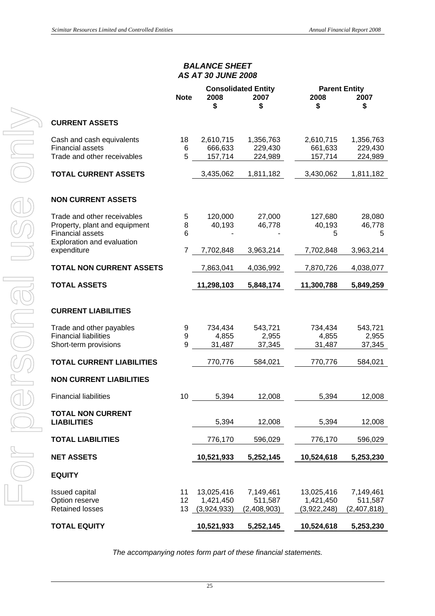# *BALANCE SHEET AS AT 30 JUNE 2008*

|                                                       |                | <b>Consolidated Entity</b> |             | <b>Parent Entity</b> |             |  |
|-------------------------------------------------------|----------------|----------------------------|-------------|----------------------|-------------|--|
|                                                       | <b>Note</b>    | 2008<br>\$                 | 2007<br>\$  | 2008<br>\$           | 2007<br>\$  |  |
|                                                       |                |                            |             |                      |             |  |
| <b>CURRENT ASSETS</b>                                 |                |                            |             |                      |             |  |
| Cash and cash equivalents                             | 18             | 2,610,715                  | 1,356,763   | 2,610,715            | 1,356,763   |  |
| <b>Financial assets</b>                               | 6              | 666,633                    | 229,430     | 661,633              | 229,430     |  |
| Trade and other receivables                           | 5              | 157,714                    | 224,989     | 157,714              | 224,989     |  |
| <b>TOTAL CURRENT ASSETS</b>                           |                | 3,435,062                  | 1,811,182   | 3,430,062            | 1,811,182   |  |
|                                                       |                |                            |             |                      |             |  |
| <b>NON CURRENT ASSETS</b>                             |                |                            |             |                      |             |  |
| Trade and other receivables                           | 5              | 120,000                    | 27,000      | 127,680              | 28,080      |  |
| Property, plant and equipment                         | 8              | 40,193                     | 46,778      | 40,193               | 46,778      |  |
| <b>Financial assets</b><br>Exploration and evaluation | 6              |                            |             | 5                    | 5           |  |
| expenditure                                           | $\overline{7}$ | 7,702,848                  | 3,963,214   | 7,702,848            | 3,963,214   |  |
| <b>TOTAL NON CURRENT ASSETS</b>                       |                | 7,863,041                  | 4,036,992   | 7,870,726            | 4,038,077   |  |
| <b>TOTAL ASSETS</b>                                   |                | 11,298,103                 | 5,848,174   | 11,300,788           | 5,849,259   |  |
|                                                       |                |                            |             |                      |             |  |
| <b>CURRENT LIABILITIES</b>                            |                |                            |             |                      |             |  |
| Trade and other payables                              | 9              | 734,434                    | 543,721     | 734,434              | 543,721     |  |
| <b>Financial liabilities</b>                          | 9              | 4,855                      | 2,955       | 4,855                | 2,955       |  |
| Short-term provisions                                 | 9              | 31,487                     | 37,345      | 31,487               | 37,345      |  |
| <b>TOTAL CURRENT LIABILITIES</b>                      |                | 770,776                    | 584,021     | 770,776              | 584,021     |  |
| <b>NON CURRENT LIABILITIES</b>                        |                |                            |             |                      |             |  |
| <b>Financial liabilities</b>                          | 10             | 5,394                      | 12,008      | 5,394                | 12,008      |  |
|                                                       |                |                            |             |                      |             |  |
| <b>TOTAL NON CURRENT</b><br><b>LIABILITIES</b>        |                | 5,394                      | 12,008      | 5,394                | 12,008      |  |
|                                                       |                |                            |             |                      |             |  |
| <b>TOTAL LIABILITIES</b>                              |                | 776,170                    | 596,029     | 776,170              | 596,029     |  |
| <b>NET ASSETS</b>                                     |                | 10,521,933                 | 5,252,145   | 10,524,618           | 5,253,230   |  |
| <b>EQUITY</b>                                         |                |                            |             |                      |             |  |
| <b>Issued capital</b>                                 | 11             | 13,025,416                 | 7,149,461   | 13,025,416           | 7,149,461   |  |
| Option reserve                                        | 12             | 1,421,450                  | 511,587     | 1,421,450            | 511,587     |  |
| <b>Retained losses</b>                                | 13             | (3,924,933)                | (2,408,903) | (3,922,248)          | (2,407,818) |  |
| <b>TOTAL EQUITY</b>                                   |                | 10,521,933                 | 5,252,145   | 10,524,618           | 5,253,230   |  |

*The accompanying notes form part of these financial statements.*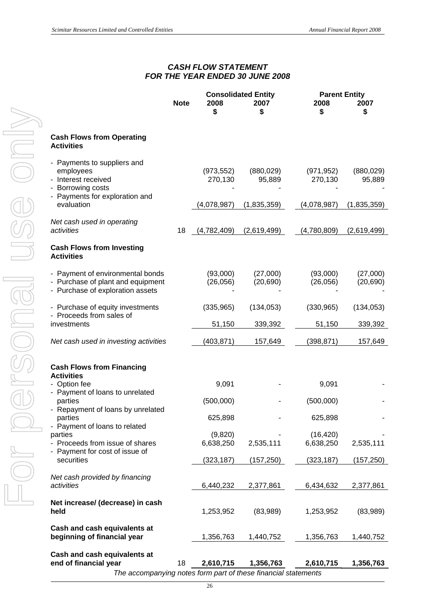# *CASH FLOW STATEMENT FOR THE YEAR ENDED 30 JUNE 2008*

|                                                                                                           |             |                       | <b>Consolidated Entity</b> |                        | <b>Parent Entity</b>  |
|-----------------------------------------------------------------------------------------------------------|-------------|-----------------------|----------------------------|------------------------|-----------------------|
|                                                                                                           | <b>Note</b> | 2008<br>2007          |                            | 2008                   | 2007                  |
|                                                                                                           |             | \$                    | \$                         | \$                     | \$                    |
| <b>Cash Flows from Operating</b><br><b>Activities</b>                                                     |             |                       |                            |                        |                       |
| - Payments to suppliers and<br>employees<br>Interest received<br>Borrowing costs                          |             | (973, 552)<br>270,130 | (880, 029)<br>95,889       | (971, 952)<br>270,130  | (880, 029)<br>95,889  |
| - Payments for exploration and<br>evaluation                                                              |             | (4,078,987)           | (1,835,359)                | (4,078,987)            | (1,835,359)           |
| Net cash used in operating<br>activities                                                                  | 18          | (4,782,409)           | (2,619,499)                | (4,780,809)            | (2,619,499)           |
| <b>Cash Flows from Investing</b><br><b>Activities</b>                                                     |             |                       |                            |                        |                       |
| - Payment of environmental bonds<br>- Purchase of plant and equipment<br>- Purchase of exploration assets |             | (93,000)<br>(26,056)  | (27,000)<br>(20, 690)      | (93,000)<br>(26, 056)  | (27,000)<br>(20, 690) |
| - Purchase of equity investments<br>- Proceeds from sales of                                              |             | (335, 965)            | (134, 053)                 | (330, 965)             | (134, 053)            |
| investments                                                                                               |             | 51,150                | 339,392                    | 51,150                 | 339,392               |
| Net cash used in investing activities                                                                     |             | (403,871)             | 157,649                    | (398, 871)             | 157,649               |
| <b>Cash Flows from Financing</b><br><b>Activities</b>                                                     |             |                       |                            |                        |                       |
| - Option fee<br>- Payment of loans to unrelated                                                           |             | 9,091                 |                            | 9,091                  |                       |
| parties<br>- Repayment of loans by unrelated                                                              |             | (500,000)             |                            | (500,000)              |                       |
| parties<br>- Payment of loans to related                                                                  |             | 625,898               |                            | 625,898                |                       |
| parties<br>- Proceeds from issue of shares<br>- Payment for cost of issue of                              |             | (9,820)<br>6,638,250  | 2,535,111                  | (16, 420)<br>6,638,250 | 2,535,111             |
| securities                                                                                                |             | (323, 187)            | (157, 250)                 | (323, 187)             | (157, 250)            |
| Net cash provided by financing<br>activities                                                              |             | 6,440,232             | 2,377,861                  | 6,434,632              | 2,377,861             |
| Net increase/ (decrease) in cash<br>held                                                                  |             | 1,253,952             | (83,989)                   | 1,253,952              | (83,989)              |
| Cash and cash equivalents at<br>beginning of financial year                                               |             | 1,356,763             | 1,440,752                  | 1,356,763              | 1,440,752             |
| Cash and cash equivalents at<br>end of financial year                                                     | 18          | 2,610,715             | 1,356,763                  | 2,610,715              | 1,356,763             |
| The accompanying notes form part of these financial statements                                            |             |                       |                            |                        |                       |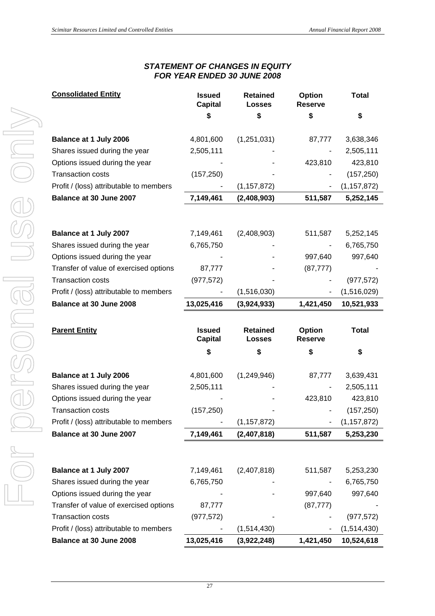# *STATEMENT OF CHANGES IN EQUITY FOR YEAR ENDED 30 JUNE 2008*

| <b>Consolidated Entity</b>                                      | <b>Issued</b><br><b>Capital</b> | <b>Retained</b><br><b>Losses</b> | Option<br><b>Reserve</b> | <b>Total</b>         |
|-----------------------------------------------------------------|---------------------------------|----------------------------------|--------------------------|----------------------|
|                                                                 | \$                              | \$                               | \$                       | \$                   |
| Balance at 1 July 2006                                          | 4,801,600                       | (1,251,031)                      | 87,777                   | 3,638,346            |
| Shares issued during the year                                   | 2,505,111                       |                                  |                          | 2,505,111            |
| Options issued during the year                                  |                                 |                                  | 423,810                  | 423,810              |
| <b>Transaction costs</b>                                        | (157, 250)                      |                                  |                          | (157, 250)           |
| Profit / (loss) attributable to members                         |                                 | (1, 157, 872)                    |                          | (1, 157, 872)        |
| Balance at 30 June 2007                                         | 7,149,461                       | (2,408,903)                      | 511,587                  | 5,252,145            |
|                                                                 | 7,149,461                       |                                  |                          |                      |
| Balance at 1 July 2007                                          |                                 | (2,408,903)                      | 511,587                  | 5,252,145            |
| Shares issued during the year<br>Options issued during the year | 6,765,750                       |                                  | 997,640                  | 6,765,750<br>997,640 |
| Transfer of value of exercised options                          | 87,777                          |                                  | (87, 777)                |                      |
| <b>Transaction costs</b>                                        | (977, 572)                      |                                  |                          | (977, 572)           |
| Profit / (loss) attributable to members                         |                                 | (1,516,030)                      |                          | (1,516,029)          |
| Balance at 30 June 2008                                         | 13,025,416                      | (3,924,933)                      | 1,421,450                | 10,521,933           |
|                                                                 |                                 |                                  |                          |                      |
|                                                                 |                                 |                                  |                          |                      |
| <b>Parent Entity</b>                                            | <b>Issued</b>                   | <b>Retained</b>                  | Option                   | <b>Total</b>         |
|                                                                 | <b>Capital</b>                  | <b>Losses</b>                    | <b>Reserve</b>           |                      |
|                                                                 | \$                              | \$                               | \$                       | \$                   |
| Balance at 1 July 2006                                          | 4,801,600                       | (1,249,946)                      | 87,777                   | 3,639,431            |
| Shares issued during the year                                   | 2,505,111                       |                                  |                          | 2,505,111            |
| Options issued during the year                                  |                                 |                                  | 423,810                  | 423,810              |
| <b>Transaction costs</b>                                        | (157, 250)                      |                                  |                          | (157, 250)           |
| Profit / (loss) attributable to members                         |                                 | (1, 157, 872)                    |                          | (1, 157, 872)        |
| Balance at 30 June 2007                                         | 7,149,461                       | (2,407,818)                      | 511,587                  | 5,253,230            |
|                                                                 |                                 |                                  |                          |                      |
| Balance at 1 July 2007                                          | 7,149,461                       | (2,407,818)                      | 511,587                  | 5,253,230            |
| Shares issued during the year                                   | 6,765,750                       |                                  |                          | 6,765,750            |
| Options issued during the year                                  |                                 |                                  | 997,640                  | 997,640              |
| Transfer of value of exercised options                          | 87,777                          |                                  | (87, 777)                |                      |
| <b>Transaction costs</b>                                        | (977, 572)                      |                                  |                          | (977, 572)           |
| Profit / (loss) attributable to members                         |                                 | (1,514,430)                      |                          | (1,514,430)          |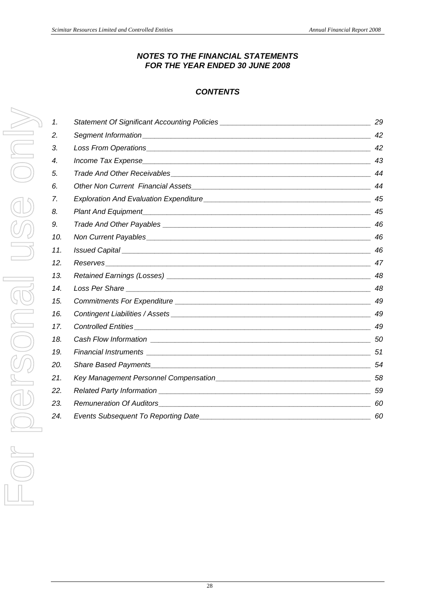# *NOTES TO THE FINANCIAL STATEMENTS FOR THE YEAR ENDED 30 JUNE 2008*

# *CONTENTS*

| 1.                 |                                                                                                                                                                                                                                      |    |
|--------------------|--------------------------------------------------------------------------------------------------------------------------------------------------------------------------------------------------------------------------------------|----|
| 2.                 |                                                                                                                                                                                                                                      |    |
| 3.                 |                                                                                                                                                                                                                                      |    |
| $\boldsymbol{4}$ . |                                                                                                                                                                                                                                      |    |
| 5.                 | Trade And Other Receivables 44                                                                                                                                                                                                       |    |
| 6.                 |                                                                                                                                                                                                                                      |    |
| 7.                 |                                                                                                                                                                                                                                      |    |
| 8.                 |                                                                                                                                                                                                                                      |    |
| 9.                 |                                                                                                                                                                                                                                      |    |
| 10.                |                                                                                                                                                                                                                                      |    |
| 11.                |                                                                                                                                                                                                                                      |    |
| 12.                |                                                                                                                                                                                                                                      |    |
| 13.                |                                                                                                                                                                                                                                      |    |
| 14.                |                                                                                                                                                                                                                                      |    |
| 15.                |                                                                                                                                                                                                                                      |    |
| 16.                |                                                                                                                                                                                                                                      | 49 |
| 17.                |                                                                                                                                                                                                                                      |    |
| 18.                |                                                                                                                                                                                                                                      |    |
| 19.                |                                                                                                                                                                                                                                      |    |
| 20.                | Share Based Payments                                                                                                                                                                                                                 |    |
| 21.                |                                                                                                                                                                                                                                      |    |
| 22.                |                                                                                                                                                                                                                                      |    |
| 23.                |                                                                                                                                                                                                                                      |    |
| 24.                | Events Subsequent To Reporting Date <b>Exercise Contract Contract Contract Contract Contract Contract Contract Contract Contract Contract Contract Contract Contract Contract Contract Contract Contract Contract Contract Contr</b> | 60 |
|                    |                                                                                                                                                                                                                                      |    |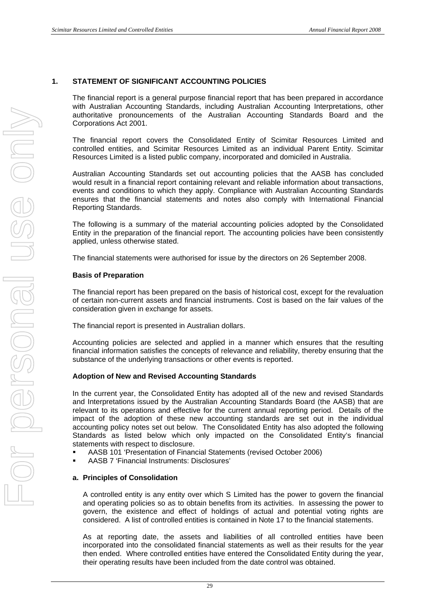## **1. STATEMENT OF SIGNIFICANT ACCOUNTING POLICIES**

The financial report is a general purpose financial report that has been prepared in accordance with Australian Accounting Standards, including Australian Accounting Interpretations, other authoritative pronouncements of the Australian Accounting Standards Board and the Corporations Act 2001.

The financial report covers the Consolidated Entity of Scimitar Resources Limited and controlled entities, and Scimitar Resources Limited as an individual Parent Entity. Scimitar Resources Limited is a listed public company, incorporated and domiciled in Australia.

Australian Accounting Standards set out accounting policies that the AASB has concluded would result in a financial report containing relevant and reliable information about transactions, events and conditions to which they apply. Compliance with Australian Accounting Standards ensures that the financial statements and notes also comply with International Financial Reporting Standards.

The following is a summary of the material accounting policies adopted by the Consolidated Entity in the preparation of the financial report. The accounting policies have been consistently applied, unless otherwise stated.

The financial statements were authorised for issue by the directors on 26 September 2008.

#### **Basis of Preparation**

The financial report has been prepared on the basis of historical cost, except for the revaluation of certain non-current assets and financial instruments. Cost is based on the fair values of the consideration given in exchange for assets.

The financial report is presented in Australian dollars.

Accounting policies are selected and applied in a manner which ensures that the resulting financial information satisfies the concepts of relevance and reliability, thereby ensuring that the substance of the underlying transactions or other events is reported.

## **Adoption of New and Revised Accounting Standards**

In the current year, the Consolidated Entity has adopted all of the new and revised Standards and Interpretations issued by the Australian Accounting Standards Board (the AASB) that are relevant to its operations and effective for the current annual reporting period. Details of the impact of the adoption of these new accounting standards are set out in the individual accounting policy notes set out below. The Consolidated Entity has also adopted the following Standards as listed below which only impacted on the Consolidated Entity's financial statements with respect to disclosure.

- AASB 101 'Presentation of Financial Statements (revised October 2006)
- AASB 7 'Financial Instruments: Disclosures'

#### **a. Principles of Consolidation**

A controlled entity is any entity over which S Limited has the power to govern the financial and operating policies so as to obtain benefits from its activities. In assessing the power to govern, the existence and effect of holdings of actual and potential voting rights are considered. A list of controlled entities is contained in Note 17 to the financial statements.

As at reporting date, the assets and liabilities of all controlled entities have been incorporated into the consolidated financial statements as well as their results for the year then ended. Where controlled entities have entered the Consolidated Entity during the year, their operating results have been included from the date control was obtained.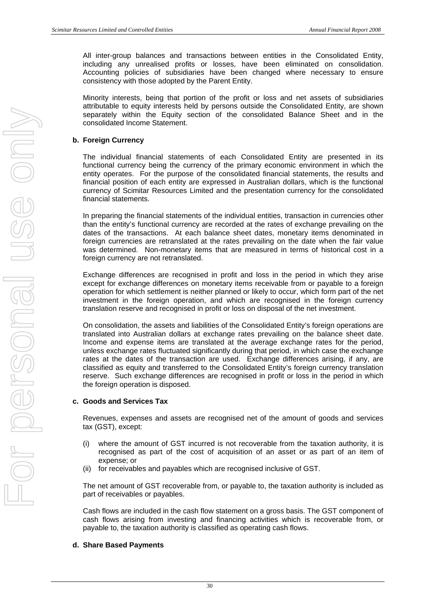All inter-group balances and transactions between entities in the Consolidated Entity, including any unrealised profits or losses, have been eliminated on consolidation. Accounting policies of subsidiaries have been changed where necessary to ensure consistency with those adopted by the Parent Entity.

Minority interests, being that portion of the profit or loss and net assets of subsidiaries attributable to equity interests held by persons outside the Consolidated Entity, are shown separately within the Equity section of the consolidated Balance Sheet and in the consolidated Income Statement.

## **b. Foreign Currency**

The individual financial statements of each Consolidated Entity are presented in its functional currency being the currency of the primary economic environment in which the entity operates. For the purpose of the consolidated financial statements, the results and financial position of each entity are expressed in Australian dollars, which is the functional currency of Scimitar Resources Limited and the presentation currency for the consolidated financial statements.

In preparing the financial statements of the individual entities, transaction in currencies other than the entity's functional currency are recorded at the rates of exchange prevailing on the dates of the transactions. At each balance sheet dates, monetary items denominated in foreign currencies are retranslated at the rates prevailing on the date when the fair value was determined. Non-monetary items that are measured in terms of historical cost in a foreign currency are not retranslated.

Exchange differences are recognised in profit and loss in the period in which they arise except for exchange differences on monetary items receivable from or payable to a foreign operation for which settlement is neither planned or likely to occur, which form part of the net investment in the foreign operation, and which are recognised in the foreign currency translation reserve and recognised in profit or loss on disposal of the net investment.

On consolidation, the assets and liabilities of the Consolidated Entity's foreign operations are translated into Australian dollars at exchange rates prevailing on the balance sheet date. Income and expense items are translated at the average exchange rates for the period, unless exchange rates fluctuated significantly during that period, in which case the exchange rates at the dates of the transaction are used. Exchange differences arising, if any, are classified as equity and transferred to the Consolidated Entity's foreign currency translation reserve. Such exchange differences are recognised in profit or loss in the period in which the foreign operation is disposed.

## **c. Goods and Services Tax**

Revenues, expenses and assets are recognised net of the amount of goods and services tax (GST), except:

- (i) where the amount of GST incurred is not recoverable from the taxation authority, it is recognised as part of the cost of acquisition of an asset or as part of an item of expense; or
- (ii) for receivables and payables which are recognised inclusive of GST.

The net amount of GST recoverable from, or payable to, the taxation authority is included as part of receivables or payables.

Cash flows are included in the cash flow statement on a gross basis. The GST component of cash flows arising from investing and financing activities which is recoverable from, or payable to, the taxation authority is classified as operating cash flows.

# **d. Share Based Payments**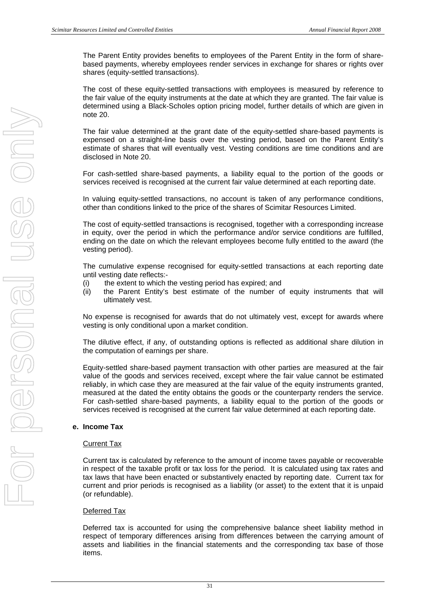The Parent Entity provides benefits to employees of the Parent Entity in the form of sharebased payments, whereby employees render services in exchange for shares or rights over shares (equity-settled transactions).

The cost of these equity-settled transactions with employees is measured by reference to the fair value of the equity instruments at the date at which they are granted. The fair value is determined using a Black-Scholes option pricing model, further details of which are given in note 20.

The fair value determined at the grant date of the equity-settled share-based payments is expensed on a straight-line basis over the vesting period, based on the Parent Entity's estimate of shares that will eventually vest. Vesting conditions are time conditions and are disclosed in Note 20.

For cash-settled share-based payments, a liability equal to the portion of the goods or services received is recognised at the current fair value determined at each reporting date.

In valuing equity-settled transactions, no account is taken of any performance conditions, other than conditions linked to the price of the shares of Scimitar Resources Limited.

The cost of equity-settled transactions is recognised, together with a corresponding increase in equity, over the period in which the performance and/or service conditions are fulfilled, ending on the date on which the relevant employees become fully entitled to the award (the vesting period).

The cumulative expense recognised for equity-settled transactions at each reporting date until vesting date reflects:-

- (i) the extent to which the vesting period has expired; and
- (ii) the Parent Entity's best estimate of the number of equity instruments that will ultimately vest.

No expense is recognised for awards that do not ultimately vest, except for awards where vesting is only conditional upon a market condition.

The dilutive effect, if any, of outstanding options is reflected as additional share dilution in the computation of earnings per share.

Equity-settled share-based payment transaction with other parties are measured at the fair value of the goods and services received, except where the fair value cannot be estimated reliably, in which case they are measured at the fair value of the equity instruments granted, measured at the dated the entity obtains the goods or the counterparty renders the service. For cash-settled share-based payments, a liability equal to the portion of the goods or services received is recognised at the current fair value determined at each reporting date.

#### **e. Income Tax**

#### Current Tax

Current tax is calculated by reference to the amount of income taxes payable or recoverable in respect of the taxable profit or tax loss for the period. It is calculated using tax rates and tax laws that have been enacted or substantively enacted by reporting date. Current tax for current and prior periods is recognised as a liability (or asset) to the extent that it is unpaid (or refundable).

#### Deferred Tax

Deferred tax is accounted for using the comprehensive balance sheet liability method in respect of temporary differences arising from differences between the carrying amount of assets and liabilities in the financial statements and the corresponding tax base of those items.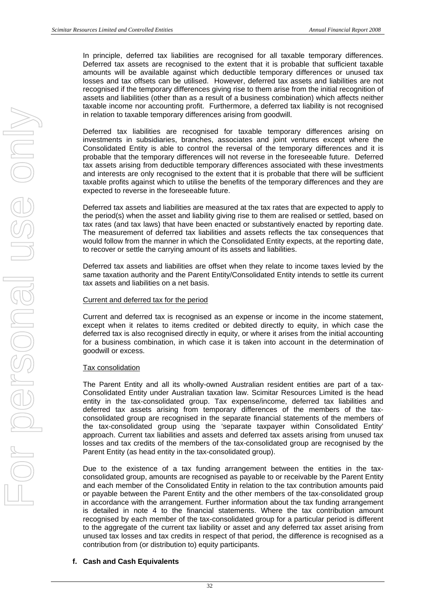In principle, deferred tax liabilities are recognised for all taxable temporary differences. Deferred tax assets are recognised to the extent that it is probable that sufficient taxable amounts will be available against which deductible temporary differences or unused tax losses and tax offsets can be utilised. However, deferred tax assets and liabilities are not recognised if the temporary differences giving rise to them arise from the initial recognition of assets and liabilities (other than as a result of a business combination) which affects neither taxable income nor accounting profit. Furthermore, a deferred tax liability is not recognised in relation to taxable temporary differences arising from goodwill.

Deferred tax liabilities are recognised for taxable temporary differences arising on investments in subsidiaries, branches, associates and joint ventures except where the Consolidated Entity is able to control the reversal of the temporary differences and it is probable that the temporary differences will not reverse in the foreseeable future. Deferred tax assets arising from deductible temporary differences associated with these investments and interests are only recognised to the extent that it is probable that there will be sufficient taxable profits against which to utilise the benefits of the temporary differences and they are expected to reverse in the foreseeable future.

Deferred tax assets and liabilities are measured at the tax rates that are expected to apply to the period(s) when the asset and liability giving rise to them are realised or settled, based on tax rates (and tax laws) that have been enacted or substantively enacted by reporting date. The measurement of deferred tax liabilities and assets reflects the tax consequences that would follow from the manner in which the Consolidated Entity expects, at the reporting date, to recover or settle the carrying amount of its assets and liabilities.

Deferred tax assets and liabilities are offset when they relate to income taxes levied by the same taxation authority and the Parent Entity/Consolidated Entity intends to settle its current tax assets and liabilities on a net basis.

# Current and deferred tax for the period

Current and deferred tax is recognised as an expense or income in the income statement, except when it relates to items credited or debited directly to equity, in which case the deferred tax is also recognised directly in equity, or where it arises from the initial accounting for a business combination, in which case it is taken into account in the determination of goodwill or excess.

## Tax consolidation

The Parent Entity and all its wholly-owned Australian resident entities are part of a tax-Consolidated Entity under Australian taxation law. Scimitar Resources Limited is the head entity in the tax-consolidated group. Tax expense/income, deferred tax liabilities and deferred tax assets arising from temporary differences of the members of the taxconsolidated group are recognised in the separate financial statements of the members of the tax-consolidated group using the 'separate taxpayer within Consolidated Entity' approach. Current tax liabilities and assets and deferred tax assets arising from unused tax losses and tax credits of the members of the tax-consolidated group are recognised by the Parent Entity (as head entity in the tax-consolidated group).

Due to the existence of a tax funding arrangement between the entities in the taxconsolidated group, amounts are recognised as payable to or receivable by the Parent Entity and each member of the Consolidated Entity in relation to the tax contribution amounts paid or payable between the Parent Entity and the other members of the tax-consolidated group in accordance with the arrangement. Further information about the tax funding arrangement is detailed in note 4 to the financial statements. Where the tax contribution amount recognised by each member of the tax-consolidated group for a particular period is different to the aggregate of the current tax liability or asset and any deferred tax asset arising from unused tax losses and tax credits in respect of that period, the difference is recognised as a contribution from (or distribution to) equity participants.

# **f. Cash and Cash Equivalents**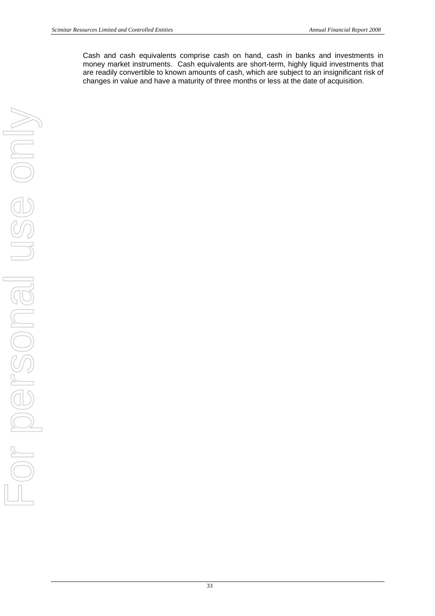Cash and cash equivalents comprise cash on hand, cash in banks and investments in money market instruments. Cash equivalents are short-term, highly liquid investments that are readily convertible to known amounts of cash, which are subject to an insignificant risk of changes in value and have a maturity of three months or less at the date of acquisition.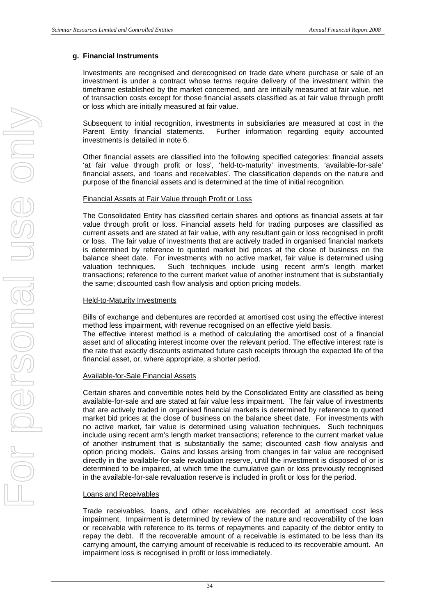## **g. Financial Instruments**

Investments are recognised and derecognised on trade date where purchase or sale of an investment is under a contract whose terms require delivery of the investment within the timeframe established by the market concerned, and are initially measured at fair value, net of transaction costs except for those financial assets classified as at fair value through profit or loss which are initially measured at fair value.

Subsequent to initial recognition, investments in subsidiaries are measured at cost in the Parent Entity financial statements. Further information regarding equity accounted investments is detailed in note 6.

Other financial assets are classified into the following specified categories: financial assets 'at fair value through profit or loss', 'held-to-maturity' investments, 'available-for-sale' financial assets, and 'loans and receivables'. The classification depends on the nature and purpose of the financial assets and is determined at the time of initial recognition.

#### Financial Assets at Fair Value through Profit or Loss

The Consolidated Entity has classified certain shares and options as financial assets at fair value through profit or loss. Financial assets held for trading purposes are classified as current assets and are stated at fair value, with any resultant gain or loss recognised in profit or loss. The fair value of investments that are actively traded in organised financial markets is determined by reference to quoted market bid prices at the close of business on the balance sheet date. For investments with no active market, fair value is determined using valuation techniques. Such techniques include using recent arm's length market transactions; reference to the current market value of another instrument that is substantially the same; discounted cash flow analysis and option pricing models.

#### Held-to-Maturity Investments

Bills of exchange and debentures are recorded at amortised cost using the effective interest method less impairment, with revenue recognised on an effective yield basis. The effective interest method is a method of calculating the amortised cost of a financial asset and of allocating interest income over the relevant period. The effective interest rate is the rate that exactly discounts estimated future cash receipts through the expected life of the financial asset, or, where appropriate, a shorter period.

#### Available-for-Sale Financial Assets

Certain shares and convertible notes held by the Consolidated Entity are classified as being available-for-sale and are stated at fair value less impairment. The fair value of investments that are actively traded in organised financial markets is determined by reference to quoted market bid prices at the close of business on the balance sheet date. For investments with no active market, fair value is determined using valuation techniques. Such techniques include using recent arm's length market transactions; reference to the current market value of another instrument that is substantially the same; discounted cash flow analysis and option pricing models. Gains and losses arising from changes in fair value are recognised directly in the available-for-sale revaluation reserve, until the investment is disposed of or is determined to be impaired, at which time the cumulative gain or loss previously recognised in the available-for-sale revaluation reserve is included in profit or loss for the period.

## Loans and Receivables

Trade receivables, loans, and other receivables are recorded at amortised cost less impairment. Impairment is determined by review of the nature and recoverability of the loan or receivable with reference to its terms of repayments and capacity of the debtor entity to repay the debt. If the recoverable amount of a receivable is estimated to be less than its carrying amount, the carrying amount of receivable is reduced to its recoverable amount. An impairment loss is recognised in profit or loss immediately.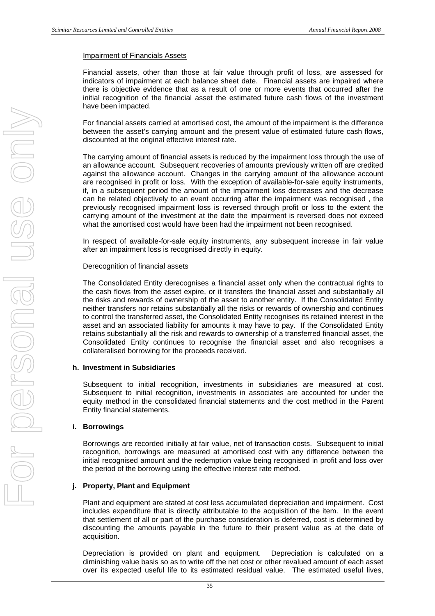## Impairment of Financials Assets

Financial assets, other than those at fair value through profit of loss, are assessed for indicators of impairment at each balance sheet date. Financial assets are impaired where there is objective evidence that as a result of one or more events that occurred after the initial recognition of the financial asset the estimated future cash flows of the investment have been impacted.

For financial assets carried at amortised cost, the amount of the impairment is the difference between the asset's carrying amount and the present value of estimated future cash flows, discounted at the original effective interest rate.

The carrying amount of financial assets is reduced by the impairment loss through the use of an allowance account. Subsequent recoveries of amounts previously written off are credited against the allowance account. Changes in the carrying amount of the allowance account are recognised in profit or loss. With the exception of available-for-sale equity instruments, if, in a subsequent period the amount of the impairment loss decreases and the decrease can be related objectively to an event occurring after the impairment was recognised , the previously recognised impairment loss is reversed through profit or loss to the extent the carrying amount of the investment at the date the impairment is reversed does not exceed what the amortised cost would have been had the impairment not been recognised.

In respect of available-for-sale equity instruments, any subsequent increase in fair value after an impairment loss is recognised directly in equity.

#### Derecognition of financial assets

The Consolidated Entity derecognises a financial asset only when the contractual rights to the cash flows from the asset expire, or it transfers the financial asset and substantially all the risks and rewards of ownership of the asset to another entity. If the Consolidated Entity neither transfers nor retains substantially all the risks or rewards of ownership and continues to control the transferred asset, the Consolidated Entity recognises its retained interest in the asset and an associated liability for amounts it may have to pay. If the Consolidated Entity retains substantially all the risk and rewards to ownership of a transferred financial asset, the Consolidated Entity continues to recognise the financial asset and also recognises a collateralised borrowing for the proceeds received.

## **h. Investment in Subsidiaries**

Subsequent to initial recognition, investments in subsidiaries are measured at cost. Subsequent to initial recognition, investments in associates are accounted for under the equity method in the consolidated financial statements and the cost method in the Parent Entity financial statements.

#### **i. Borrowings**

Borrowings are recorded initially at fair value, net of transaction costs. Subsequent to initial recognition, borrowings are measured at amortised cost with any difference between the initial recognised amount and the redemption value being recognised in profit and loss over the period of the borrowing using the effective interest rate method.

## **j. Property, Plant and Equipment**

Plant and equipment are stated at cost less accumulated depreciation and impairment. Cost includes expenditure that is directly attributable to the acquisition of the item. In the event that settlement of all or part of the purchase consideration is deferred, cost is determined by discounting the amounts payable in the future to their present value as at the date of acquisition.

Depreciation is provided on plant and equipment. Depreciation is calculated on a diminishing value basis so as to write off the net cost or other revalued amount of each asset over its expected useful life to its estimated residual value. The estimated useful lives,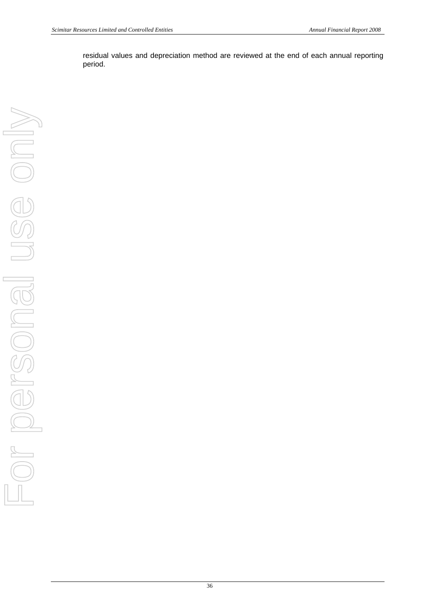residual values and depreciation method are reviewed at the end of each annual reporting period.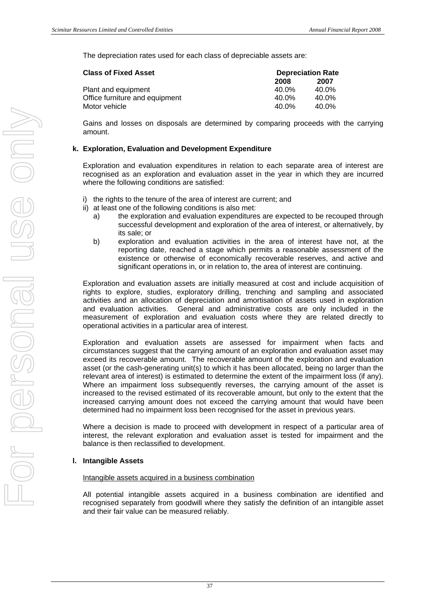The depreciation rates used for each class of depreciable assets are:

| Class of Fixed Asset           | <b>Depreciation Rate</b> |       |  |  |  |
|--------------------------------|--------------------------|-------|--|--|--|
|                                | 2008                     | 2007  |  |  |  |
| Plant and equipment            | 40.0%                    | 40.0% |  |  |  |
| Office furniture and equipment | 40.0%                    | 40.0% |  |  |  |
| Motor vehicle                  | 40.0%                    | 40.0% |  |  |  |

Gains and losses on disposals are determined by comparing proceeds with the carrying amount.

#### **k. Exploration, Evaluation and Development Expenditure**

Exploration and evaluation expenditures in relation to each separate area of interest are recognised as an exploration and evaluation asset in the year in which they are incurred where the following conditions are satisfied:

- i) the rights to the tenure of the area of interest are current; and
- ii) at least one of the following conditions is also met:
	- a) the exploration and evaluation expenditures are expected to be recouped through successful development and exploration of the area of interest, or alternatively, by its sale; or
	- b) exploration and evaluation activities in the area of interest have not, at the reporting date, reached a stage which permits a reasonable assessment of the existence or otherwise of economically recoverable reserves, and active and significant operations in, or in relation to, the area of interest are continuing.

Exploration and evaluation assets are initially measured at cost and include acquisition of rights to explore, studies, exploratory drilling, trenching and sampling and associated activities and an allocation of depreciation and amortisation of assets used in exploration and evaluation activities. General and administrative costs are only included in the measurement of exploration and evaluation costs where they are related directly to operational activities in a particular area of interest.

Exploration and evaluation assets are assessed for impairment when facts and circumstances suggest that the carrying amount of an exploration and evaluation asset may exceed its recoverable amount. The recoverable amount of the exploration and evaluation asset (or the cash-generating unit(s) to which it has been allocated, being no larger than the relevant area of interest) is estimated to determine the extent of the impairment loss (if any). Where an impairment loss subsequently reverses, the carrying amount of the asset is increased to the revised estimated of its recoverable amount, but only to the extent that the increased carrying amount does not exceed the carrying amount that would have been determined had no impairment loss been recognised for the asset in previous years.

Where a decision is made to proceed with development in respect of a particular area of interest, the relevant exploration and evaluation asset is tested for impairment and the balance is then reclassified to development.

#### **l. Intangible Assets**

#### Intangible assets acquired in a business combination

All potential intangible assets acquired in a business combination are identified and recognised separately from goodwill where they satisfy the definition of an intangible asset and their fair value can be measured reliably.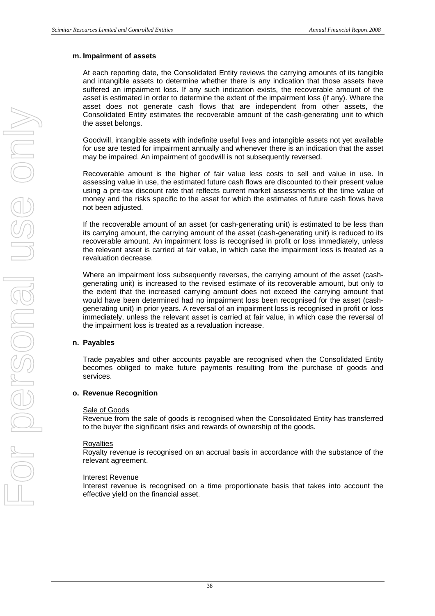#### **m. Impairment of assets**

At each reporting date, the Consolidated Entity reviews the carrying amounts of its tangible and intangible assets to determine whether there is any indication that those assets have suffered an impairment loss. If any such indication exists, the recoverable amount of the asset is estimated in order to determine the extent of the impairment loss (if any). Where the asset does not generate cash flows that are independent from other assets, the Consolidated Entity estimates the recoverable amount of the cash-generating unit to which the asset belongs.

Goodwill, intangible assets with indefinite useful lives and intangible assets not yet available for use are tested for impairment annually and whenever there is an indication that the asset may be impaired. An impairment of goodwill is not subsequently reversed.

Recoverable amount is the higher of fair value less costs to sell and value in use. In assessing value in use, the estimated future cash flows are discounted to their present value using a pre-tax discount rate that reflects current market assessments of the time value of money and the risks specific to the asset for which the estimates of future cash flows have not been adjusted.

If the recoverable amount of an asset (or cash-generating unit) is estimated to be less than its carrying amount, the carrying amount of the asset (cash-generating unit) is reduced to its recoverable amount. An impairment loss is recognised in profit or loss immediately, unless the relevant asset is carried at fair value, in which case the impairment loss is treated as a revaluation decrease.

Where an impairment loss subsequently reverses, the carrying amount of the asset (cashgenerating unit) is increased to the revised estimate of its recoverable amount, but only to the extent that the increased carrying amount does not exceed the carrying amount that would have been determined had no impairment loss been recognised for the asset (cashgenerating unit) in prior years. A reversal of an impairment loss is recognised in profit or loss immediately, unless the relevant asset is carried at fair value, in which case the reversal of the impairment loss is treated as a revaluation increase.

#### **n. Payables**

Trade payables and other accounts payable are recognised when the Consolidated Entity becomes obliged to make future payments resulting from the purchase of goods and services.

#### **o. Revenue Recognition**

#### Sale of Goods

Revenue from the sale of goods is recognised when the Consolidated Entity has transferred to the buyer the significant risks and rewards of ownership of the goods.

#### **Royalties**

Royalty revenue is recognised on an accrual basis in accordance with the substance of the relevant agreement.

#### Interest Revenue

Interest revenue is recognised on a time proportionate basis that takes into account the effective yield on the financial asset.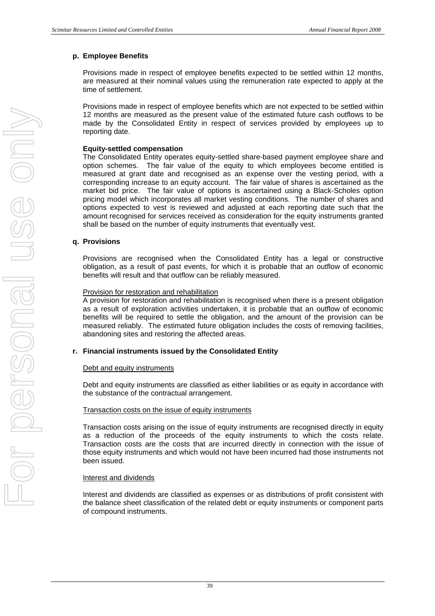## **p. Employee Benefits**

Provisions made in respect of employee benefits expected to be settled within 12 months, are measured at their nominal values using the remuneration rate expected to apply at the time of settlement.

Provisions made in respect of employee benefits which are not expected to be settled within 12 months are measured as the present value of the estimated future cash outflows to be made by the Consolidated Entity in respect of services provided by employees up to reporting date.

## **Equity-settled compensation**

The Consolidated Entity operates equity-settled share-based payment employee share and option schemes. The fair value of the equity to which employees become entitled is measured at grant date and recognised as an expense over the vesting period, with a corresponding increase to an equity account. The fair value of shares is ascertained as the market bid price. The fair value of options is ascertained using a Black-Scholes option pricing model which incorporates all market vesting conditions. The number of shares and options expected to vest is reviewed and adjusted at each reporting date such that the amount recognised for services received as consideration for the equity instruments granted shall be based on the number of equity instruments that eventually vest.

## **q. Provisions**

Provisions are recognised when the Consolidated Entity has a legal or constructive obligation, as a result of past events, for which it is probable that an outflow of economic benefits will result and that outflow can be reliably measured.

#### Provision for restoration and rehabilitation

A provision for restoration and rehabilitation is recognised when there is a present obligation as a result of exploration activities undertaken, it is probable that an outflow of economic benefits will be required to settle the obligation, and the amount of the provision can be measured reliably. The estimated future obligation includes the costs of removing facilities, abandoning sites and restoring the affected areas.

## **r. Financial instruments issued by the Consolidated Entity**

## Debt and equity instruments

Debt and equity instruments are classified as either liabilities or as equity in accordance with the substance of the contractual arrangement.

## Transaction costs on the issue of equity instruments

Transaction costs arising on the issue of equity instruments are recognised directly in equity as a reduction of the proceeds of the equity instruments to which the costs relate. Transaction costs are the costs that are incurred directly in connection with the issue of those equity instruments and which would not have been incurred had those instruments not been issued.

## Interest and dividends

Interest and dividends are classified as expenses or as distributions of profit consistent with the balance sheet classification of the related debt or equity instruments or component parts of compound instruments.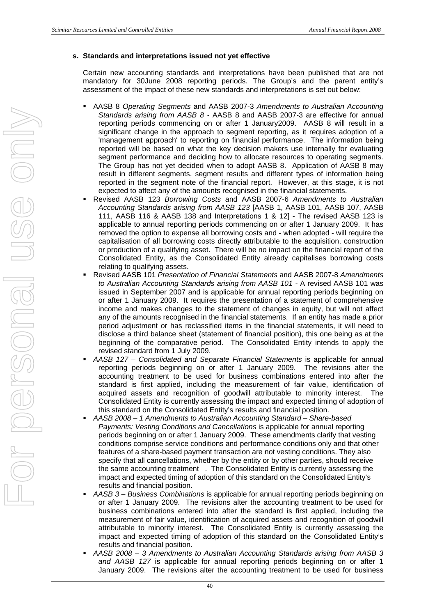#### **s. Standards and interpretations issued not yet effective**

Certain new accounting standards and interpretations have been published that are not mandatory for 30June 2008 reporting periods. The Group's and the parent entity's assessment of the impact of these new standards and interpretations is set out below:

- AASB 8 *Operating Segments* and AASB 2007-3 *Amendments to Australian Accounting Standards arising from AASB 8 -* AASB 8 and AASB 2007-3 are effective for annual reporting periods commencing on or after 1 January2009. AASB 8 will result in a significant change in the approach to segment reporting, as it requires adoption of a 'management approach' to reporting on financial performance. The information being reported will be based on what the key decision makers use internally for evaluating segment performance and deciding how to allocate resources to operating segments. The Group has not yet decided when to adopt AASB 8. Application of AASB 8 may result in different segments, segment results and different types of information being reported in the segment note of the financial report. However, at this stage, it is not expected to affect any of the amounts recognised in the financial statements.
- Revised AASB 123 *Borrowing Costs* and AASB 2007-6 *Amendments to Australian Accounting Standards arising from AASB 123* [AASB 1, AASB 101, AASB 107, AASB 111, AASB 116 & AASB 138 and Interpretations 1 & 12] - The revised AASB 123 is applicable to annual reporting periods commencing on or after 1 January 2009. It has removed the option to expense all borrowing costs and - when adopted - will require the capitalisation of all borrowing costs directly attributable to the acquisition, construction or production of a qualifying asset. There will be no impact on the financial report of the Consolidated Entity, as the Consolidated Entity already capitalises borrowing costs relating to qualifying assets.
- Revised AASB 101 *Presentation of Financial Statements* and AASB 2007-8 *Amendments to Australian Accounting Standards arising from AASB 101 -* A revised AASB 101 was issued in September 2007 and is applicable for annual reporting periods beginning on or after 1 January 2009. It requires the presentation of a statement of comprehensive income and makes changes to the statement of changes in equity, but will not affect any of the amounts recognised in the financial statements. If an entity has made a prior period adjustment or has reclassified items in the financial statements, it will need to disclose a third balance sheet (statement of financial position), this one being as at the beginning of the comparative period. The Consolidated Entity intends to apply the revised standard from 1 July 2009.
- *AASB 127 Consolidated and Separate Financial Statements* is applicable for annual reporting periods beginning on or after 1 January 2009. The revisions alter the accounting treatment to be used for business combinations entered into after the standard is first applied, including the measurement of fair value, identification of acquired assets and recognition of goodwill attributable to minority interest. The Consolidated Entity is currently assessing the impact and expected timing of adoption of this standard on the Consolidated Entity's results and financial position.
- *AASB 2008 1 Amendments to Australian Accounting Standard Share-based Payments: Vesting Conditions and Cancellations* is applicable for annual reporting periods beginning on or after 1 January 2009. These amendments clarify that vesting conditions comprise service conditions and performance conditions only and that other features of a share-based payment transaction are not vesting conditions. They also specify that all cancellations, whether by the entity or by other parties, should receive the same accounting treatment . The Consolidated Entity is currently assessing the impact and expected timing of adoption of this standard on the Consolidated Entity's results and financial position.
- *AASB 3 Business Combinations* is applicable for annual reporting periods beginning on or after 1 January 2009. The revisions alter the accounting treatment to be used for business combinations entered into after the standard is first applied, including the measurement of fair value, identification of acquired assets and recognition of goodwill attributable to minority interest. The Consolidated Entity is currently assessing the impact and expected timing of adoption of this standard on the Consolidated Entity's results and financial position.
- *AASB 2008 3 Amendments to Australian Accounting Standards arising from AASB 3 and AASB 127* is applicable for annual reporting periods beginning on or after 1 January 2009. The revisions alter the accounting treatment to be used for business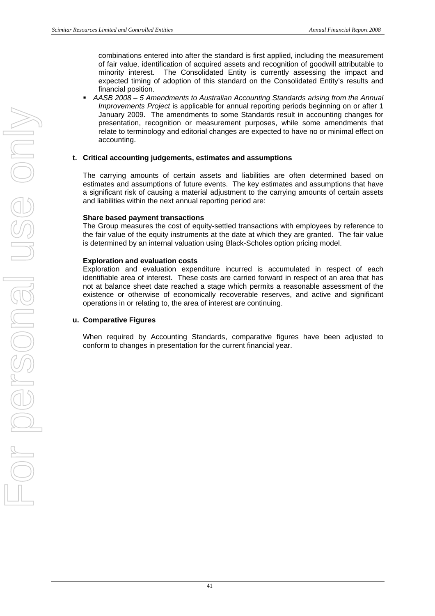combinations entered into after the standard is first applied, including the measurement of fair value, identification of acquired assets and recognition of goodwill attributable to minority interest. The Consolidated Entity is currently assessing the impact and expected timing of adoption of this standard on the Consolidated Entity's results and financial position.

 *AASB 2008 – 5 Amendments to Australian Accounting Standards arising from the Annual Improvements Project* is applicable for annual reporting periods beginning on or after 1 January 2009. The amendments to some Standards result in accounting changes for presentation, recognition or measurement purposes, while some amendments that relate to terminology and editorial changes are expected to have no or minimal effect on accounting.

## **t. Critical accounting judgements, estimates and assumptions**

The carrying amounts of certain assets and liabilities are often determined based on estimates and assumptions of future events. The key estimates and assumptions that have a significant risk of causing a material adjustment to the carrying amounts of certain assets and liabilities within the next annual reporting period are:

#### **Share based payment transactions**

The Group measures the cost of equity-settled transactions with employees by reference to the fair value of the equity instruments at the date at which they are granted. The fair value is determined by an internal valuation using Black-Scholes option pricing model.

#### **Exploration and evaluation costs**

Exploration and evaluation expenditure incurred is accumulated in respect of each identifiable area of interest. These costs are carried forward in respect of an area that has not at balance sheet date reached a stage which permits a reasonable assessment of the existence or otherwise of economically recoverable reserves, and active and significant operations in or relating to, the area of interest are continuing.

#### **u. Comparative Figures**

When required by Accounting Standards, comparative figures have been adjusted to conform to changes in presentation for the current financial year.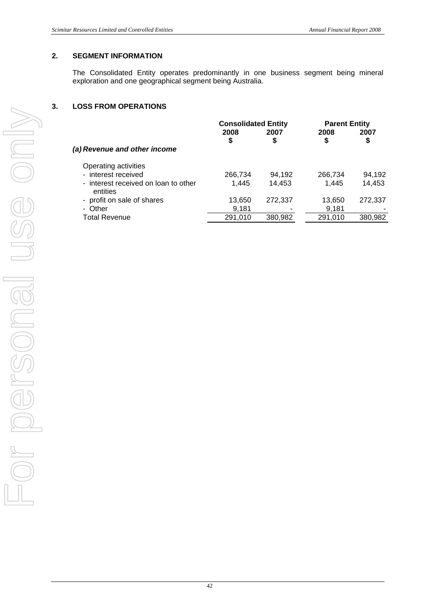## **2. SEGMENT INFORMATION**

The Consolidated Entity operates predominantly in one business segment being mineral exploration and one geographical segment being Australia.

# **3. LOSS FROM OPERATIONS**

|                                                  | <b>Consolidated Entity</b> |         | <b>Parent Entity</b> |         |  |
|--------------------------------------------------|----------------------------|---------|----------------------|---------|--|
|                                                  | 2008                       | 2007    | 2008                 | 2007    |  |
|                                                  | \$                         | \$      | \$                   | \$      |  |
| (a) Revenue and other income                     |                            |         |                      |         |  |
| Operating activities                             |                            |         |                      |         |  |
| - interest received                              | 266,734                    | 94,192  | 266,734              | 94,192  |  |
| - interest received on loan to other<br>entities | 1.445                      | 14.453  | 1.445                | 14.453  |  |
| - profit on sale of shares                       | 13,650                     | 272,337 | 13,650               | 272,337 |  |
| - Other                                          | 9.181                      |         | 9.181                |         |  |
| <b>Total Revenue</b>                             | 291,010                    | 380.982 | 291,010              | 380,982 |  |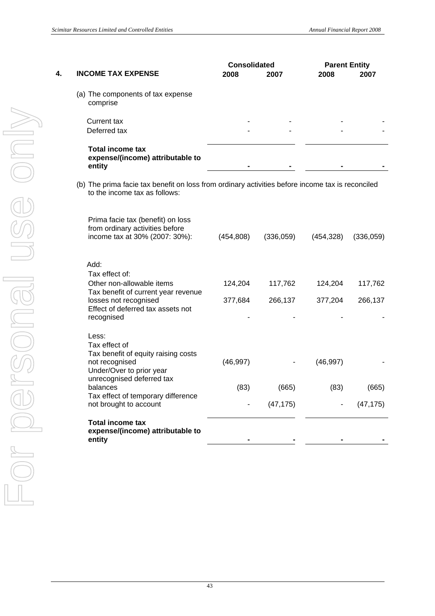|    |                                                                                                                                   | <b>Consolidated</b> |           | <b>Parent Entity</b> |           |  |
|----|-----------------------------------------------------------------------------------------------------------------------------------|---------------------|-----------|----------------------|-----------|--|
| 4. | <b>INCOME TAX EXPENSE</b>                                                                                                         | 2008                | 2007      | 2008                 | 2007      |  |
|    | (a) The components of tax expense<br>comprise                                                                                     |                     |           |                      |           |  |
|    | <b>Current tax</b><br>Deferred tax                                                                                                |                     |           |                      |           |  |
|    | <b>Total income tax</b><br>expense/(income) attributable to<br>entity                                                             |                     |           |                      |           |  |
|    | (b) The prima facie tax benefit on loss from ordinary activities before income tax is reconciled<br>to the income tax as follows: |                     |           |                      |           |  |
|    | Prima facie tax (benefit) on loss<br>from ordinary activities before<br>income tax at 30% (2007: 30%):                            | (454, 808)          | (336,059) | (454, 328)           | (336,059) |  |
|    | Add:<br>Tax effect of:<br>Other non-allowable items<br>Tax benefit of current year revenue                                        | 124,204             | 117,762   | 124,204              | 117,762   |  |
|    | losses not recognised<br>Effect of deferred tax assets not<br>recognised                                                          | 377,684             | 266,137   | 377,204              | 266,137   |  |
|    | Less:<br>Tax effect of<br>Tax benefit of equity raising costs<br>not recognised<br>Under/Over to prior year                       | (46, 997)           |           | (46, 997)            |           |  |
|    | unrecognised deferred tax<br>balances                                                                                             | (83)                | (665)     | (83)                 | (665)     |  |
|    | Tax effect of temporary difference<br>not brought to account                                                                      |                     | (47, 175) |                      | (47, 175) |  |
|    | <b>Total income tax</b><br>expense/(income) attributable to<br>entity                                                             |                     |           |                      |           |  |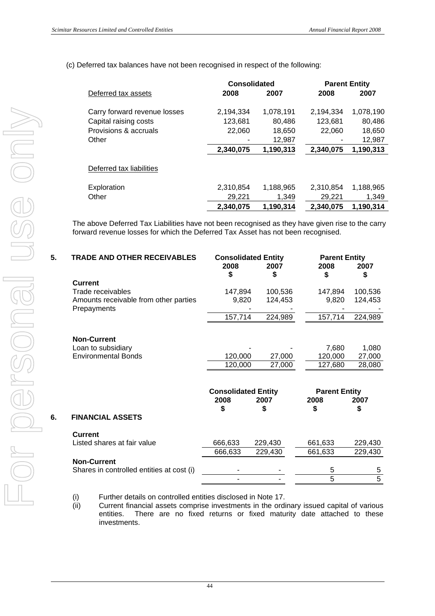## (c) Deferred tax balances have not been recognised in respect of the following:

|                              | <b>Consolidated</b> |           |           | <b>Parent Entity</b> |  |
|------------------------------|---------------------|-----------|-----------|----------------------|--|
| Deferred tax assets          | 2008                | 2007      | 2008      | 2007                 |  |
| Carry forward revenue losses | 2.194.334           | 1,078,191 | 2.194.334 | 1,078,190            |  |
| Capital raising costs        | 123,681             | 80,486    | 123,681   | 80,486               |  |
| Provisions & accruals        | 22,060              | 18,650    | 22,060    | 18,650               |  |
| Other                        |                     | 12,987    |           | 12,987               |  |
|                              | 2,340,075           | 1,190,313 | 2,340,075 | 1,190,313            |  |
| Deferred tax liabilities     |                     |           |           |                      |  |
| Exploration                  | 2.310.854           | 1.188.965 | 2.310.854 | 1,188,965            |  |
| Other                        | 29,221              | 1,349     | 29,221    | 1,349                |  |
|                              | 2,340,075           | 1,190,314 | 2,340,075 | 1,190,314            |  |

The above Deferred Tax Liabilities have not been recognised as they have given rise to the carry forward revenue losses for which the Deferred Tax Asset has not been recognised.

| 5. | <b>TRADE AND OTHER RECEIVABLES</b>        | <b>Consolidated Entity</b><br>2008<br>\$ | 2007<br>S | <b>Parent Entity</b><br>2008<br>\$ | 2007<br>\$    |
|----|-------------------------------------------|------------------------------------------|-----------|------------------------------------|---------------|
|    | <b>Current</b>                            |                                          |           |                                    |               |
|    | Trade receivables                         | 147,894                                  | 100,536   | 147,894                            | 100,536       |
|    | Amounts receivable from other parties     | 9,820                                    | 124,453   | 9,820                              | 124,453       |
|    | Prepayments                               |                                          |           |                                    |               |
|    |                                           | 157,714                                  | 224,989   | 157,714                            | 224,989       |
|    | <b>Non-Current</b>                        |                                          |           |                                    |               |
|    | Loan to subsidiary                        |                                          |           | 7,680                              | 1,080         |
|    | <b>Environmental Bonds</b>                | 120,000                                  | 27,000    | 120,000                            | 27,000        |
|    |                                           | 120,000                                  | 27,000    | 127,680                            | 28,080        |
|    |                                           |                                          |           |                                    |               |
|    |                                           | <b>Consolidated Entity</b>               |           | <b>Parent Entity</b>               |               |
|    |                                           | 2008                                     | 2007      | 2008                               | 2007          |
|    |                                           | \$                                       | \$        | \$                                 | S             |
| 6. | <b>FINANCIAL ASSETS</b>                   |                                          |           |                                    |               |
|    | <b>Current</b>                            |                                          |           |                                    |               |
|    | Listed shares at fair value               | 666,633                                  | 229,430   | 661,633                            | 229,430       |
|    |                                           | 666,633                                  | 229,430   | 661,633                            | 229,430       |
|    | <b>Non-Current</b>                        |                                          |           |                                    |               |
|    | Shares in controlled entities at cost (i) |                                          |           | 5                                  | $\frac{5}{5}$ |
|    |                                           |                                          |           | 5                                  |               |

(i) Further details on controlled entities disclosed in Note 17.

(ii) Current financial assets comprise investments in the ordinary issued capital of various entities. There are no fixed returns or fixed maturity date attached to these investments.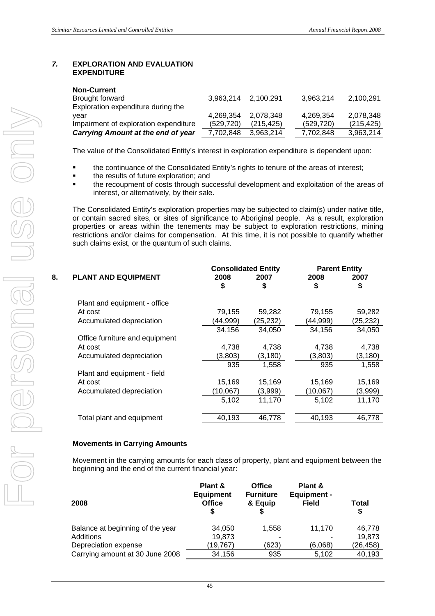## *7.* **EXPLORATION AND EVALUATION EXPENDITURE**

## **Non-Current**

| 2.100.291  |
|------------|
|            |
| 2.078.348  |
| (215, 425) |
| 3,963,214  |
|            |

The value of the Consolidated Entity's interest in exploration expenditure is dependent upon:

- the continuance of the Consolidated Entity's rights to tenure of the areas of interest;
- the results of future exploration; and
- the recoupment of costs through successful development and exploitation of the areas of interest, or alternatively, by their sale.

The Consolidated Entity's exploration properties may be subjected to claim(s) under native title, or contain sacred sites, or sites of significance to Aboriginal people. As a result, exploration properties or areas within the tenements may be subject to exploration restrictions, mining restrictions and/or claims for compensation. At this time, it is not possible to quantify whether such claims exist, or the quantum of such claims.

|    |                                | <b>Consolidated Entity</b> |            | <b>Parent Entity</b> |            |  |
|----|--------------------------------|----------------------------|------------|----------------------|------------|--|
| 8. | <b>PLANT AND EQUIPMENT</b>     | 2008<br>\$                 | 2007<br>\$ | 2008<br>\$           | 2007<br>\$ |  |
|    | Plant and equipment - office   |                            |            |                      |            |  |
|    | At cost                        | 79,155                     | 59,282     | 79,155               | 59,282     |  |
|    | Accumulated depreciation       | (44, 999)                  | (25,232)   | (44,999)             | (25, 232)  |  |
|    |                                | 34,156                     | 34,050     | 34,156               | 34,050     |  |
|    | Office furniture and equipment |                            |            |                      |            |  |
|    | At cost                        | 4,738                      | 4,738      | 4.738                | 4,738      |  |
|    | Accumulated depreciation       | (3,803)                    | (3, 180)   | (3,803)              | (3, 180)   |  |
|    |                                | 935                        | 1,558      | 935                  | 1,558      |  |
|    | Plant and equipment - field    |                            |            |                      |            |  |
|    | At cost                        | 15,169                     | 15,169     | 15,169               | 15,169     |  |
|    | Accumulated depreciation       | (10,067)                   | (3,999)    | (10,067)             | (3,999)    |  |
|    |                                | 5,102                      | 11,170     | 5,102                | 11,170     |  |
|    | Total plant and equipment      | 40,193                     | 46,778     | 40,193               | 46,778     |  |
|    |                                |                            |            |                      |            |  |

## **Movements in Carrying Amounts**

Movement in the carrying amounts for each class of property, plant and equipment between the beginning and the end of the current financial year:

| 2008                             | Plant &<br><b>Equipment</b><br><b>Office</b><br>S | <b>Office</b><br><b>Furniture</b><br>& Equip | Plant &<br><b>Equipment -</b><br><b>Field</b> | <b>Total</b><br>S |
|----------------------------------|---------------------------------------------------|----------------------------------------------|-----------------------------------------------|-------------------|
| Balance at beginning of the year | 34,050                                            | 1.558                                        | 11.170                                        | 46,778            |
| Additions                        | 19,873                                            |                                              |                                               | 19,873            |
| Depreciation expense             | (19,767)                                          | (623)                                        | (6,068)                                       | (26,458)          |
| Carrying amount at 30 June 2008  | 34,156                                            | 935                                          | 5,102                                         | 40,193            |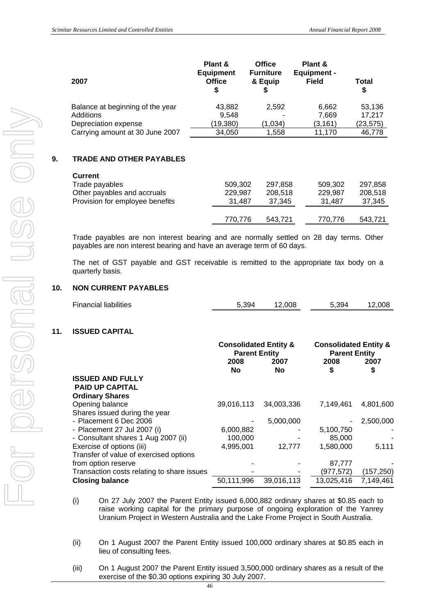| 2007                             | Plant &<br><b>Equipment</b><br><b>Office</b><br>S | <b>Office</b><br><b>Furniture</b><br>& Equip | Plant &<br><b>Equipment -</b><br><b>Field</b> | Total<br>\$ |
|----------------------------------|---------------------------------------------------|----------------------------------------------|-----------------------------------------------|-------------|
| Balance at beginning of the year | 43,882                                            | 2,592                                        | 6,662                                         | 53,136      |
| Additions                        | 9,548                                             |                                              | 7.669                                         | 17.217      |
| Depreciation expense             | (19,380)                                          | (1.034)                                      | (3,161)                                       | (23,575)    |
| Carrying amount at 30 June 2007  | 34,050                                            | 1,558                                        | 11.170                                        | 46,778      |

## **9. TRADE AND OTHER PAYABLES**

| <b>Current</b>                  |         |         |         |         |
|---------------------------------|---------|---------|---------|---------|
| Trade payables                  | 509.302 | 297.858 | 509.302 | 297.858 |
| Other payables and accruals     | 229.987 | 208,518 | 229.987 | 208.518 |
| Provision for employee benefits | 31.487  | 37.345  | 31.487  | 37,345  |
|                                 |         |         |         |         |
|                                 | 770.776 | 543,721 | 770.776 | 543,721 |

Trade payables are non interest bearing and are normally settled on 28 day terms. Other payables are non interest bearing and have an average term of 60 days.

The net of GST payable and GST receivable is remitted to the appropriate tax body on a quarterly basis.

#### **10. NON CURRENT PAYABLES**

| <b>Financial liabilities</b> | 5.394 | 12.008<br>12 | 5.394<br>$\ddot{\phantom{1}}$ | 2.008 |
|------------------------------|-------|--------------|-------------------------------|-------|
|                              |       |              |                               |       |

#### **11. ISSUED CAPITAL**

|                                            | <b>Consolidated Entity &amp;</b><br><b>Parent Entity</b> |            | <b>Consolidated Entity &amp;</b><br><b>Parent Entity</b> |           |
|--------------------------------------------|----------------------------------------------------------|------------|----------------------------------------------------------|-----------|
|                                            | 2008                                                     | 2007       | 2008                                                     | 2007      |
|                                            | <b>No</b>                                                | <b>No</b>  | \$                                                       | \$        |
| <b>ISSUED AND FULLY</b>                    |                                                          |            |                                                          |           |
| <b>PAID UP CAPITAL</b>                     |                                                          |            |                                                          |           |
| <b>Ordinary Shares</b>                     |                                                          |            |                                                          |           |
| Opening balance                            | 39,016,113                                               | 34,003,336 | 7,149,461                                                | 4,801,600 |
| Shares issued during the year              |                                                          |            |                                                          |           |
| - Placement 6 Dec 2006                     |                                                          | 5,000,000  |                                                          | 2,500,000 |
| - Placement 27 Jul 2007 (i)                | 6,000,882                                                |            | 5,100,750                                                |           |
| - Consultant shares 1 Aug 2007 (ii)        | 100,000                                                  |            | 85,000                                                   |           |
| Exercise of options (iii)                  | 4,995,001                                                | 12,777     | 1,580,000                                                | 5,111     |
| Transfer of value of exercised options     |                                                          |            |                                                          |           |
| from option reserve                        |                                                          |            | 87,777                                                   |           |
| Transaction costs relating to share issues |                                                          |            | (977,572)                                                | (157,250) |
| <b>Closing balance</b>                     | 50.111.996                                               | 39.016.113 | 13,025,416                                               | 7,149,461 |

- (i) On 27 July 2007 the Parent Entity issued 6,000,882 ordinary shares at \$0.85 each to raise working capital for the primary purpose of ongoing exploration of the Yanrey Uranium Project in Western Australia and the Lake Frome Project in South Australia.
- (ii) On 1 August 2007 the Parent Entity issued 100,000 ordinary shares at \$0.85 each in lieu of consulting fees.
- (iii) On 1 August 2007 the Parent Entity issued 3,500,000 ordinary shares as a result of the exercise of the \$0.30 options expiring 30 July 2007.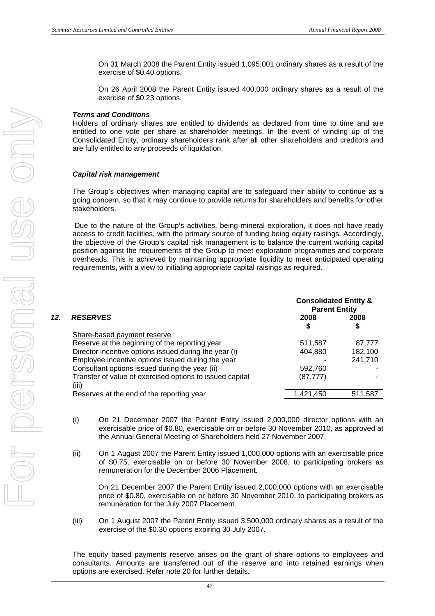On 31 March 2008 the Parent Entity issued 1,095,001 ordinary shares as a result of the exercise of \$0.40 options.

On 26 April 2008 the Parent Entity issued 400,000 ordinary shares as a result of the exercise of \$0.23 options.

#### *Terms and Conditions*

Holders of ordinary shares are entitled to dividends as declared from time to time and are entitled to one vote per share at shareholder meetings. In the event of winding up of the Consolidated Entity, ordinary shareholders rank after all other shareholders and creditors and are fully entitled to any proceeds of liquidation.

#### *Capital risk management*

The Group's objectives when managing capital are to safeguard their ability to continue as a going concern, so that it may continue to provide returns for shareholders and benefits for other stakeholders.

 Due to the nature of the Group's activities, being mineral exploration, it does not have ready access to credit facilities, with the primary source of funding being equity raisings. Accordingly, the objective of the Group's capital risk management is to balance the current working capital position against the requirements of the Group to meet exploration programmes and corporate overheads. This is achieved by maintaining appropriate liquidity to meet anticipated operating requirements, with a view to initiating appropriate capital raisings as required.

|     |                                                                   | <b>Consolidated Entity &amp;</b><br><b>Parent Entity</b> |           |  |  |
|-----|-------------------------------------------------------------------|----------------------------------------------------------|-----------|--|--|
| 12. | <b>RESERVES</b>                                                   | 2008<br>S                                                | 2008<br>⊕ |  |  |
|     | Share-based payment reserve                                       |                                                          |           |  |  |
|     | Reserve at the beginning of the reporting year                    | 511,587                                                  | 87,777    |  |  |
|     | Director incentive options issued during the year (i)             | 404,880                                                  | 182,100   |  |  |
|     | Employee incentive options issued during the year                 |                                                          | 241,710   |  |  |
|     | Consultant options issued during the year (ii)                    | 592,760                                                  |           |  |  |
|     | Transfer of value of exercised options to issued capital<br>(iii) | (87, 777)                                                |           |  |  |
|     | Reserves at the end of the reporting year                         | 1,421,450                                                | 511,587   |  |  |
|     |                                                                   |                                                          |           |  |  |

- (i) On 21 December 2007 the Parent Entity issued 2,000,000 director options with an exercisable price of \$0.80, exercisable on or before 30 November 2010, as approved at the Annual General Meeting of Shareholders held 27 November 2007.
- (ii) On 1 August 2007 the Parent Entity issued 1,000,000 options with an exercisable price of \$0.75, exercisable on or before 30 November 2008, to participating brokers as remuneration for the December 2006 Placement.

On 21 December 2007 the Parent Entity issued 2,000,000 options with an exercisable price of \$0.80, exercisable on or before 30 November 2010, to participating brokers as remuneration for the July 2007 Placement.

(iii) On 1 August 2007 the Parent Entity issued 3,500,000 ordinary shares as a result of the exercise of the \$0.30 options expiring 30 July 2007.

The equity based payments reserve arises on the grant of share options to employees and consultants. Amounts are transferred out of the reserve and into retained earnings when options are exercised. Refer note 20 for further details.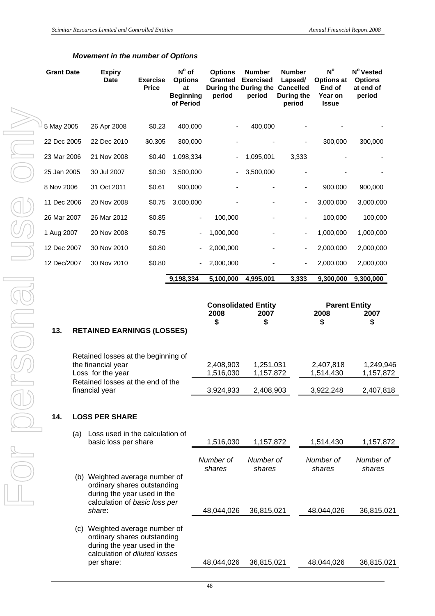| <b>Movement in the number of Options</b> |  |  |  |  |  |
|------------------------------------------|--|--|--|--|--|
|------------------------------------------|--|--|--|--|--|

| <b>Grant Date</b> | <b>Expiry</b><br><b>Date</b> | <b>Exercise</b><br><b>Price</b> | $N^{\circ}$ of<br><b>Options</b><br>at<br><b>Beginning</b><br>of Period | <b>Options</b><br><b>Granted</b><br>period | <b>Number</b><br><b>Exercised</b><br>During the During the<br>period | <b>Number</b><br>Lapsed/<br><b>Cancelled</b><br>During the<br>period | $N^{\circ}$<br><b>Options at</b><br>End of<br>Year on<br><b>Issue</b> | N° Vested<br><b>Options</b><br>at end of<br>period |
|-------------------|------------------------------|---------------------------------|-------------------------------------------------------------------------|--------------------------------------------|----------------------------------------------------------------------|----------------------------------------------------------------------|-----------------------------------------------------------------------|----------------------------------------------------|
| 5 May 2005        | 26 Apr 2008                  | \$0.23                          | 400,000                                                                 |                                            | 400,000                                                              |                                                                      |                                                                       |                                                    |
| 22 Dec 2005       | 22 Dec 2010                  | \$0.305                         | 300,000                                                                 |                                            |                                                                      |                                                                      | 300,000                                                               | 300,000                                            |
| 23 Mar 2006       | 21 Nov 2008                  | \$0.40                          | 1,098,334                                                               |                                            | 1,095,001                                                            | 3,333                                                                |                                                                       |                                                    |
| 25 Jan 2005       | 30 Jul 2007                  | \$0.30                          | 3,500,000                                                               | $\overline{\phantom{a}}$                   | 3,500,000                                                            |                                                                      |                                                                       |                                                    |
| 8 Nov 2006        | 31 Oct 2011                  | \$0.61                          | 900,000                                                                 |                                            |                                                                      |                                                                      | 900,000                                                               | 900,000                                            |
| 11 Dec 2006       | 20 Nov 2008                  | \$0.75                          | 3,000,000                                                               |                                            |                                                                      | $\overline{\phantom{a}}$                                             | 3,000,000                                                             | 3,000,000                                          |
| 26 Mar 2007       | 26 Mar 2012                  | \$0.85                          |                                                                         | 100,000                                    |                                                                      | -                                                                    | 100,000                                                               | 100,000                                            |
| 1 Aug 2007        | 20 Nov 2008                  | \$0.75                          |                                                                         | 1,000,000                                  |                                                                      | $\overline{\phantom{0}}$                                             | 1,000,000                                                             | 1,000,000                                          |
| 12 Dec 2007       | 30 Nov 2010                  | \$0.80                          |                                                                         | 2,000,000                                  |                                                                      | ۰                                                                    | 2,000,000                                                             | 2,000,000                                          |
| 12 Dec/2007       | 30 Nov 2010                  | \$0.80                          |                                                                         | 2,000,000                                  |                                                                      | $\overline{\phantom{a}}$                                             | 2,000,000                                                             | 2,000,000                                          |
|                   |                              |                                 | 9,198,334                                                               | 5,100,000                                  | 4,995,001                                                            | 3,333                                                                | 9,300,000                                                             | 9,300,000                                          |

|     |     | <b>Consolidated Entity</b>                                 |            | <b>Parent Entity</b> |            |                     |
|-----|-----|------------------------------------------------------------|------------|----------------------|------------|---------------------|
|     |     |                                                            | 2008       | 2007                 | 2008       | 2007                |
|     |     |                                                            | \$         | \$                   | \$         | \$                  |
| 13. |     | <b>RETAINED EARNINGS (LOSSES)</b>                          |            |                      |            |                     |
|     |     |                                                            |            |                      |            |                     |
|     |     | Retained losses at the beginning of                        |            |                      |            |                     |
|     |     | the financial year                                         | 2,408,903  | 1,251,031            | 2,407,818  | 1,249,946           |
|     |     | Loss for the year                                          | 1,516,030  | 1,157,872            | 1,514,430  | 1,157,872           |
|     |     | Retained losses at the end of the                          |            |                      |            |                     |
|     |     | financial year                                             | 3,924,933  | 2,408,903            | 3,922,248  | 2,407,818           |
|     |     |                                                            |            |                      |            |                     |
| 14. |     | <b>LOSS PER SHARE</b>                                      |            |                      |            |                     |
|     |     |                                                            |            |                      |            |                     |
|     | (a) | Loss used in the calculation of                            |            |                      |            |                     |
|     |     | basic loss per share                                       | 1,516,030  | 1,157,872            | 1,514,430  | 1,157,872           |
|     |     |                                                            | Number of  | Number of            | Number of  |                     |
|     |     |                                                            | shares     | shares               | shares     | Number of<br>shares |
|     |     | (b) Weighted average number of                             |            |                      |            |                     |
|     |     | ordinary shares outstanding                                |            |                      |            |                     |
|     |     | during the year used in the                                |            |                      |            |                     |
|     |     | calculation of basic loss per                              |            |                      |            |                     |
|     |     | share:                                                     | 48,044,026 | 36,815,021           | 48,044,026 | 36,815,021          |
|     |     |                                                            |            |                      |            |                     |
|     |     | (c) Weighted average number of                             |            |                      |            |                     |
|     |     | ordinary shares outstanding<br>during the year used in the |            |                      |            |                     |
|     |     |                                                            |            |                      |            |                     |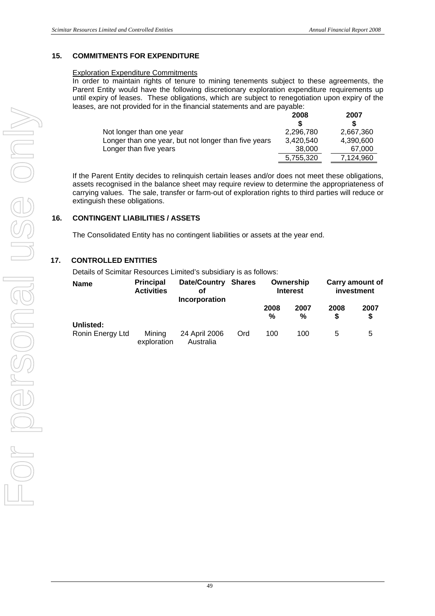## **15. COMMITMENTS FOR EXPENDITURE**

#### Exploration Expenditure Commitments

In order to maintain rights of tenure to mining tenements subject to these agreements, the Parent Entity would have the following discretionary exploration expenditure requirements up until expiry of leases. These obligations, which are subject to renegotiation upon expiry of the leases, are not provided for in the financial statements and are payable:

|                                                      | 2008      | 2007      |
|------------------------------------------------------|-----------|-----------|
|                                                      |           |           |
| Not longer than one year                             | 2.296.780 | 2,667,360 |
| Longer than one year, but not longer than five years | 3.420.540 | 4,390,600 |
| Longer than five years                               | 38,000    | 67,000    |
|                                                      | 5,755,320 | 7,124,960 |

 If the Parent Entity decides to relinquish certain leases and/or does not meet these obligations, assets recognised in the balance sheet may require review to determine the appropriateness of carrying values. The sale, transfer or farm-out of exploration rights to third parties will reduce or extinguish these obligations.

# **16. CONTINGENT LIABILITIES / ASSETS**

The Consolidated Entity has no contingent liabilities or assets at the year end.

# **17. CONTROLLED ENTITIES**

Details of Scimitar Resources Limited's subsidiary is as follows:

| <b>Name</b>      | <b>Principal</b><br><b>Activities</b> | Date/Country<br>οf<br>Incorporation | Shares |           | Ownership<br><b>Interest</b> |           | Carry amount of<br>investment |
|------------------|---------------------------------------|-------------------------------------|--------|-----------|------------------------------|-----------|-------------------------------|
| Unlisted:        |                                       |                                     |        | 2008<br>% | 2007<br>%                    | 2008<br>S | 2007<br>\$                    |
| Ronin Energy Ltd | Mining<br>exploration                 | 24 April 2006<br>Australia          | Ord    | 100       | 100                          | 5         | 5                             |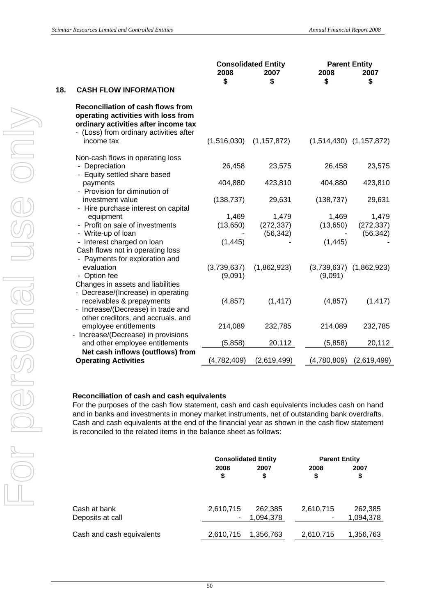| \$<br>\$<br>\$<br>\$<br><b>CASH FLOW INFORMATION</b><br><b>Reconciliation of cash flows from</b><br>operating activities with loss from<br>ordinary activities after income tax<br>- (Loss) from ordinary activities after<br>(1, 157, 872)<br>income tax<br>(1,516,030)<br>$(1,514,430)$ $(1,157,872)$<br>Non-cash flows in operating loss<br>26,458<br>23,575<br>- Depreciation<br>23,575<br>26,458<br>- Equity settled share based<br>404,880<br>423,810<br>404,880<br>423,810<br>payments<br>- Provision for diminution of<br>(138, 737)<br>29,631<br>(138, 737)<br>29,631<br>investment value<br>- Hire purchase interest on capital<br>1,469<br>1,479<br>1,469<br>1,479<br>equipment<br>- Profit on sale of investments<br>(13,650)<br>(272, 337)<br>(13,650)<br>(272, 337)<br>- Write-up of loan<br>(56, 342)<br>(56, 342)<br>- Interest charged on loan<br>(1, 445)<br>(1, 445)<br>Cash flows not in operating loss<br>- Payments for exploration and<br>evaluation<br>(3,739,637)<br>(1,862,923)<br>$(3,739,637)$ $(1,862,923)$<br>(9,091)<br>(9,091)<br>- Option fee<br>Changes in assets and liabilities<br>- Decrease/(Increase) in operating<br>(1, 417)<br>(1, 417)<br>receivables & prepayments<br>(4, 857)<br>(4, 857)<br>- Increase/(Decrease) in trade and<br>other creditors, and accruals. and<br>employee entitlements<br>214,089<br>232,785<br>214,089<br>232,785<br>- Increase/(Decrease) in provisions<br>and other employee entitlements<br>(5,858)<br>20,112<br>(5,858)<br>20,112<br>Net cash inflows (outflows) from |     |                             |             | <b>Consolidated Entity</b> | <b>Parent Entity</b> |             |  |
|-------------------------------------------------------------------------------------------------------------------------------------------------------------------------------------------------------------------------------------------------------------------------------------------------------------------------------------------------------------------------------------------------------------------------------------------------------------------------------------------------------------------------------------------------------------------------------------------------------------------------------------------------------------------------------------------------------------------------------------------------------------------------------------------------------------------------------------------------------------------------------------------------------------------------------------------------------------------------------------------------------------------------------------------------------------------------------------------------------------------------------------------------------------------------------------------------------------------------------------------------------------------------------------------------------------------------------------------------------------------------------------------------------------------------------------------------------------------------------------------------------------------------------------------------|-----|-----------------------------|-------------|----------------------------|----------------------|-------------|--|
|                                                                                                                                                                                                                                                                                                                                                                                                                                                                                                                                                                                                                                                                                                                                                                                                                                                                                                                                                                                                                                                                                                                                                                                                                                                                                                                                                                                                                                                                                                                                                 |     |                             | 2008        | 2007                       | 2008                 | 2007        |  |
|                                                                                                                                                                                                                                                                                                                                                                                                                                                                                                                                                                                                                                                                                                                                                                                                                                                                                                                                                                                                                                                                                                                                                                                                                                                                                                                                                                                                                                                                                                                                                 | 18. |                             |             |                            |                      |             |  |
|                                                                                                                                                                                                                                                                                                                                                                                                                                                                                                                                                                                                                                                                                                                                                                                                                                                                                                                                                                                                                                                                                                                                                                                                                                                                                                                                                                                                                                                                                                                                                 |     |                             |             |                            |                      |             |  |
|                                                                                                                                                                                                                                                                                                                                                                                                                                                                                                                                                                                                                                                                                                                                                                                                                                                                                                                                                                                                                                                                                                                                                                                                                                                                                                                                                                                                                                                                                                                                                 |     |                             |             |                            |                      |             |  |
|                                                                                                                                                                                                                                                                                                                                                                                                                                                                                                                                                                                                                                                                                                                                                                                                                                                                                                                                                                                                                                                                                                                                                                                                                                                                                                                                                                                                                                                                                                                                                 |     |                             |             |                            |                      |             |  |
|                                                                                                                                                                                                                                                                                                                                                                                                                                                                                                                                                                                                                                                                                                                                                                                                                                                                                                                                                                                                                                                                                                                                                                                                                                                                                                                                                                                                                                                                                                                                                 |     |                             |             |                            |                      |             |  |
|                                                                                                                                                                                                                                                                                                                                                                                                                                                                                                                                                                                                                                                                                                                                                                                                                                                                                                                                                                                                                                                                                                                                                                                                                                                                                                                                                                                                                                                                                                                                                 |     |                             |             |                            |                      |             |  |
|                                                                                                                                                                                                                                                                                                                                                                                                                                                                                                                                                                                                                                                                                                                                                                                                                                                                                                                                                                                                                                                                                                                                                                                                                                                                                                                                                                                                                                                                                                                                                 |     |                             |             |                            |                      |             |  |
|                                                                                                                                                                                                                                                                                                                                                                                                                                                                                                                                                                                                                                                                                                                                                                                                                                                                                                                                                                                                                                                                                                                                                                                                                                                                                                                                                                                                                                                                                                                                                 |     |                             |             |                            |                      |             |  |
|                                                                                                                                                                                                                                                                                                                                                                                                                                                                                                                                                                                                                                                                                                                                                                                                                                                                                                                                                                                                                                                                                                                                                                                                                                                                                                                                                                                                                                                                                                                                                 |     |                             |             |                            |                      |             |  |
|                                                                                                                                                                                                                                                                                                                                                                                                                                                                                                                                                                                                                                                                                                                                                                                                                                                                                                                                                                                                                                                                                                                                                                                                                                                                                                                                                                                                                                                                                                                                                 |     |                             |             |                            |                      |             |  |
|                                                                                                                                                                                                                                                                                                                                                                                                                                                                                                                                                                                                                                                                                                                                                                                                                                                                                                                                                                                                                                                                                                                                                                                                                                                                                                                                                                                                                                                                                                                                                 |     |                             |             |                            |                      |             |  |
|                                                                                                                                                                                                                                                                                                                                                                                                                                                                                                                                                                                                                                                                                                                                                                                                                                                                                                                                                                                                                                                                                                                                                                                                                                                                                                                                                                                                                                                                                                                                                 |     |                             |             |                            |                      |             |  |
|                                                                                                                                                                                                                                                                                                                                                                                                                                                                                                                                                                                                                                                                                                                                                                                                                                                                                                                                                                                                                                                                                                                                                                                                                                                                                                                                                                                                                                                                                                                                                 |     |                             |             |                            |                      |             |  |
|                                                                                                                                                                                                                                                                                                                                                                                                                                                                                                                                                                                                                                                                                                                                                                                                                                                                                                                                                                                                                                                                                                                                                                                                                                                                                                                                                                                                                                                                                                                                                 |     |                             |             |                            |                      |             |  |
|                                                                                                                                                                                                                                                                                                                                                                                                                                                                                                                                                                                                                                                                                                                                                                                                                                                                                                                                                                                                                                                                                                                                                                                                                                                                                                                                                                                                                                                                                                                                                 |     |                             |             |                            |                      |             |  |
|                                                                                                                                                                                                                                                                                                                                                                                                                                                                                                                                                                                                                                                                                                                                                                                                                                                                                                                                                                                                                                                                                                                                                                                                                                                                                                                                                                                                                                                                                                                                                 |     |                             |             |                            |                      |             |  |
|                                                                                                                                                                                                                                                                                                                                                                                                                                                                                                                                                                                                                                                                                                                                                                                                                                                                                                                                                                                                                                                                                                                                                                                                                                                                                                                                                                                                                                                                                                                                                 |     |                             |             |                            |                      |             |  |
|                                                                                                                                                                                                                                                                                                                                                                                                                                                                                                                                                                                                                                                                                                                                                                                                                                                                                                                                                                                                                                                                                                                                                                                                                                                                                                                                                                                                                                                                                                                                                 |     |                             |             |                            |                      |             |  |
|                                                                                                                                                                                                                                                                                                                                                                                                                                                                                                                                                                                                                                                                                                                                                                                                                                                                                                                                                                                                                                                                                                                                                                                                                                                                                                                                                                                                                                                                                                                                                 |     |                             |             |                            |                      |             |  |
|                                                                                                                                                                                                                                                                                                                                                                                                                                                                                                                                                                                                                                                                                                                                                                                                                                                                                                                                                                                                                                                                                                                                                                                                                                                                                                                                                                                                                                                                                                                                                 |     |                             |             |                            |                      |             |  |
|                                                                                                                                                                                                                                                                                                                                                                                                                                                                                                                                                                                                                                                                                                                                                                                                                                                                                                                                                                                                                                                                                                                                                                                                                                                                                                                                                                                                                                                                                                                                                 |     |                             |             |                            |                      |             |  |
|                                                                                                                                                                                                                                                                                                                                                                                                                                                                                                                                                                                                                                                                                                                                                                                                                                                                                                                                                                                                                                                                                                                                                                                                                                                                                                                                                                                                                                                                                                                                                 |     |                             |             |                            |                      |             |  |
|                                                                                                                                                                                                                                                                                                                                                                                                                                                                                                                                                                                                                                                                                                                                                                                                                                                                                                                                                                                                                                                                                                                                                                                                                                                                                                                                                                                                                                                                                                                                                 |     |                             |             |                            |                      |             |  |
|                                                                                                                                                                                                                                                                                                                                                                                                                                                                                                                                                                                                                                                                                                                                                                                                                                                                                                                                                                                                                                                                                                                                                                                                                                                                                                                                                                                                                                                                                                                                                 |     |                             |             |                            |                      |             |  |
|                                                                                                                                                                                                                                                                                                                                                                                                                                                                                                                                                                                                                                                                                                                                                                                                                                                                                                                                                                                                                                                                                                                                                                                                                                                                                                                                                                                                                                                                                                                                                 |     |                             |             |                            |                      |             |  |
|                                                                                                                                                                                                                                                                                                                                                                                                                                                                                                                                                                                                                                                                                                                                                                                                                                                                                                                                                                                                                                                                                                                                                                                                                                                                                                                                                                                                                                                                                                                                                 |     | <b>Operating Activities</b> | (4,782,409) | (2,619,499)                | (4,780,809)          | (2,619,499) |  |

#### **Reconciliation of cash and cash equivalents**

For the purposes of the cash flow statement, cash and cash equivalents includes cash on hand and in banks and investments in money market instruments, net of outstanding bank overdrafts. Cash and cash equivalents at the end of the financial year as shown in the cash flow statement is reconciled to the related items in the balance sheet as follows:

|                           |           | <b>Consolidated Entity</b> | <b>Parent Entity</b> |           |
|---------------------------|-----------|----------------------------|----------------------|-----------|
|                           | 2008      | 2007                       | 2008                 | 2007      |
|                           | \$        | \$                         | \$                   | \$        |
| Cash at bank              | 2,610,715 | 262,385                    | 2,610,715            | 262,385   |
| Deposits at call          | ۰         | 1,094,378                  | ۰                    | 1,094,378 |
| Cash and cash equivalents | 2,610,715 | 1,356,763                  | 2,610,715            | 1,356,763 |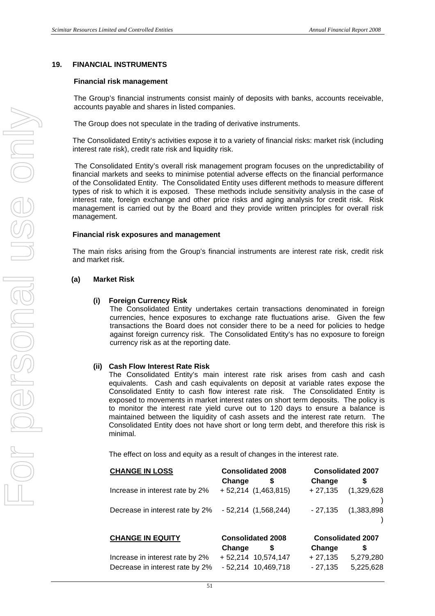#### **19. FINANCIAL INSTRUMENTS**

#### **Financial risk management**

 The Group's financial instruments consist mainly of deposits with banks, accounts receivable, accounts payable and shares in listed companies.

The Group does not speculate in the trading of derivative instruments.

The Consolidated Entity's activities expose it to a variety of financial risks: market risk (including interest rate risk), credit rate risk and liquidity risk.

 The Consolidated Entity's overall risk management program focuses on the unpredictability of financial markets and seeks to minimise potential adverse effects on the financial performance of the Consolidated Entity. The Consolidated Entity uses different methods to measure different types of risk to which it is exposed. These methods include sensitivity analysis in the case of interest rate, foreign exchange and other price risks and aging analysis for credit risk. Risk management is carried out by the Board and they provide written principles for overall risk management.

#### **Financial risk exposures and management**

The main risks arising from the Group's financial instruments are interest rate risk, credit risk and market risk.

#### **(a) Market Risk**

#### **(i) Foreign Currency Risk**

The Consolidated Entity undertakes certain transactions denominated in foreign currencies, hence exposures to exchange rate fluctuations arise. Given the few transactions the Board does not consider there to be a need for policies to hedge against foreign currency risk. The Consolidated Entity's has no exposure to foreign currency risk as at the reporting date.

#### **(ii) Cash Flow Interest Rate Risk**

The Consolidated Entity's main interest rate risk arises from cash and cash equivalents. Cash and cash equivalents on deposit at variable rates expose the Consolidated Entity to cash flow interest rate risk. The Consolidated Entity is exposed to movements in market interest rates on short term deposits. The policy is to monitor the interest rate yield curve out to 120 days to ensure a balance is maintained between the liquidity of cash assets and the interest rate return. The Consolidated Entity does not have short or long term debt, and therefore this risk is minimal.

The effect on loss and equity as a result of changes in the interest rate.

| <b>CHANGE IN LOSS</b>           |        | <b>Consolidated 2008</b> |           | <b>Consolidated 2007</b> |  |  |
|---------------------------------|--------|--------------------------|-----------|--------------------------|--|--|
|                                 | Change | \$                       | Change    | S                        |  |  |
| Increase in interest rate by 2% |        | $+52,214$ (1,463,815)    | $+27,135$ | (1,329,628)              |  |  |
|                                 |        |                          |           |                          |  |  |
| Decrease in interest rate by 2% |        | $-52,214$ (1,568,244)    | $-27,135$ | (1,383,898)              |  |  |
|                                 |        |                          |           |                          |  |  |
| <b>CHANGE IN EQUITY</b>         |        | <b>Consolidated 2008</b> |           | <b>Consolidated 2007</b> |  |  |
|                                 | Change | \$                       | Change    | S                        |  |  |
| Increase in interest rate by 2% |        | +52,214 10,574,147       | $+27,135$ | 5,279,280                |  |  |
| Decrease in interest rate by 2% |        | - 52,214 10,469,718      | $-27,135$ | 5,225,628                |  |  |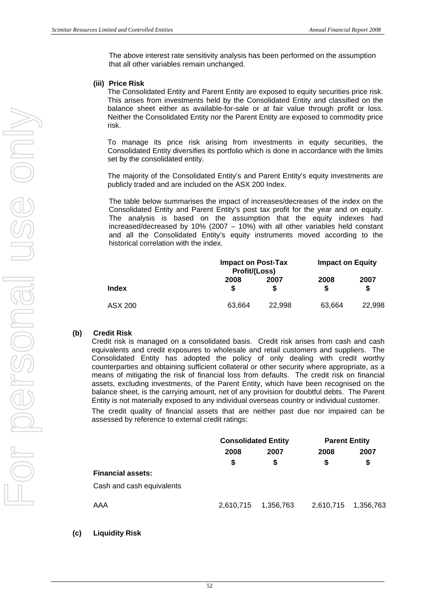The above interest rate sensitivity analysis has been performed on the assumption that all other variables remain unchanged.

#### **(iii) Price Risk**

The Consolidated Entity and Parent Entity are exposed to equity securities price risk. This arises from investments held by the Consolidated Entity and classified on the balance sheet either as available-for-sale or at fair value through profit or loss. Neither the Consolidated Entity nor the Parent Entity are exposed to commodity price risk.

To manage its price risk arising from investments in equity securities, the Consolidated Entity diversifies its portfolio which is done in accordance with the limits set by the consolidated entity.

The majority of the Consolidated Entity's and Parent Entity's equity investments are publicly traded and are included on the ASX 200 Index.

The table below summarises the impact of increases/decreases of the index on the Consolidated Entity and Parent Entity's post tax profit for the year and on equity. The analysis is based on the assumption that the equity indexes had increased/decreased by 10% (2007 – 10%) with all other variables held constant and all the Consolidated Entity's equity instruments moved according to the historical correlation with the index.

|                |        | <b>Impact on Post-Tax</b><br>Profit/(Loss) |        |           |  |  |
|----------------|--------|--------------------------------------------|--------|-----------|--|--|
| <b>Index</b>   | 2008   | 2007                                       | 2008   | 2007<br>S |  |  |
| <b>ASX 200</b> | 63.664 | 22.998                                     | 63.664 | 22.998    |  |  |

#### **(b) Credit Risk**

Credit risk is managed on a consolidated basis. Credit risk arises from cash and cash equivalents and credit exposures to wholesale and retail customers and suppliers. The Consolidated Entity has adopted the policy of only dealing with credit worthy counterparties and obtaining sufficient collateral or other security where appropriate, as a means of mitigating the risk of financial loss from defaults. The credit risk on financial assets, excluding investments, of the Parent Entity, which have been recognised on the balance sheet, is the carrying amount, net of any provision for doubtful debts. The Parent Entity is not materially exposed to any individual overseas country or individual customer.

The credit quality of financial assets that are neither past due nor impaired can be assessed by reference to external credit ratings:

|                                                       | <b>Consolidated Entity</b> |           | <b>Parent Entity</b> |           |  |
|-------------------------------------------------------|----------------------------|-----------|----------------------|-----------|--|
|                                                       | 2008                       | 2007      | 2008                 | 2007      |  |
| <b>Financial assets:</b><br>Cash and cash equivalents | S                          | S         | \$                   | \$        |  |
| AAA                                                   | 2.610.715                  | 1,356,763 | 2,610,715            | 1.356.763 |  |

**(c) Liquidity Risk**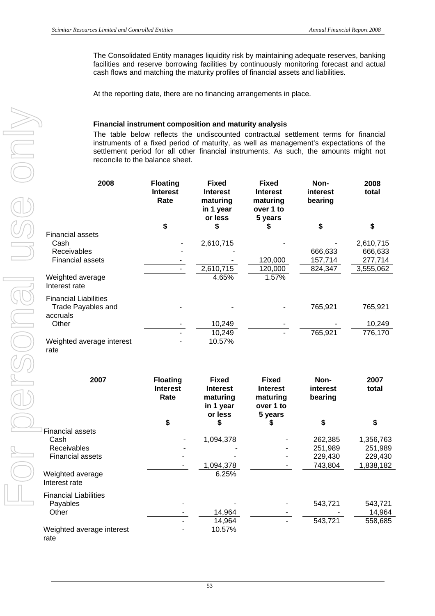The Consolidated Entity manages liquidity risk by maintaining adequate reserves, banking facilities and reserve borrowing facilities by continuously monitoring forecast and actual cash flows and matching the maturity profiles of financial assets and liabilities.

At the reporting date, there are no financing arrangements in place.

#### **Financial instrument composition and maturity analysis**

The table below reflects the undiscounted contractual settlement terms for financial instruments of a fixed period of maturity, as well as management's expectations of the settlement period for all other financial instruments. As such, the amounts might not reconcile to the balance sheet.

| 2008                              | <b>Floating</b><br><b>Interest</b><br>Rate | <b>Fixed</b><br><b>Interest</b><br>maturing<br>in 1 year<br>or less | <b>Fixed</b><br><b>Interest</b><br>maturing<br>over 1 to<br>5 years | Non-<br>interest<br>bearing | 2008<br>total |
|-----------------------------------|--------------------------------------------|---------------------------------------------------------------------|---------------------------------------------------------------------|-----------------------------|---------------|
|                                   | \$                                         | S                                                                   | S                                                                   | \$                          | \$            |
| Financial assets                  |                                            |                                                                     |                                                                     |                             |               |
| Cash                              |                                            | 2,610,715                                                           |                                                                     |                             | 2,610,715     |
| <b>Receivables</b>                |                                            |                                                                     |                                                                     | 666,633                     | 666,633       |
| <b>Financial assets</b>           |                                            |                                                                     | 120,000                                                             | 157,714                     | 277,714       |
|                                   |                                            | 2,610,715                                                           | 120,000                                                             | 824,347                     | 3,555,062     |
| Weighted average<br>Interest rate |                                            | 4.65%                                                               | 1.57%                                                               |                             |               |
| <b>Financial Liabilities</b>      |                                            |                                                                     |                                                                     |                             |               |
| Trade Payables and                |                                            |                                                                     |                                                                     | 765,921                     | 765,921       |
| accruals                          |                                            |                                                                     |                                                                     |                             |               |
| Other                             |                                            | 10,249                                                              |                                                                     |                             | 10,249        |
|                                   |                                            | 10,249                                                              |                                                                     | 765,921                     | 776,170       |
| Weighted average interest         |                                            | 10.57%                                                              |                                                                     |                             |               |

| Weighted av |  |
|-------------|--|
| rate        |  |

| 2007                              | <b>Floating</b><br><b>Interest</b><br>Rate | <b>Fixed</b><br><b>Interest</b><br>maturing<br>in 1 year<br>or less | <b>Fixed</b><br><b>Interest</b><br>maturing<br>over 1 to<br>5 years | Non-<br>interest<br>bearing | 2007<br>total |
|-----------------------------------|--------------------------------------------|---------------------------------------------------------------------|---------------------------------------------------------------------|-----------------------------|---------------|
|                                   | \$                                         | \$                                                                  | S                                                                   | \$                          | \$            |
| <b>Financial assets</b>           |                                            |                                                                     |                                                                     |                             |               |
| Cash                              |                                            | 1,094,378                                                           |                                                                     | 262,385                     | 1,356,763     |
| <b>Receivables</b>                |                                            |                                                                     |                                                                     | 251,989                     | 251,989       |
| <b>Financial assets</b>           |                                            |                                                                     |                                                                     | 229,430                     | 229,430       |
|                                   |                                            | 1,094,378                                                           |                                                                     | 743,804                     | 1,838,182     |
| Weighted average<br>Interest rate |                                            | 6.25%                                                               |                                                                     |                             |               |
| <b>Financial Liabilities</b>      |                                            |                                                                     |                                                                     |                             |               |
| Payables                          |                                            |                                                                     |                                                                     | 543,721                     | 543,721       |
| Other                             |                                            | 14,964                                                              |                                                                     |                             | 14,964        |
|                                   |                                            | 14,964                                                              |                                                                     | 543,721                     | 558,685       |
| Weighted average interest<br>rate |                                            | 10.57%                                                              |                                                                     |                             |               |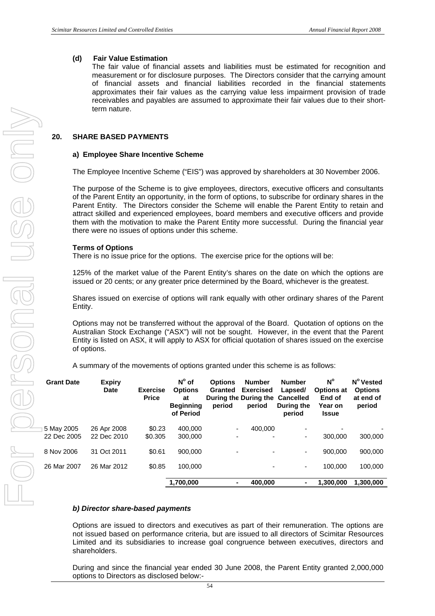#### **(d) Fair Value Estimation**

The fair value of financial assets and liabilities must be estimated for recognition and measurement or for disclosure purposes. The Directors consider that the carrying amount of financial assets and financial liabilities recorded in the financial statements approximates their fair values as the carrying value less impairment provision of trade receivables and payables are assumed to approximate their fair values due to their shortterm nature.

# **20. SHARE BASED PAYMENTS**

#### **a) Employee Share Incentive Scheme**

The Employee Incentive Scheme ("EIS") was approved by shareholders at 30 November 2006.

 The purpose of the Scheme is to give employees, directors, executive officers and consultants of the Parent Entity an opportunity, in the form of options, to subscribe for ordinary shares in the Parent Entity. The Directors consider the Scheme will enable the Parent Entity to retain and attract skilled and experienced employees, board members and executive officers and provide them with the motivation to make the Parent Entity more successful. During the financial year there were no issues of options under this scheme.

#### **Terms of Options**

There is no issue price for the options. The exercise price for the options will be:

125% of the market value of the Parent Entity's shares on the date on which the options are issued or 20 cents; or any greater price determined by the Board, whichever is the greatest.

Shares issued on exercise of options will rank equally with other ordinary shares of the Parent Entity.

Options may not be transferred without the approval of the Board. Quotation of options on the Australian Stock Exchange ("ASX") will not be sought. However, in the event that the Parent Entity is listed on ASX, it will apply to ASX for official quotation of shares issued on the exercise of options.

A summary of the movements of options granted under this scheme is as follows:

| <b>Grant Date</b>         | <b>Expiry</b><br><b>Date</b> | <b>Exercise</b><br><b>Price</b> | $N^{\circ}$ of<br><b>Options</b><br>at<br><b>Beginning</b><br>of Period | <b>Number</b><br><b>Options</b><br><b>Exercised</b><br><b>Granted</b><br>During the During the Cancelled<br>period<br>period | <b>Number</b><br>Lapsed/<br>During the<br>period | $N^{\circ}$<br><b>Options at</b><br>End of<br>Year on<br><b>Issue</b> | N° Vested<br><b>Options</b><br>at end of<br>period |
|---------------------------|------------------------------|---------------------------------|-------------------------------------------------------------------------|------------------------------------------------------------------------------------------------------------------------------|--------------------------------------------------|-----------------------------------------------------------------------|----------------------------------------------------|
| 5 May 2005<br>22 Dec 2005 | 26 Apr 2008<br>22 Dec 2010   | \$0.23<br>\$0.305               | 400.000<br>300,000                                                      | 400.000<br>$\overline{\phantom{a}}$<br>٠                                                                                     | $\overline{\phantom{a}}$<br>$\blacksquare$       | $\overline{\phantom{0}}$<br>300,000                                   | 300,000                                            |
| 8 Nov 2006                | 31 Oct 2011                  | \$0.61                          | 900.000                                                                 | $\overline{\phantom{a}}$<br>-                                                                                                | $\blacksquare$                                   | 900.000                                                               | 900,000                                            |
| 26 Mar 2007               | 26 Mar 2012                  | \$0.85                          | 100.000                                                                 | $\overline{\phantom{0}}$                                                                                                     | $\blacksquare$                                   | 100.000                                                               | 100,000                                            |
|                           |                              |                                 | 1,700,000                                                               | 400,000<br>$\blacksquare$                                                                                                    |                                                  | 1.300.000                                                             | 1.300.000                                          |

#### *b) Director share-based payments*

Options are issued to directors and executives as part of their remuneration. The options are not issued based on performance criteria, but are issued to all directors of Scimitar Resources Limited and its subsidiaries to increase goal congruence between executives, directors and shareholders.

During and since the financial year ended 30 June 2008, the Parent Entity granted 2,000,000 options to Directors as disclosed below:-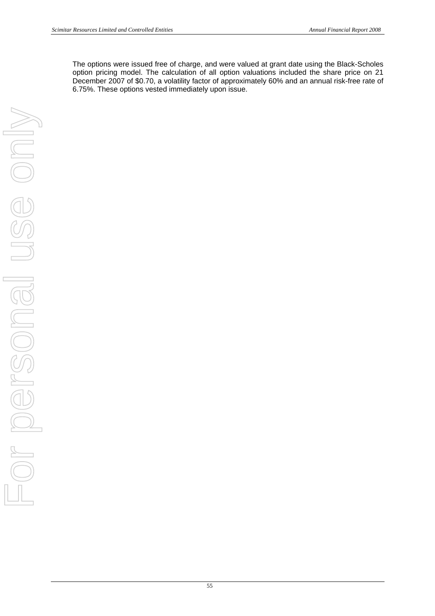The options were issued free of charge, and were valued at grant date using the Black-Scholes option pricing model. The calculation of all option valuations included the share price on 21 December 2007 of \$0.70, a volatility factor of approximately 60% and an annual risk-free rate of 6.75%. These options vested immediately upon issue.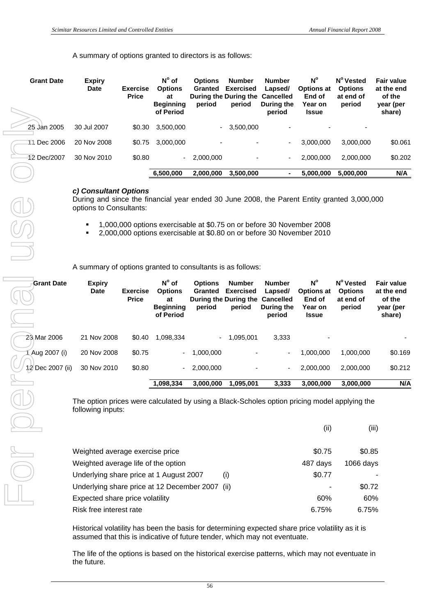A summary of options granted to directors is as follows:

| <b>Grant Date</b> | <b>Expiry</b><br><b>Date</b> | <b>Exercise</b><br><b>Price</b> | $N^{\circ}$ of<br><b>Options</b><br>at<br><b>Beginning</b><br>of Period | <b>Options</b><br><b>Granted</b><br>period | <b>Number</b><br><b>Exercised</b><br>During the During the Cancelled<br>period | <b>Number</b><br>Lapsed/<br>During the<br>period | $N^{\circ}$<br><b>Options at</b><br>End of<br>Year on<br><b>Issue</b> | N° Vested<br><b>Options</b><br>at end of<br>period | <b>Fair value</b><br>at the end<br>of the<br>year (per<br>share) |
|-------------------|------------------------------|---------------------------------|-------------------------------------------------------------------------|--------------------------------------------|--------------------------------------------------------------------------------|--------------------------------------------------|-----------------------------------------------------------------------|----------------------------------------------------|------------------------------------------------------------------|
| 25 Jan 2005       | 30 Jul 2007                  | \$0.30                          | 3.500.000                                                               |                                            | 3.500.000<br>$\sim$ 100 $\mu$                                                  |                                                  |                                                                       |                                                    |                                                                  |
| 11 Dec 2006       | 20 Nov 2008                  | \$0.75                          | 3.000.000                                                               |                                            |                                                                                | $\blacksquare$                                   | 3.000.000                                                             | 3.000.000                                          | \$0.061                                                          |
| 42 Dec/2007       | 30 Nov 2010                  | \$0.80                          |                                                                         | 2,000,000                                  |                                                                                | ٠                                                | 2.000.000                                                             | 2.000.000                                          | \$0.202                                                          |
|                   |                              |                                 | 6,500,000                                                               | 2.000.000                                  | 3,500,000                                                                      |                                                  | 5,000,000                                                             | 5,000,000                                          | N/A                                                              |

#### *c) Consultant Options*

During and since the financial year ended 30 June 2008, the Parent Entity granted 3,000,000 options to Consultants:

1,000,000 options exercisable at \$0.75 on or before 30 November 2008

2,000,000 options exercisable at \$0.80 on or before 30 November 2010

A summary of options granted to consultants is as follows:

| <b>Grant Date</b> | <b>Expiry</b><br><b>Date</b> | <b>Exercise</b><br><b>Price</b> | $N^{\circ}$ of<br><b>Options</b><br>at<br><b>Beginning</b><br>of Period | <b>Options</b><br>Granted<br>period | <b>Number</b><br><b>Exercised</b><br>During the During the Cancelled<br>period | <b>Number</b><br>Lapsed/<br>During the<br>period | $N^{\circ}$<br><b>Options at</b><br>End of<br>Year on<br><b>Issue</b> | N° Vested<br><b>Options</b><br>at end of<br>period | <b>Fair value</b><br>at the end<br>of the<br>year (per<br>share) |
|-------------------|------------------------------|---------------------------------|-------------------------------------------------------------------------|-------------------------------------|--------------------------------------------------------------------------------|--------------------------------------------------|-----------------------------------------------------------------------|----------------------------------------------------|------------------------------------------------------------------|
| 23 Mar 2006       | 21 Nov 2008                  | \$0.40                          | 1.098.334                                                               | $\overline{\phantom{0}}$            | 1,095,001                                                                      | 3,333                                            |                                                                       |                                                    |                                                                  |
| 1 Aug 2007 (i)    | 20 Nov 2008                  | \$0.75                          | $\blacksquare$                                                          | 1.000.000                           |                                                                                | ۰.                                               | 1.000.000                                                             | 1.000.000                                          | \$0.169                                                          |
| 12/Dec 2007 (ii)  | 30 Nov 2010                  | \$0.80                          | $\sim$                                                                  | 2,000,000                           |                                                                                | $\sim$                                           | 2.000.000                                                             | 2.000.000                                          | \$0.212                                                          |
|                   |                              |                                 | 1,098,334                                                               | 3.000.000                           | 1,095,001                                                                      | 3,333                                            | 3.000.000                                                             | 3,000,000                                          | N/A                                                              |

The option prices were calculated by using a Black-Scholes option pricing model applying the following inputs:

|                                                    | (ii)     | (iii)       |
|----------------------------------------------------|----------|-------------|
| Weighted average exercise price                    | \$0.75   | \$0.85      |
| Weighted average life of the option                | 487 days | $1066$ days |
| Underlying share price at 1 August 2007<br>(i)     | \$0.77   |             |
| (ii)<br>Underlying share price at 12 December 2007 |          | \$0.72      |
| Expected share price volatility                    | 60%      | 60%         |
| Risk free interest rate                            | 6.75%    | 6.75%       |

Historical volatility has been the basis for determining expected share price volatility as it is assumed that this is indicative of future tender, which may not eventuate.

The life of the options is based on the historical exercise patterns, which may not eventuate in the future.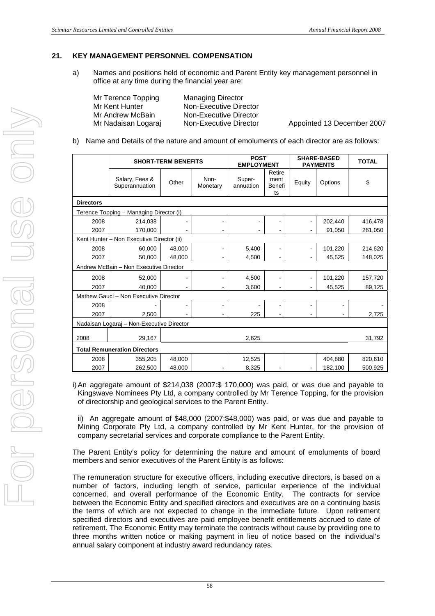# **21. KEY MANAGEMENT PERSONNEL COMPENSATION**

a) Names and positions held of economic and Parent Entity key management personnel in office at any time during the financial year are:

Mr Terence Topping Managing Director

Mr Kent Hunter Non-Executive Director Mr Andrew McBain Non-Executive Director

Mr Nadaisan Logaraj Non-Executive Director Appointed 13 December 2007

b) Name and Details of the nature and amount of emoluments of each director are as follows:

|                                     | <b>SHORT-TERM BENEFITS</b>                |        | <b>POST</b><br><b>EMPLOYMENT</b> |                     | <b>SHARE-BASED</b><br><b>PAYMENTS</b> |                | <b>TOTAL</b> |         |
|-------------------------------------|-------------------------------------------|--------|----------------------------------|---------------------|---------------------------------------|----------------|--------------|---------|
|                                     | Salary, Fees &<br>Superannuation          | Other  | Non-<br>Monetary                 | Super-<br>annuation | Retire<br>ment<br>Benefi<br>ts        | Equity         | Options      | \$      |
| <b>Directors</b>                    |                                           |        |                                  |                     |                                       |                |              |         |
|                                     | Terence Topping – Managing Director (i)   |        |                                  |                     |                                       |                |              |         |
| 2008                                | 214,038                                   |        |                                  | ۰                   |                                       | $\blacksquare$ | 202,440      | 416,478 |
| 2007                                | 170,000                                   |        |                                  |                     |                                       |                | 91,050       | 261,050 |
|                                     | Kent Hunter - Non Executive Director (ii) |        |                                  |                     |                                       |                |              |         |
| 2008                                | 60,000                                    | 48.000 |                                  | 5,400               |                                       | $\blacksquare$ | 101,220      | 214,620 |
| 2007                                | 50,000                                    | 48,000 |                                  | 4,500               | ٠                                     |                | 45,525       | 148,025 |
|                                     | Andrew McBain - Non Executive Director    |        |                                  |                     |                                       |                |              |         |
| 2008                                | 52,000                                    |        |                                  | 4.500               |                                       | $\blacksquare$ | 101,220      | 157,720 |
| 2007                                | 40,000                                    |        |                                  | 3,600               |                                       |                | 45,525       | 89,125  |
|                                     | Mathew Gauci - Non Executive Director     |        |                                  |                     |                                       |                |              |         |
| 2008                                |                                           |        |                                  |                     |                                       |                |              |         |
| 2007                                | 2,500                                     |        |                                  | 225                 |                                       |                |              | 2,725   |
|                                     | Nadaisan Logaraj - Non-Executive Director |        |                                  |                     |                                       |                |              |         |
| 2008                                | 29,167                                    |        |                                  | 2,625               |                                       |                |              | 31,792  |
| <b>Total Remuneration Directors</b> |                                           |        |                                  |                     |                                       |                |              |         |
| 2008                                | 355,205                                   | 48.000 |                                  | 12,525              |                                       |                | 404.880      | 820,610 |
| 2007                                | 262,500                                   | 48,000 |                                  | 8,325               |                                       | ٠              | 182,100      | 500,925 |

i) An aggregate amount of \$214,038 (2007:\$ 170,000) was paid, or was due and payable to Kingswave Nominees Pty Ltd, a company controlled by Mr Terence Topping, for the provision of directorship and geological services to the Parent Entity.

ii) An aggregate amount of \$48,000 (2007:\$48,000) was paid, or was due and payable to Mining Corporate Pty Ltd, a company controlled by Mr Kent Hunter, for the provision of company secretarial services and corporate compliance to the Parent Entity.

The Parent Entity's policy for determining the nature and amount of emoluments of board members and senior executives of the Parent Entity is as follows:

The remuneration structure for executive officers, including executive directors, is based on a number of factors, including length of service, particular experience of the individual concerned, and overall performance of the Economic Entity. The contracts for service between the Economic Entity and specified directors and executives are on a continuing basis the terms of which are not expected to change in the immediate future. Upon retirement specified directors and executives are paid employee benefit entitlements accrued to date of retirement. The Economic Entity may terminate the contracts without cause by providing one to three months written notice or making payment in lieu of notice based on the individual's annual salary component at industry award redundancy rates.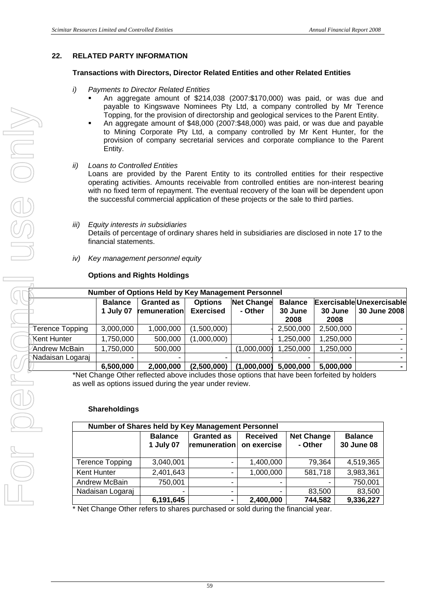# **22. RELATED PARTY INFORMATION**

## **Transactions with Directors, Director Related Entities and other Related Entities**

- *i) Payments to Director Related Entities* 
	- An aggregate amount of \$214,038 (2007:\$170,000) was paid, or was due and payable to Kingswave Nominees Pty Ltd, a company controlled by Mr Terence Topping, for the provision of directorship and geological services to the Parent Entity.
	- An aggregate amount of \$48,000 (2007:\$48,000) was paid, or was due and payable to Mining Corporate Pty Ltd, a company controlled by Mr Kent Hunter, for the provision of company secretarial services and corporate compliance to the Parent Entity.

# *ii) Loans to Controlled Entities*

 Loans are provided by the Parent Entity to its controlled entities for their respective operating activities. Amounts receivable from controlled entities are non-interest bearing with no fixed term of repayment. The eventual recovery of the loan will be dependent upon the successful commercial application of these projects or the sale to third parties.

- *iii) Equity interests in subsidiaries*  Details of percentage of ordinary shares held in subsidiaries are disclosed in note 17 to the financial statements.
- *iv) Key management personnel equity*

# **Options and Rights Holdings**

| <b>Number of Options Held by Key Management Personnel</b> |                |                   |                  |                   |                |           |                                  |
|-----------------------------------------------------------|----------------|-------------------|------------------|-------------------|----------------|-----------|----------------------------------|
|                                                           | <b>Balance</b> | <b>Granted as</b> | <b>Options</b>   | <b>Net Change</b> | <b>Balance</b> |           | <b>Exercisable Unexercisable</b> |
|                                                           | 1 July 07      | remuneration      | <b>Exercised</b> | - Other           | 30 June        | 30 June   | 30 June 2008                     |
|                                                           |                |                   |                  |                   | 2008           | 2008      |                                  |
| Terence Topping                                           | 3,000,000      | 1,000,000         | (1,500,000)      |                   | 2,500,000      | 2,500,000 |                                  |
| Kent Hunter                                               | 1,750,000      | 500,000           | (1,000,000)      |                   | 1,250,000      | 1,250,000 |                                  |
| Andrew McBain                                             | 1,750,000      | 500,000           |                  | (1,000,000)       | 1,250,000      | 1,250,000 |                                  |
| Nadaisan Logaraj                                          |                |                   |                  |                   |                |           |                                  |
|                                                           | 6,500,000      | 2,000,000         | (2,500,000)      | (1,000,000)       | 5,000,000      | 5,000,000 |                                  |

\*Net Change Other reflected above includes those options that have been forfeited by holders as well as options issued during the year under review.

# **Shareholdings**

| Number of Shares held by Key Management Personnel |                                    |                                   |                                |                              |                                     |  |  |  |
|---------------------------------------------------|------------------------------------|-----------------------------------|--------------------------------|------------------------------|-------------------------------------|--|--|--|
|                                                   | <b>Balance</b><br><b>1 July 07</b> | <b>Granted as</b><br>remuneration | <b>Received</b><br>on exercise | <b>Net Change</b><br>- Other | <b>Balance</b><br><b>30 June 08</b> |  |  |  |
| <b>Terence Topping</b>                            | 3,040,001                          | ۰                                 | 1,400,000                      | 79,364                       | 4,519,365                           |  |  |  |
| Kent Hunter                                       | 2,401,643                          | ۰                                 | 1,000,000                      | 581,718                      | 3,983,361                           |  |  |  |
| Andrew McBain                                     | 750,001                            |                                   |                                |                              | 750,001                             |  |  |  |
| Nadaisan Logaraj                                  |                                    | ۰                                 | ۰                              | 83,500                       | 83,500                              |  |  |  |
|                                                   | 6,191,645                          | $\blacksquare$                    | 2,400,000                      | 744,582                      | 9,336,227                           |  |  |  |

\* Net Change Other refers to shares purchased or sold during the financial year.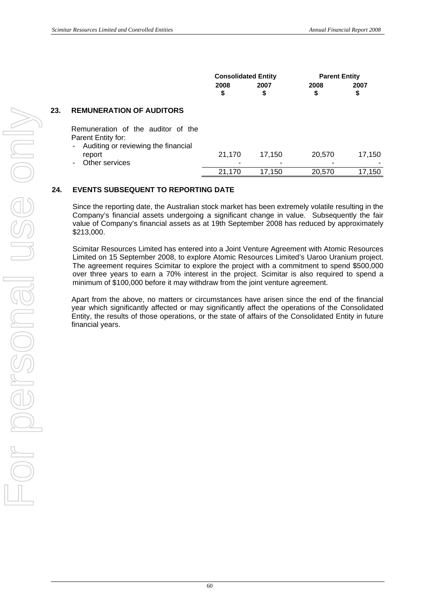|     |                                                                                                   | <b>Consolidated Entity</b> |            | <b>Parent Entity</b> |            |
|-----|---------------------------------------------------------------------------------------------------|----------------------------|------------|----------------------|------------|
|     |                                                                                                   | 2008<br>\$                 | 2007<br>\$ | 2008<br>\$           | 2007<br>\$ |
| 23. | <b>REMUNERATION OF AUDITORS</b>                                                                   |                            |            |                      |            |
|     | Remuneration of the auditor of the<br>Parent Entity for:<br>- Auditing or reviewing the financial |                            |            |                      |            |
|     | report                                                                                            | 21,170                     | 17,150     | 20,570               | 17,150     |
|     | Other services                                                                                    | 21.170                     | 17.150     | 20.570               | 17.150     |

# **24. EVENTS SUBSEQUENT TO REPORTING DATE**

Since the reporting date, the Australian stock market has been extremely volatile resulting in the Company's financial assets undergoing a significant change in value. Subsequently the fair value of Company's financial assets as at 19th September 2008 has reduced by approximately \$213,000.

Scimitar Resources Limited has entered into a Joint Venture Agreement with Atomic Resources Limited on 15 September 2008, to explore Atomic Resources Limited's Uaroo Uranium project. The agreement requires Scimitar to explore the project with a commitment to spend \$500,000 over three years to earn a 70% interest in the project. Scimitar is also required to spend a minimum of \$100,000 before it may withdraw from the joint venture agreement.

Apart from the above, no matters or circumstances have arisen since the end of the financial year which significantly affected or may significantly affect the operations of the Consolidated Entity, the results of those operations, or the state of affairs of the Consolidated Entity in future financial years.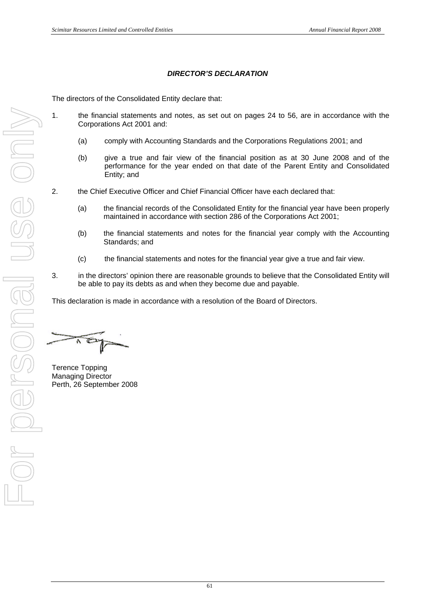# *DIRECTOR'S DECLARATION*

The directors of the Consolidated Entity declare that:

- 1. the financial statements and notes, as set out on pages 24 to 56, are in accordance with the Corporations Act 2001 and:
	- (a) comply with Accounting Standards and the Corporations Regulations 2001; and
	- (b) give a true and fair view of the financial position as at 30 June 2008 and of the performance for the year ended on that date of the Parent Entity and Consolidated Entity; and
- 2. the Chief Executive Officer and Chief Financial Officer have each declared that:
	- (a) the financial records of the Consolidated Entity for the financial year have been properly maintained in accordance with section 286 of the Corporations Act 2001;
	- (b) the financial statements and notes for the financial year comply with the Accounting Standards; and
	- (c) the financial statements and notes for the financial year give a true and fair view.
- 3. in the directors' opinion there are reasonable grounds to believe that the Consolidated Entity will be able to pay its debts as and when they become due and payable.

This declaration is made in accordance with a resolution of the Board of Directors.

Terence Topping Managing Director Perth, 26 September 2008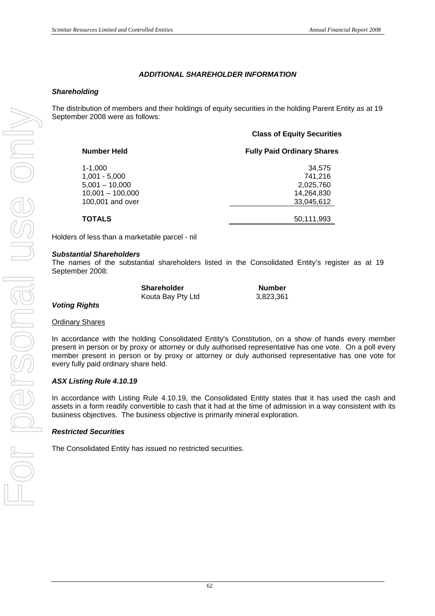## *ADDITIONAL SHAREHOLDER INFORMATION*

#### *Shareholding*

The distribution of members and their holdings of equity securities in the holding Parent Entity as at 19 September 2008 were as follows:

|                                                                                              | <b>Class of Equity Securities</b>                          |
|----------------------------------------------------------------------------------------------|------------------------------------------------------------|
| <b>Number Held</b>                                                                           | <b>Fully Paid Ordinary Shares</b>                          |
| $1 - 1,000$<br>$1,001 - 5,000$<br>$5,001 - 10,000$<br>$10,001 - 100,000$<br>100,001 and over | 34,575<br>741,216<br>2,025,760<br>14,264,830<br>33,045,612 |
| <b>TOTALS</b>                                                                                | 50,111,993                                                 |

Holders of less than a marketable parcel - nil

#### *Substantial Shareholders*

The names of the substantial shareholders listed in the Consolidated Entity's register as at 19 September 2008:

| <b>Shareholder</b> | Number    |
|--------------------|-----------|
| Kouta Bay Pty Ltd  | 3,823,361 |

## *Voting Rights*

#### **Ordinary Shares**

In accordance with the holding Consolidated Entity's Constitution, on a show of hands every member present in person or by proxy or attorney or duly authorised representative has one vote. On a poll every member present in person or by proxy or attorney or duly authorised representative has one vote for every fully paid ordinary share held.

#### *ASX Listing Rule 4.10.19*

In accordance with Listing Rule 4.10.19, the Consolidated Entity states that it has used the cash and assets in a form readily convertible to cash that it had at the time of admission in a way consistent with its business objectives. The business objective is primarily mineral exploration.

#### *Restricted Securities*

The Consolidated Entity has issued no restricted securities.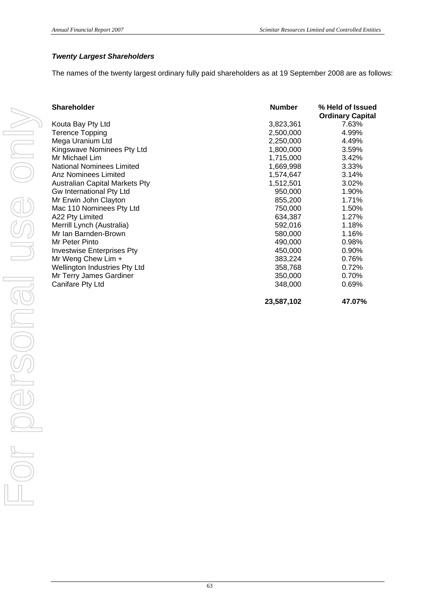# *Twenty Largest Shareholders*

The names of the twenty largest ordinary fully paid shareholders as at 19 September 2008 are as follows:

| <b>Shareholder</b>                | <b>Number</b> | % Held of Issued<br><b>Ordinary Capital</b> |
|-----------------------------------|---------------|---------------------------------------------|
| Kouta Bay Pty Ltd                 | 3,823,361     | 7.63%                                       |
| <b>Terence Topping</b>            | 2,500,000     | 4.99%                                       |
| Mega Uranium Ltd                  | 2,250,000     | 4.49%                                       |
| Kingswave Nominees Pty Ltd        | 1,800,000     | 3.59%                                       |
| Mr Michael Lim                    | 1,715,000     | 3.42%                                       |
| National Nominees Limited         | 1,669,998     | 3.33%                                       |
| Anz Nominees Limited              | 1,574,647     | 3.14%                                       |
| Australian Capital Markets Pty    | 1,512,501     | 3.02%                                       |
| Gw International Pty Ltd          | 950,000       | 1.90%                                       |
| Mr Erwin John Clayton             | 855,200       | 1.71%                                       |
| Mac 110 Nominees Pty Ltd          | 750,000       | 1.50%                                       |
| A22 Pty Limited                   | 634,387       | 1.27%                                       |
| Merrill Lynch (Australia)         | 592,016       | 1.18%                                       |
| Mr Ian Barnden-Brown              | 580,000       | 1.16%                                       |
| Mr Peter Pinto                    | 490,000       | 0.98%                                       |
| <b>Investwise Enterprises Pty</b> | 450,000       | 0.90%                                       |
| Mr Weng Chew Lim +                | 383,224       | 0.76%                                       |
| Wellington Industries Pty Ltd     | 358,768       | 0.72%                                       |
| Mr Terry James Gardiner           | 350,000       | 0.70%                                       |
| Canifare Pty Ltd                  | 348,000       | 0.69%                                       |
|                                   | 23,587,102    | 47.07%                                      |